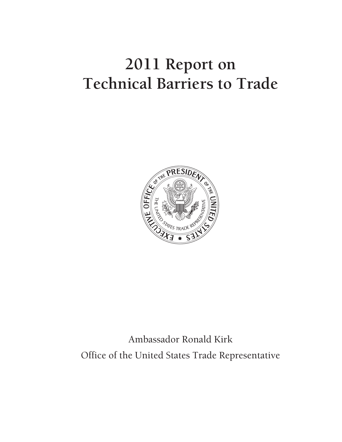# **2011 Report on Technical Barriers to Trade**



Ambassador Ronald Kirk Office of the United States Trade Representative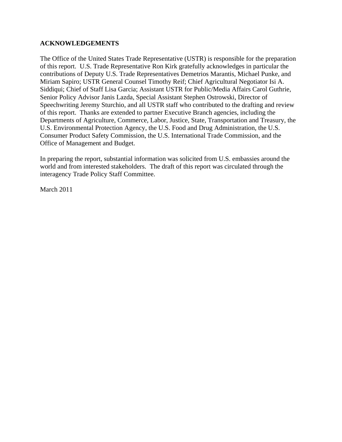### **ACKNOWLEDGEMENTS**

The Office of the United States Trade Representative (USTR) is responsible for the preparation of this report. U.S. Trade Representative Ron Kirk gratefully acknowledges in particular the contributions of Deputy U.S. Trade Representatives Demetrios Marantis, Michael Punke, and Miriam Sapiro; USTR General Counsel Timothy Reif; Chief Agricultural Negotiator Isi A. Siddiqui; Chief of Staff Lisa Garcia; Assistant USTR for Public/Media Affairs Carol Guthrie, Senior Policy Advisor Janis Lazda, Special Assistant Stephen Ostrowski, Director of Speechwriting Jeremy Sturchio, and all USTR staff who contributed to the drafting and review of this report. Thanks are extended to partner Executive Branch agencies, including the Departments of Agriculture, Commerce, Labor, Justice, State, Transportation and Treasury, the U.S. Environmental Protection Agency, the U.S. Food and Drug Administration, the U.S. Consumer Product Safety Commission, the U.S. International Trade Commission, and the Office of Management and Budget.

In preparing the report, substantial information was solicited from U.S. embassies around the world and from interested stakeholders. The draft of this report was circulated through the interagency Trade Policy Staff Committee.

March 2011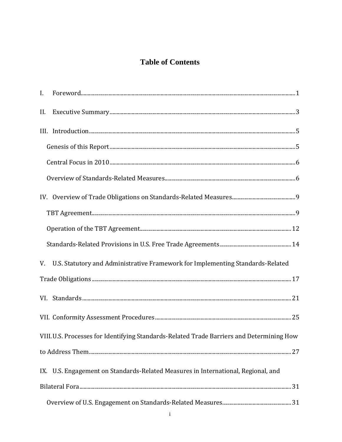# **Table of Contents**

| II. |                                                                                          |  |
|-----|------------------------------------------------------------------------------------------|--|
|     |                                                                                          |  |
|     |                                                                                          |  |
|     |                                                                                          |  |
|     |                                                                                          |  |
|     |                                                                                          |  |
|     |                                                                                          |  |
|     |                                                                                          |  |
|     |                                                                                          |  |
|     | V. U.S. Statutory and Administrative Framework for Implementing Standards-Related        |  |
|     |                                                                                          |  |
|     |                                                                                          |  |
|     |                                                                                          |  |
|     | VIII.U.S. Processes for Identifying Standards-Related Trade Barriers and Determining How |  |
|     |                                                                                          |  |
|     | IX. U.S. Engagement on Standards-Related Measures in International, Regional, and        |  |
|     |                                                                                          |  |
|     |                                                                                          |  |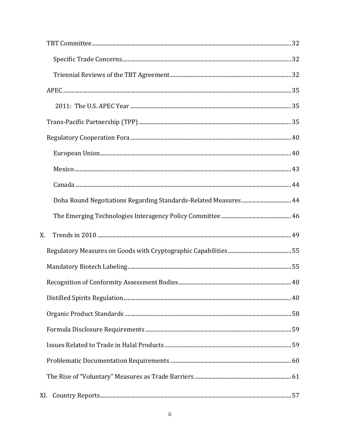| X.  |  |
|-----|--|
|     |  |
|     |  |
|     |  |
|     |  |
|     |  |
|     |  |
|     |  |
|     |  |
|     |  |
|     |  |
| XI. |  |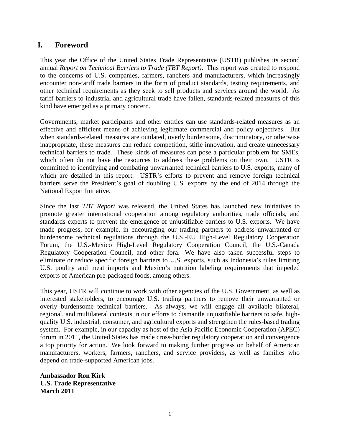# <span id="page-8-0"></span>**I. Foreword**

This year the Office of the United States Trade Representative (USTR) publishes its second annual *Report on Technical Barriers to Trade (TBT Report)*. This report was created to respond to the concerns of U.S. companies, farmers, ranchers and manufacturers, which increasingly encounter non-tariff trade barriers in the form of product standards, testing requirements, and other technical requirements as they seek to sell products and services around the world. As tariff barriers to industrial and agricultural trade have fallen, standards-related measures of this kind have emerged as a primary concern.

Governments, market participants and other entities can use standards-related measures as an effective and efficient means of achieving legitimate commercial and policy objectives. But when standards-related measures are outdated, overly burdensome, discriminatory, or otherwise inappropriate, these measures can reduce competition, stifle innovation, and create unnecessary technical barriers to trade. These kinds of measures can pose a particular problem for SMEs, which often do not have the resources to address these problems on their own. USTR is committed to identifying and combating unwarranted technical barriers to U.S. exports, many of which are detailed in this report. USTR's efforts to prevent and remove foreign technical barriers serve the President's goal of doubling U.S. exports by the end of 2014 through the National Export Initiative.

Since the last *TBT Report* was released, the United States has launched new initiatives to promote greater international cooperation among regulatory authorities, trade officials, and standards experts to prevent the emergence of unjustifiable barriers to U.S. exports. We have made progress, for example, in encouraging our trading partners to address unwarranted or burdensome technical regulations through the U.S.-EU High-Level Regulatory Cooperation Forum, the U.S.-Mexico High-Level Regulatory Cooperation Council, the U.S.-Canada Regulatory Cooperation Council, and other fora. We have also taken successful steps to eliminate or reduce specific foreign barriers to U.S. exports, such as Indonesia's rules limiting U.S. poultry and meat imports and Mexico's nutrition labeling requirements that impeded exports of American pre-packaged foods, among others.

This year, USTR will continue to work with other agencies of the U.S. Government, as well as interested stakeholders, to encourage U.S. trading partners to remove their unwarranted or overly burdensome technical barriers. As always, we will engage all available bilateral, regional, and multilateral contexts in our efforts to dismantle unjustifiable barriers to safe, highquality U.S. industrial, consumer, and agricultural exports and strengthen the rules-based trading system. For example, in our capacity as host of the Asia Pacific Economic Cooperation (APEC) forum in 2011, the United States has made cross-border regulatory cooperation and convergence a top priority for action. We look forward to making further progress on behalf of American manufacturers, workers, farmers, ranchers, and service providers, as well as families who depend on trade-supported American jobs.

<span id="page-8-1"></span>**Ambassador Ron Kirk U.S. Trade Representative March 2011**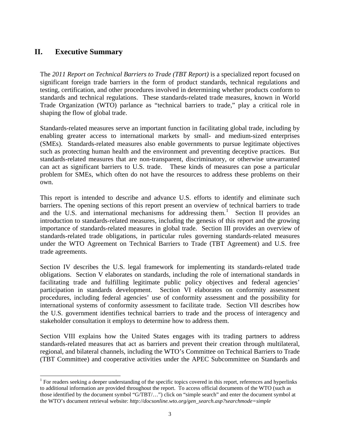# **II. Executive Summary**

The *2011 Report on Technical Barriers to Trade (TBT Report)* is a specialized report focused on significant foreign trade barriers in the form of product standards, technical regulations and testing, certification, and other procedures involved in determining whether products conform to standards and technical regulations. These standards-related trade measures, known in World Trade Organization (WTO) parlance as "technical barriers to trade," play a critical role in shaping the flow of global trade.

Standards-related measures serve an important function in facilitating global trade, including by enabling greater access to international markets by small- and medium-sized enterprises (SMEs). Standards-related measures also enable governments to pursue legitimate objectives such as protecting human health and the environment and preventing deceptive practices. But standards-related measures that are non-transparent, discriminatory, or otherwise unwarranted can act as significant barriers to U.S. trade. These kinds of measures can pose a particular problem for SMEs, which often do not have the resources to address these problems on their own.

This report is intended to describe and advance U.S. efforts to identify and eliminate such barriers. The opening sections of this report present an overview of technical barriers to trade and the U.S. and international mechanisms for addressing them.<sup>[1](#page-10-0)</sup> Section II provides an introduction to standards-related measures, including the genesis of this report and the growing importance of standards-related measures in global trade. Section III provides an overview of standards-related trade obligations, in particular rules governing standards-related measures under the WTO Agreement on Technical Barriers to Trade (TBT Agreement) and U.S. free trade agreements.

Section IV describes the U.S. legal framework for implementing its standards-related trade obligations. Section V elaborates on standards, including the role of international standards in facilitating trade and fulfilling legitimate public policy objectives and federal agencies' participation in standards development. Section VI elaborates on conformity assessment procedures, including federal agencies' use of conformity assessment and the possibility for international systems of conformity assessment to facilitate trade. Section VII describes how the U.S. government identifies technical barriers to trade and the process of interagency and stakeholder consultation it employs to determine how to address them.

Section VIII explains how the United States engages with its trading partners to address standards-related measures that act as barriers and prevent their creation through multilateral, regional, and bilateral channels, including the WTO's Committee on Technical Barriers to Trade (TBT Committee) and cooperative activities under the APEC Subcommittee on Standards and

<span id="page-10-0"></span><sup>&</sup>lt;sup>1</sup> For readers seeking a deeper understanding of the specific topics covered in this report, references and hyperlinks to additional information are provided throughout the report. To access official documents of the WTO (such as those identified by the document symbol "G/TBT/…") click on "simple search" and enter the document symbol at the WTO's document retrieval website: *http://docsonline.wto.org/gen\_search.asp?searchmode=simple*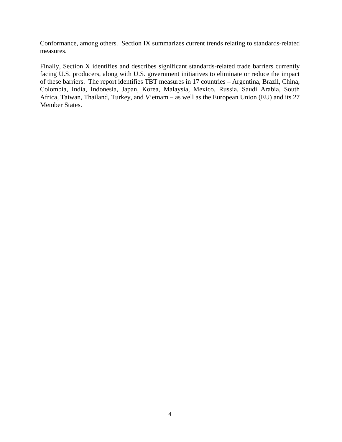Conformance, among others. Section IX summarizes current trends relating to standards-related measures.

Finally, Section X identifies and describes significant standards-related trade barriers currently facing U.S. producers, along with U.S. government initiatives to eliminate or reduce the impact of these barriers. The report identifies TBT measures in 17 countries – Argentina, Brazil, China, Colombia, India, Indonesia, Japan, Korea, Malaysia, Mexico, Russia, Saudi Arabia, South Africa, Taiwan, Thailand, Turkey, and Vietnam – as well as the European Union (EU) and its 27 Member States.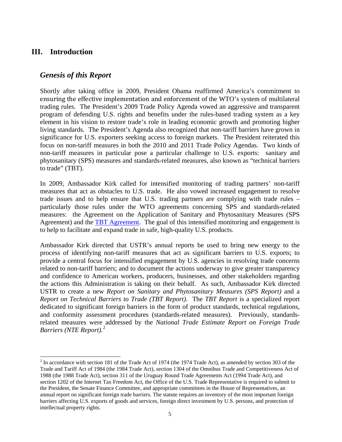## <span id="page-12-0"></span>**III. Introduction**

## <span id="page-12-1"></span>*Genesis of this Report*

Shortly after taking office in 2009, President Obama reaffirmed America's commitment to ensuring the effective implementation and enforcement of the WTO's system of multilateral trading rules. The President's 2009 Trade Policy Agenda vowed an aggressive and transparent program of defending U.S. rights and benefits under the rules-based trading system as a key element in his vision to restore trade's role in leading economic growth and promoting higher living standards. The President's Agenda also recognized that non-tariff barriers have grown in significance for U.S. exporters seeking access to foreign markets. The President reiterated this focus on non-tariff measures in both the 2010 and 2011 Trade Policy Agendas. Two kinds of non-tariff measures in particular pose a particular challenge to U.S. exports: sanitary and phytosanitary (SPS) measures and standards-related measures, also known as "technical barriers to trade" (TBT).

In 2009, Ambassador Kirk called for intensified monitoring of trading partners' non-tariff measures that act as obstacles to U.S. trade. He also vowed increased engagement to resolve trade issues and to help ensure that U.S. trading partners are complying with trade rules – particularly those rules under the WTO agreements concerning SPS and standards-related measures: the Agreement on the Application of Sanitary and Phytosanitary Measures (SPS Agreement) and the [TBT Agreement.](http://www.wto.org/english/docs_e/legal_e/17-tbt_e.htm) The goal of this intensified monitoring and engagement is to help to facilitate and expand trade in safe, high-quality U.S. products.

Ambassador Kirk directed that USTR's annual reports be used to bring new energy to the process of identifying non-tariff measures that act as significant barriers to U.S. exports; to provide a central focus for intensified engagement by U.S. agencies in resolving trade concerns related to non-tariff barriers; and to document the actions underway to give greater transparency and confidence to American workers, producers, businesses, and other stakeholders regarding the actions this Administration is taking on their behalf. As such, Ambassador Kirk directed USTR to create a new *Report on Sanitary and Phytosanitary Measures (SPS Report)* and a *Report on Technical Barriers to Trade (TBT Report)*. The *TBT Report* is a specialized report dedicated to significant foreign barriers in the form of product standards, technical regulations, and conformity assessment procedures (standards-related measures). Previously, standardsrelated measures were addressed by the *National Trade Estimate Report on Foreign Trade Barriers (NTE Report).*[2](#page-12-2)

<span id="page-12-2"></span> $2 \text{ In accordance with section 181 of the Trade Act of 1974 (the 1974 Trade Act), as amended by section 303 of the$ Trade and Tariff Act of 1984 (the 1984 Trade Act), section 1304 of the Omnibus Trade and Competitiveness Act of 1988 (the 1988 Trade Act), section 311 of the Uruguay Round Trade Agreements Act (1994 Trade Act), and section 1202 of the Internet Tax Freedom Act, the Office of the U.S. Trade Representative is required to submit to the President, the Senate Finance Committee, and appropriate committees in the House of Representatives, an annual report on significant foreign trade barriers. The statute requires an inventory of the most important foreign barriers affecting U.S. exports of goods and services, foreign direct investment by U.S. persons, and protection of intellectual property rights.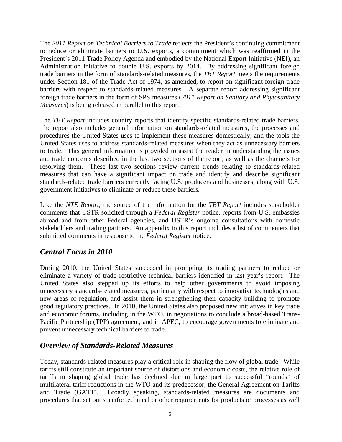The *2011 Report on Technical Barriers to Trade* reflects the President's continuing commitment to reduce or eliminate barriers to U.S. exports, a commitment which was reaffirmed in the President's 2011 Trade Policy Agenda and embodied by the National Export Initiative (NEI), an Administration initiative to double U.S. exports by 2014. By addressing significant foreign trade barriers in the form of standards-related measures, the *TBT Report* meets the requirements under Section 181 of the Trade Act of 1974, as amended, to report on significant foreign trade barriers with respect to standards-related measures. A separate report addressing significant foreign trade barriers in the form of SPS measures (*2011 Report on Sanitary and Phytosanitary Measures*) is being released in parallel to this report.

The *TBT Report* includes country reports that identify specific standards-related trade barriers. The report also includes general information on standards-related measures, the processes and procedures the United States uses to implement these measures domestically, and the tools the United States uses to address standards-related measures when they act as unnecessary barriers to trade. This general information is provided to assist the reader in understanding the issues and trade concerns described in the last two sections of the report, as well as the channels for resolving them. These last two sections review current trends relating to standards-related measures that can have a significant impact on trade and identify and describe significant standards-related trade barriers currently facing U.S. producers and businesses, along with U.S. government initiatives to eliminate or reduce these barriers.

Like the *NTE Report,* the source of the information for the *TBT Report* includes stakeholder comments that USTR solicited through a *Federal Register* notice, reports from U.S. embassies abroad and from other Federal agencies, and USTR's ongoing consultations with domestic stakeholders and trading partners. An appendix to this report includes a list of commenters that submitted comments in response to the *Federal Register* notice.

## <span id="page-13-0"></span>*Central Focus in 2010*

During 2010, the United States succeeded in prompting its trading partners to reduce or eliminate a variety of trade restrictive technical barriers identified in last year's report. The United States also stepped up its efforts to help other governments to avoid imposing unnecessary standards-related measures, particularly with respect to innovative technologies and new areas of regulation, and assist them in strengthening their capacity building to promote good regulatory practices. In 2010, the United States also proposed new initiatives in key trade and economic forums, including in the WTO, in negotiations to conclude a broad-based Trans-Pacific Partnership (TPP) agreement, and in APEC, to encourage governments to eliminate and prevent unnecessary technical barriers to trade.

## <span id="page-13-1"></span>*Overview of Standards-Related Measures*

Today, standards-related measures play a critical role in shaping the flow of global trade. While tariffs still constitute an important source of distortions and economic costs, the relative role of tariffs in shaping global trade has declined due in large part to successful "rounds" of multilateral tariff reductions in the WTO and its predecessor, the General Agreement on Tariffs and Trade (GATT). Broadly speaking, standards-related measures are documents and procedures that set out specific technical or other requirements for products or processes as well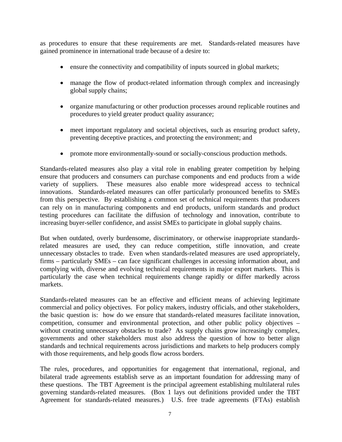as procedures to ensure that these requirements are met. Standards-related measures have gained prominence in international trade because of a desire to:

- ensure the connectivity and compatibility of inputs sourced in global markets;
- manage the flow of product-related information through complex and increasingly global supply chains;
- organize manufacturing or other production processes around replicable routines and procedures to yield greater product quality assurance;
- meet important regulatory and societal objectives, such as ensuring product safety, preventing deceptive practices, and protecting the environment; and
- promote more environmentally-sound or socially-conscious production methods.

Standards-related measures also play a vital role in enabling greater competition by helping ensure that producers and consumers can purchase components and end products from a wide<br>variety of suppliers. These measures also enable more widespread access to technical These measures also enable more widespread access to technical innovations. Standards-related measures can offer particularly pronounced benefits to SMEs from this perspective. By establishing a common set of technical requirements that producers can rely on in manufacturing components and end products, uniform standards and product testing procedures can facilitate the diffusion of technology and innovation, contribute to increasing buyer-seller confidence, and assist SMEs to participate in global supply chains.

But when outdated, overly burdensome, discriminatory, or otherwise inappropriate standardsrelated measures are used, they can reduce competition, stifle innovation, and create unnecessary obstacles to trade. Even when standards-related measures are used appropriately, firms – particularly SMEs – can face significant challenges in accessing information about, and complying with, diverse and evolving technical requirements in major export markets. This is particularly the case when technical requirements change rapidly or differ markedly across markets.

Standards-related measures can be an effective and efficient means of achieving legitimate commercial and policy objectives. For policy makers, industry officials, and other stakeholders, the basic question is: how do we ensure that standards-related measures facilitate innovation, competition, consumer and environmental protection, and other public policy objectives – without creating unnecessary obstacles to trade? As supply chains grow increasingly complex, governments and other stakeholders must also address the question of how to better align standards and technical requirements across jurisdictions and markets to help producers comply with those requirements, and help goods flow across borders.

The rules, procedures, and opportunities for engagement that international, regional, and bilateral trade agreements establish serve as an important foundation for addressing many of these questions. The TBT Agreement is the principal agreement establishing multilateral rules governing standards-related measures. (Box 1 lays out definitions provided under the TBT Agreement for standards-related measures.) U.S. free trade agreements (FTAs) establish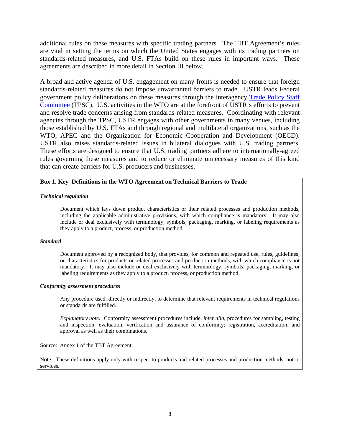additional rules on these measures with specific trading partners. The TBT Agreement's rules are vital in setting the terms on which the United States engages with its trading partners on standards-related measures, and U.S. FTAs build on these rules in important ways. These agreements are described in more detail in Section III below.

A broad and active agenda of U.S. engagement on many fronts is needed to ensure that foreign standards-related measures do not impose unwarranted barriers to trade. USTR leads Federal government policy deliberations on these measures through the interagency [Trade Policy Staff](http://www.ustr.gov/about-us/executive-branch-agencies-trade-policy-staff-committee-and-trade-policy-review-group)  [Committee](http://www.ustr.gov/about-us/executive-branch-agencies-trade-policy-staff-committee-and-trade-policy-review-group) (TPSC). U.S. activities in the WTO are at the forefront of USTR's efforts to prevent and resolve trade concerns arising from standards-related measures. Coordinating with relevant agencies through the TPSC, USTR engages with other governments in many venues, including those established by U.S. FTAs and through regional and multilateral organizations, such as the WTO, APEC and the Organization for Economic Cooperation and Development (OECD). USTR also raises standards-related issues in bilateral dialogues with U.S. trading partners. These efforts are designed to ensure that U.S. trading partners adhere to internationally-agreed rules governing these measures and to reduce or eliminate unnecessary measures of this kind that can create barriers for U.S. producers and businesses.

#### **Box 1. Key Definitions in the WTO Agreement on Technical Barriers to Trade**

#### *Technical regulation*

Document which lays down product characteristics or their related processes and production methods, including the applicable administrative provisions, with which compliance is mandatory. It may also include or deal exclusively with terminology, symbols, packaging, marking, or labeling requirements as they apply to a product, process, or production method.

#### *Standard*

Document approved by a recognized body, that provides, for common and repeated use, rules, guidelines, or characteristics for products or related processes and production methods, with which compliance is not mandatory. It may also include or deal exclusively with terminology, symbols, packaging, marking, or labeling requirements as they apply to a product, process, or production method.

#### *Conformity assessment procedures*

Any procedure used, directly or indirectly, to determine that relevant requirements in technical regulations or standards are fulfilled.

*Explanatory note:* Conformity assessment procedures include, *inter alia*, procedures for sampling, testing and inspection; evaluation, verification and assurance of conformity; registration, accreditation, and approval as well as their combinations.

Source: Annex 1 of the TBT Agreement.

Note: These definitions apply only with respect to products and related processes and production methods, not to services.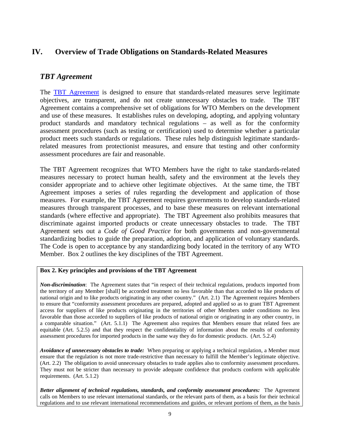# <span id="page-16-0"></span>**IV. Overview of Trade Obligations on Standards-Related Measures**

## <span id="page-16-1"></span>*TBT Agreement*

The [TBT Agreement](http://www.wto.org/english/docs_e/legal_e/17-tbt_e.htm) is designed to ensure that standards-related measures serve legitimate objectives, are transparent, and do not create unnecessary obstacles to trade. The TBT Agreement contains a comprehensive set of obligations for WTO Members on the development and use of these measures. It establishes rules on developing, adopting, and applying voluntary product standards and mandatory technical regulations – as well as for the conformity assessment procedures (such as testing or certification) used to determine whether a particular product meets such standards or regulations. These rules help distinguish legitimate standardsrelated measures from protectionist measures, and ensure that testing and other conformity assessment procedures are fair and reasonable.

The TBT Agreement recognizes that WTO Members have the right to take standards-related measures necessary to protect human health, safety and the environment at the levels they consider appropriate and to achieve other legitimate objectives. At the same time, the TBT Agreement imposes a series of rules regarding the development and application of those measures. For example, the TBT Agreement requires governments to develop standards-related measures through transparent processes, and to base these measures on relevant international standards (where effective and appropriate). The TBT Agreement also prohibits measures that discriminate against imported products or create unnecessary obstacles to trade. The TBT Agreement sets out a *Code of Good Practice* for both governments and non-governmental standardizing bodies to guide the preparation, adoption, and application of voluntary standards. The Code is open to acceptance by any standardizing body located in the territory of any WTO Member. Box 2 outlines the key disciplines of the TBT Agreement.

#### **Box 2. Key principles and provisions of the TBT Agreement**

*Non-discrimination*: The Agreement states that "in respect of their technical regulations, products imported from the territory of any Member [shall] be accorded treatment no less favorable than that accorded to like products of national origin and to like products originating in any other country." (Art. 2.1) The Agreement requires Members to ensure that "conformity assessment procedures are prepared, adopted and applied so as to grant TBT Agreement access for suppliers of like products originating in the territories of other Members under conditions no less favorable than those accorded to suppliers of like products of national origin or originating in any other country, in a comparable situation." (Art. 5.1.1) The Agreement also requires that Members ensure that related fees are equitable (Art. 5.2.5) and that they respect the confidentiality of information about the results of conformity assessment procedures for imported products in the same way they do for domestic products. (Art. 5.2.4)

*Avoidance of unnecessary obstacles to trade:* When preparing or applying a technical regulation, a Member must ensure that the regulation is not more trade-restrictive than necessary to fulfill the Member's legitimate objective. (Art. 2.2) The obligation to avoid unnecessary obstacles to trade applies also to conformity assessment procedures. They must not be stricter than necessary to provide adequate confidence that products conform with applicable requirements. (Art. 5.1.2)

*Better alignment of technical regulations, standards, and conformity assessment procedures:* The Agreement calls on Members to use relevant international standards, or the relevant parts of them, as a basis for their technical regulations and to use relevant international recommendations and guides, or relevant portions of them, as the basis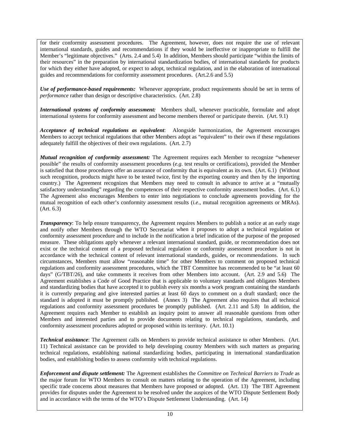for their conformity assessment procedures. The Agreement, however, does not require the use of relevant international standards, guides and recommendations if they would be ineffective or inappropriate to fulfill the Member's "legitimate objectives." (Arts. 2.4 and 5.4) In addition, Members should participate "within the limits of their resources" in the preparation by international standardization bodies, of international standards for products for which they either have adopted, or expect to adopt, technical regulation, and in the elaboration of international guides and recommendations for conformity assessment procedures. (Art.2.6 and 5.5)

*Use of performance-based requirements:* Whenever appropriate, product requirements should be set in terms of *performance* rather than design or descriptive characteristics. (Art. 2.8)

*International systems of conformity assessment:* Members shall, whenever practicable, formulate and adopt international systems for conformity assessment and become members thereof or participate therein. (Art. 9.1)

*Acceptance of technical regulations as equivalent*: Alongside harmonization, the Agreement encourages Members to accept technical regulations that other Members adopt as "equivalent" to their own if these regulations adequately fulfill the objectives of their own regulations. (Art. 2.7)

*Mutual recognition of conformity assessment:* The Agreement requires each Member to recognize "whenever possible" the results of conformity assessment procedures (*e.g.* test results or certifications), provided the Member is satisfied that those procedures offer an assurance of conformity that is equivalent as its own. (Art. 6.1) (Without such recognition, products might have to be tested twice, first by the exporting country and then by the importing country.) The Agreement recognizes that Members may need to consult in advance to arrive at a "mutually satisfactory understanding" regarding the competences of their respective conformity assessment bodies. (Art. 6.1) The Agreement also encourages Members to enter into negotiations to conclude agreements providing for the mutual recognition of each other's conformity assessment results (*i.e*., mutual recognition agreements or MRAs). (Art. 6.3)

*Transparency*: To help ensure transparency, the Agreement requires Members to publish a notice at an early stage and notify other Members through the WTO Secretariat when it proposes to adopt a technical regulation or conformity assessment procedure and to include in the notification a brief indication of the purpose of the proposed measure. These obligations apply whenever a relevant international standard, guide, or recommendation does not exist or the technical content of a proposed technical regulation or conformity assessment procedure is not in accordance with the technical content of relevant international standards, guides, or recommendations. In such circumstances, Members must allow "reasonable time" for other Members to comment on proposed technical regulations and conformity assessment procedures, which the TBT Committee has recommended to be "at least 60 days" (G/TBT/26), and take comments it receives from other Members into account. (Art. 2.9 and 5.6) The Agreement establishes a Code of Good Practice that is applicable to voluntary standards and obligates Members and standardizing bodies that have accepted it to publish every six months a work program containing the standards it is currently preparing and give interested parties at least 60 days to comment on a draft standard; once the standard is adopted it must be promptly published. (Annex 3) The Agreement also requires that all technical regulations and conformity assessment procedures be promptly published. (Art. 2.11 and 5.8) In addition, the Agreement requires each Member to establish an inquiry point to answer all reasonable questions from other Members and interested parties and to provide documents relating to technical regulations, standards, and conformity assessment procedures adopted or proposed within its territory. (Art. 10.1)

*Technical assistance*: The Agreement calls on Members to provide technical assistance to other Members. (Art. 11) Technical assistance can be provided to help developing country Members with such matters as preparing technical regulations, establishing national standardizing bodies, participating in international standardization bodies, and establishing bodies to assess conformity with technical regulations.

*Enforcement and dispute settlement:* The Agreement establishes the *Committee on Technical Barriers to Trade* as the major forum for WTO Members to consult on matters relating to the operation of the Agreement, including specific trade concerns about measures that Members have proposed or adopted. (Art. 13) The TBT Agreement provides for disputes under the Agreement to be resolved under the auspices of the WTO Dispute Settlement Body and in accordance with the terms of the WTO's Dispute Settlement Understanding. (Art. 14)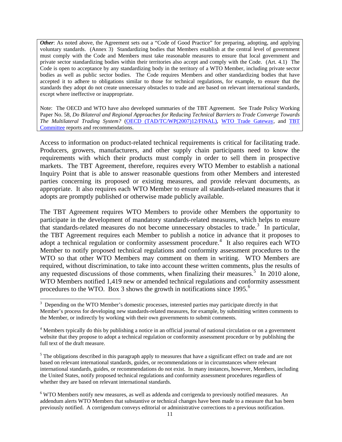*Other*: As noted above, the Agreement sets out a "Code of Good Practice" for preparing, adopting, and applying voluntary standards. (Annex 3) Standardizing bodies that Members establish at the central level of government must comply with the Code and Members must take reasonable measures to ensure that local government and private sector standardizing bodies within their territories also accept and comply with the Code. (Art. 4.1) The Code is open to acceptance by any standardizing body in the territory of a WTO Member, including private sector bodies as well as public sector bodies. The Code requires Members and other standardizing bodies that have accepted it to adhere to obligations similar to those for technical regulations, for example, to ensure that the standards they adopt do not create unnecessary obstacles to trade and are based on relevant international standards, except where ineffective or inappropriate.

Note: The OECD and WTO have also developed summaries of the TBT Agreement. See Trade Policy Working Paper No. 58, *Do Bilateral and Regional Approaches for Reducing Technical Barriers to Trade Converge Towards The Multilateral Trading System?* [\(OECD \(TAD/TC/WP\(2007\)12/FINAL\),](http://www.olis.oecd.org/olis/2007doc.nsf/linkto/tad-tc-wp(2007)12-final) [WTO Trade Gateway,](http://www.wto.org/english/tratop_e/tbt_e/tbt_e.htm) and [TBT](http://www.wto.org/english/tratop_e/tbt_e/tbt_work_docs_e.htm)  [Committee](http://www.wto.org/english/tratop_e/tbt_e/tbt_work_docs_e.htm) reports and recommendations.

Access to information on product-related technical requirements is critical for facilitating trade. Producers, growers, manufacturers, and other supply chain participants need to know the requirements with which their products must comply in order to sell them in prospective markets. The TBT Agreement, therefore, requires every WTO Member to establish a national Inquiry Point that is able to answer reasonable questions from other Members and interested parties concerning its proposed or existing measures, and provide relevant documents, as appropriate. It also requires each WTO Member to ensure all standards-related measures that it adopts are promptly published or otherwise made publicly available.

The TBT Agreement requires WTO Members to provide other Members the opportunity to participate in the development of mandatory standards-related measures, which helps to ensure that standards-related measures do not become unnecessary obstacles to trade.<sup>[3](#page-18-0)</sup> In particular, the TBT Agreement requires each Member to publish a notice in advance that it proposes to adopt a technical regulation or conformity assessment procedure.<sup>[4](#page-18-1)</sup> It also requires each WTO Member to notify proposed technical regulations and conformity assessment procedures to the WTO so that other WTO Members may comment on them in writing. WTO Members are required, without discrimination, to take into account these written comments, plus the results of any requested discussions of those comments, when finalizing their measures.<sup>[5](#page-18-2)</sup> In 2010 alone, WTO Members notified 1,419 new or amended technical regulations and conformity assessment procedures to the WTO. Box 3 shows the growth in notifications since 1995.<sup>[6](#page-18-3)</sup>

<span id="page-18-0"></span> <sup>3</sup> <sup>3</sup> Depending on the WTO Member's domestic processes, interested parties may participate directly in that Member's process for developing new standards-related measures, for example, by submitting written comments to the Member, or indirectly by working with their own governments to submit comments.

<span id="page-18-1"></span><sup>4</sup> Members typically do this by publishing a notice in an official journal of national circulation or on a government website that they propose to adopt a technical regulation or conformity assessment procedure or by publishing the full text of the draft measure.

<span id="page-18-2"></span> $<sup>5</sup>$  The obligations described in this paragraph apply to measures that have a significant effect on trade and are not</sup> based on relevant international standards, guides, or recommendations or in circumstances where relevant international standards, guides, or recommendations do not exist. In many instances, however, Members, including the United States, notify proposed technical regulations and conformity assessment procedures regardless of whether they are based on relevant international standards.

<span id="page-18-3"></span><sup>6</sup> WTO Members notify new measures, as well as addenda and corrigenda to previously notified measures. An addendum alerts WTO Members that substantive or technical changes have been made to a measure that has been previously notified. A corrigendum conveys editorial or administrative corrections to a previous notification.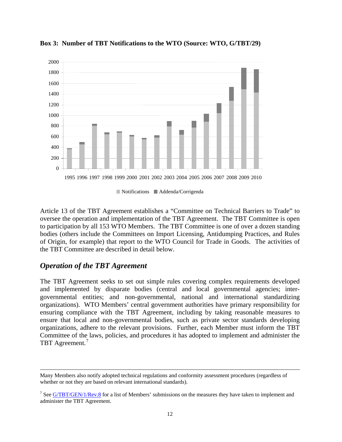

**Box 3: Number of TBT Notifications to the WTO (Source: WTO, G/TBT/29)**

Notifications Addenda/Corrigenda

Article 13 of the TBT Agreement establishes a "Committee on Technical Barriers to Trade" to oversee the operation and implementation of the TBT Agreement. The TBT Committee is open to participation by all 153 WTO Members. The TBT Committee is one of over a dozen standing bodies (others include the Committees on Import Licensing, Antidumping Practices, and Rules of Origin, for example) that report to the WTO Council for Trade in Goods. The activities of the TBT Committee are described in detail below.

## <span id="page-19-0"></span>*Operation of the TBT Agreement*

-

The TBT Agreement seeks to set out simple rules covering complex requirements developed and implemented by disparate bodies (central and local governmental agencies; intergovernmental entities; and non-governmental, national and international standardizing organizations). WTO Members' central government authorities have primary responsibility for ensuring compliance with the TBT Agreement, including by taking reasonable measures to ensure that local and non-governmental bodies, such as private sector standards developing organizations, adhere to the relevant provisions. Further, each Member must inform the TBT Committee of the laws, policies, and procedures it has adopted to implement and administer the TBT Agreement.<sup>[7](#page-19-1)</sup>

Many Members also notify adopted technical regulations and conformity assessment procedures (regardless of whether or not they are based on relevant international standards).

<span id="page-19-1"></span><sup>&</sup>lt;sup>7</sup> See [G/TBT/GEN/1/Rev.8](http://docsonline.wto.org/gen_search.asp?searchmode=simple) for a list of Members' submissions on the measures they have taken to implement and administer the TBT Agreement.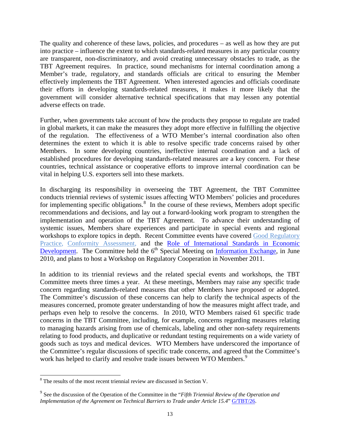The quality and coherence of these laws, policies, and procedures – as well as how they are put into practice – influence the extent to which standards-related measures in any particular country are transparent, non-discriminatory, and avoid creating unnecessary obstacles to trade, as the TBT Agreement requires. In practice, sound mechanisms for internal coordination among a Member's trade, regulatory, and standards officials are critical to ensuring the Member effectively implements the TBT Agreement. When interested agencies and officials coordinate their efforts in developing standards-related measures, it makes it more likely that the government will consider alternative technical specifications that may lessen any potential adverse effects on trade.

Further, when governments take account of how the products they propose to regulate are traded in global markets, it can make the measures they adopt more effective in fulfilling the objective of the regulation. The effectiveness of a WTO Member's internal coordination also often determines the extent to which it is able to resolve specific trade concerns raised by other Members. In some developing countries, ineffective internal coordination and a lack of established procedures for developing standards-related measures are a key concern. For these countries, technical assistance or cooperative efforts to improve internal coordination can be vital in helping U.S. exporters sell into these markets.

In discharging its responsibility in overseeing the TBT Agreement, the TBT Committee conducts triennial reviews of systemic issues affecting WTO Members' policies and procedures for implementing specific obligations.<sup>[8](#page-20-0)</sup> In the course of these reviews, Members adopt specific recommendations and decisions, and lay out a forward-looking work program to strengthen the implementation and operation of the TBT Agreement. To advance their understanding of systemic issues, Members share experiences and participate in special events and regional workshops to explore topics in depth. Recent Committee events have covered [Good Regulatory](http://www.wto.org/english/tratop_e/tbt_e/wkshop_march08_e/wkshop_march08_e.htm)  [Practice,](http://www.wto.org/english/tratop_e/tbt_e/wkshop_march08_e/wkshop_march08_e.htm) [Conformity Assessment,](http://www.wto.org/english/tratop_e/tbt_e/tbt_supplier_prog_21mar05_e.htm) and the Role [of International Standards in Economic](http://www.wto.org/english/news_e/news09_e/tbt_16mar09_e.htm)  [Development.](http://www.wto.org/english/news_e/news09_e/tbt_16mar09_e.htm) The Committee held the  $6<sup>th</sup>$  Special Meeting on [Information Exchange,](http://www.wto.org/english/tratop_e/tbt_e/gen_100_e.pdf) in June 2010, and plans to host a Workshop on Regulatory Cooperation in November 2011.

In addition to its triennial reviews and the related special events and workshops, the TBT Committee meets three times a year. At these meetings, Members may raise any specific trade concern regarding standards-related measures that other Members have proposed or adopted. The Committee's discussion of these concerns can help to clarify the technical aspects of the measures concerned, promote greater understanding of how the measures might affect trade, and perhaps even help to resolve the concerns. In 2010, WTO Members raised 61 specific trade concerns in the TBT Committee, including, for example, concerns regarding measures relating to managing hazards arising from use of chemicals, labeling and other non-safety requirements relating to food products, and duplicative or redundant testing requirements on a wide variety of goods such as toys and medical devices. WTO Members have underscored the importance of the Committee's regular discussions of specific trade concerns, and agreed that the Committee's work has helped to clarify and resolve trade issues between WTO Members.<sup>[9](#page-20-1)</sup>

<span id="page-20-0"></span> <sup>8</sup> The results of the most recent triennial review are discussed in Section V.

<span id="page-20-1"></span><sup>9</sup> See the discussion of the Operation of the Committee in the "*Fifth Triennial Review of the Operation and Implementation of the Agreement on Technical Barriers to Trade under Article 15.4*" [G/TBT/26.](http://www.wto.org/english/tratop_e/tbt_e/tbt_work_docs_e.htm)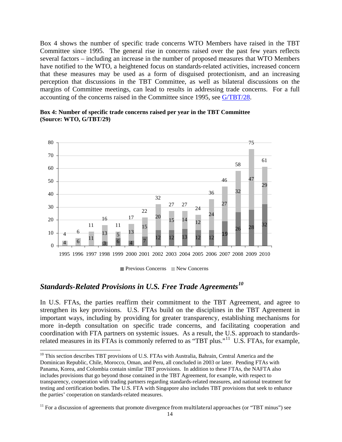Box 4 shows the number of specific trade concerns WTO Members have raised in the TBT Committee since 1995. The general rise in concerns raised over the past few years reflects several factors – including an increase in the number of proposed measures that WTO Members have notified to the WTO, a heightened focus on standards-related activities, increased concern that these measures may be used as a form of disguised protectionism, and an increasing perception that discussions in the TBT Committee, as well as bilateral discussions on the margins of Committee meetings, can lead to results in addressing trade concerns. For a full accounting of the concerns raised in the Committee since 1995, see [G/TBT/28.](http://www.wto.org/english/tratop_e/tbt_e/tbt_work_docs_e.htm)



**Box 4: Number of specific trade concerns raised per year in the TBT Committee (Source: WTO, G/TBT/29)**

 $\blacksquare$  Previous Concerns  $\blacksquare$  New Concerns

# <span id="page-21-0"></span>*Standards-Related Provisions in U.S. Free Trade Agreements[10](#page-21-1)*

In U.S. FTAs, the parties reaffirm their commitment to the TBT Agreement, and agree to strengthen its key provisions. U.S. FTAs build on the disciplines in the TBT Agreement in important ways, including by providing for greater transparency, establishing mechanisms for more in-depth consultation on specific trade concerns, and facilitating cooperation and coordination with FTA partners on systemic issues. As a result, the U.S. approach to standards-related measures in its FTAs is commonly referred to as "TBT plus."<sup>[11](#page-21-2)</sup> U.S. FTAs, for example,

<span id="page-21-1"></span><sup>&</sup>lt;sup>10</sup> This section describes TBT provisions of U.S. FTAs with Australia, Bahrain, Central America and the Dominican Republic, Chile, Morocco, Oman, and Peru, all concluded in 2003 or later. Pending FTAs with Panama, Korea, and Colombia contain similar TBT provisions. In addition to these FTAs, the NAFTA also includes provisions that go beyond those contained in the TBT Agreement, for example, with respect to transparency, cooperation with trading partners regarding standards-related measures, and national treatment for testing and certification bodies. The U.S. FTA with Singapore also includes TBT provisions that seek to enhance the parties' cooperation on standards-related measures.

<span id="page-21-2"></span>For a discussion of agreements that promote divergence from multilateral approaches (or "TBT minus") see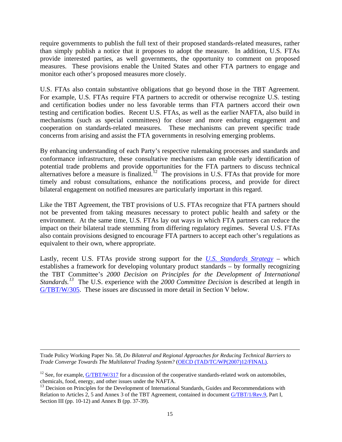require governments to publish the full text of their proposed standards-related measures, rather than simply publish a notice that it proposes to adopt the measure. In addition, U.S. FTAs provide interested parties, as well governments, the opportunity to comment on proposed measures. These provisions enable the United States and other FTA partners to engage and monitor each other's proposed measures more closely.

U.S. FTAs also contain substantive obligations that go beyond those in the TBT Agreement. For example, U.S. FTAs require FTA partners to accredit or otherwise recognize U.S. testing and certification bodies under no less favorable terms than FTA partners accord their own testing and certification bodies. Recent U.S. FTAs, as well as the earlier NAFTA, also build in mechanisms (such as special committees) for closer and more enduring engagement and cooperation on standards-related measures. These mechanisms can prevent specific trade concerns from arising and assist the FTA governments in resolving emerging problems.

By enhancing understanding of each Party's respective rulemaking processes and standards and conformance infrastructure, these consultative mechanisms can enable early identification of potential trade problems and provide opportunities for the FTA partners to discuss technical alternatives before a measure is finalized.<sup>12</sup> The provisions in U.S. FTAs that provide for more timely and robust consultations, enhance the notifications process, and provide for direct bilateral engagement on notified measures are particularly important in this regard.

Like the TBT Agreement, the TBT provisions of U.S. FTAs recognize that FTA partners should not be prevented from taking measures necessary to protect public health and safety or the environment. At the same time, U.S. FTAs lay out ways in which FTA partners can reduce the impact on their bilateral trade stemming from differing regulatory regimes. Several U.S. FTAs also contain provisions designed to encourage FTA partners to accept each other's regulations as equivalent to their own, where appropriate.

Lastly, recent U.S. FTAs provide strong support for the *[U.S. Standards Strategy](http://www.ansi.org/standards_activities/nss/usss.aspx)* – which establishes a framework for developing voluntary product standards – by formally recognizing the TBT Committee's *2000 Decision on Principles for the Development of International Standards. [13](#page-22-1)* The U.S. experience with the *2000 Committee Decision* is described at length in [G/TBT/W/305.](http://docsonline.wto.org/gen_search.asp?searchmode=simple) These issues are discussed in more detail in Section V below.

-

Trade Policy Working Paper No. 58, *Do Bilateral and Regional Approaches for Reducing Technical Barriers to Trade Converge Towards The Multilateral Trading System?* [\(OECD \(TAD/TC/WP\(2007\)12/FINAL\).](http://www.olis.oecd.org/olis/2007doc.nsf/linkto/tad-tc-wp(2007)12-final)

<span id="page-22-0"></span><sup>&</sup>lt;sup>12</sup> See, for example,  $G/TBT/W/317$  for a discussion of the cooperative standards-related work on automobiles, chemicals, food, energy, and other issues under the NAFTA.

<span id="page-22-1"></span><sup>&</sup>lt;sup>13</sup> Decision on Principles for the Development of International Standards, Guides and Recommendations with Relation to Articles 2, 5 and Annex 3 of the TBT Agreement, contained in document [G/TBT/1/Rev.9,](http://docsonline.wto.org/gen_search.asp?searchmode=simple) Part I, Section III (pp. 10-12) and Annex B (pp. 37-39).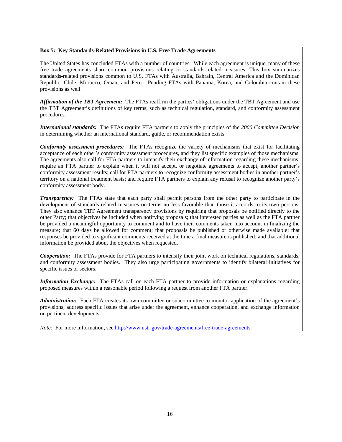#### **Box 5: Key Standards-Related Provisions in U.S. Free Trade Agreements**

The United States has concluded FTAs with a number of countries. While each agreement is unique, many of these free trade agreements share common provisions relating to standards-related measures. This box summarizes standards-related provisions common to U.S. FTAs with Australia, Bahrain, Central America and the Dominican Republic, Chile, Morocco, Oman, and Peru. Pending FTAs with Panama, Korea, and Colombia contain these provisions as well.

*Affirmation of the TBT Agreement:* The FTAs reaffirm the parties' obligations under the TBT Agreement and use the TBT Agreement's definitions of key terms, such as technical regulation, standard, and conformity assessment procedures.

*International standards:* The FTAs require FTA partners to apply the principles of the *2000 Committee Decision* in determining whether an international standard, guide, or recommendation exists.

*Conformity assessment procedures:* The FTAs recognize the variety of mechanisms that exist for facilitating acceptance of each other's conformity assessment procedures, and they list specific examples of those mechanisms. The agreements also call for FTA partners to intensify their exchange of information regarding these mechanisms; require an FTA partner to explain when it will not accept, or negotiate agreements to accept, another partner's conformity assessment results; call for FTA partners to recognize conformity assessment bodies in another partner's territory on a national treatment basis; and require FTA partners to explain any refusal to recognize another party's conformity assessment body.

*Transparency:* The FTAs state that each party shall permit persons from the other party to participate in the development of standards-related measures on terms no less favorable than those it accords to its own persons. They also enhance TBT Agreement transparency provisions by requiring that proposals be notified directly to the other Party; that objectives be included when notifying proposals; that interested parties as well as the FTA partner be provided a meaningful opportunity to comment and to have their comments taken into account in finalizing the measure; that 60 days be allowed for comment; that proposals be published or otherwise made available; that responses be provided to significant comments received at the time a final measure is published; and that additional information be provided about the objectives when requested.

*Cooperation:* The FTAs provide for FTA partners to intensify their joint work on technical regulations, standards, and conformity assessment bodies. They also urge participating governments to identify bilateral initiatives for specific issues or sectors.

*Information Exchange:* The FTAs call on each FTA partner to provide information or explanations regarding proposed measures within a reasonable period following a request from another FTA partner.

Administration: Each FTA creates its own committee or subcommittee to monitor application of the agreement's provisions, address specific issues that arise under the agreement, enhance cooperation, and exchange information on pertinent developments.

*Note:* For more information, see [http://www.ustr.gov/trade-agreements/free-trade-agreements.](http://www.ustr.gov/trade-agreements/free-trade-agreements)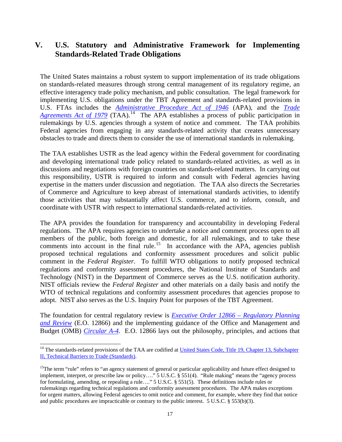# <span id="page-24-0"></span>**V. U.S. Statutory and Administrative Framework for Implementing Standards-Related Trade Obligations**

The United States maintains a robust system to support implementation of its trade obligations on standards-related measures through strong central management of its regulatory regime, an effective interagency trade policy mechanism, and public consultation. The legal framework for implementing U.S. obligations under the TBT Agreement and standards-related provisions in U.S. FTAs includes the *[Administrative Procedure Act of 1946](http://biotech.law.lsu.edu/Courses/study_aids/adlaw/)* (APA), and the *[Trade](http://www.law.cornell.edu/uscode/uscode19/usc_sup_01_19_10_13_20_II.html)  [Agreements Act of 1979](http://www.law.cornell.edu/uscode/uscode19/usc_sup_01_19_10_13_20_II.html)* (TAA).<sup>[14](#page-24-1)</sup> The APA establishes a process of public participation in rulemakings by U.S. agencies through a system of notice and comment. The TAA prohibits Federal agencies from engaging in any standards-related activity that creates unnecessary obstacles to trade and directs them to consider the use of international standards in rulemaking.

The TAA establishes USTR as the lead agency within the Federal government for coordinating and developing international trade policy related to standards-related activities, as well as in discussions and negotiations with foreign countries on standards-related matters. In carrying out this responsibility, USTR is required to inform and consult with Federal agencies having expertise in the matters under discussion and negotiation. The TAA also directs the Secretaries of Commerce and Agriculture to keep abreast of international standards activities, to identify those activities that may substantially affect U.S. commerce, and to inform, consult, and coordinate with USTR with respect to international standards-related activities.

The APA provides the foundation for transparency and accountability in developing Federal regulations. The APA requires agencies to undertake a notice and comment process open to all members of the public, both foreign and domestic, for all rulemakings, and to take these comments into account in the final rule.<sup>15</sup> In accordance with the APA, agencies publish proposed technical regulations and conformity assessment procedures and solicit public comment in the *Federal Register*. To fulfill WTO obligations to notify proposed technical regulations and conformity assessment procedures, the National Institute of Standards and Technology (NIST) in the Department of Commerce serves as the U.S. notification authority. NIST officials review the *Federal Register* and other materials on a daily basis and notify the WTO of technical regulations and conformity assessment procedures that agencies propose to adopt. NIST also serves as the U.S. Inquiry Point for purposes of the TBT Agreement.

The foundation for central regulatory review is *[Executive Order 12866 –](http://www.whitehouse.gov/OMB/inforeg/eo12866.pdf) Regulatory Planning [and Review](http://www.whitehouse.gov/OMB/inforeg/eo12866.pdf)* (E.O. 12866) and the implementing guidance of the Office and Management and Budget (OMB) *[Circular A-4.](http://www.whitehouse.gov/OMB/Circulars/a004/a-4.pdf)* E.O. 12866 lays out the philosophy, principles, and actions that

<span id="page-24-1"></span><sup>&</sup>lt;sup>14</sup> The standards-related provisions of the TAA are codified at United States Code, Title 19, Chapter 13, Subchapter [II, Technical Barriers to Trade \(Standards\).](http://www.law.cornell.edu/uscode/uscode19/usc_sup_01_19_10_13_20_II.html)

<span id="page-24-2"></span><sup>&</sup>lt;sup>15</sup>The term "rule" refers to "an agency statement of general or particular applicability and future effect designed to implement, interpret, or prescribe law or policy…." 5 U.S.C. § 551(4). "Rule making" means the "agency process for formulating, amending, or repealing a rule…." 5 U.S.C. § 551(5). These definitions include rules or rulemakings regarding technical regulations and conformity assessment procedures. The APA makes exceptions for urgent matters, allowing Federal agencies to omit notice and comment, for example, where they find that notice and public procedures are impracticable or contrary to the public interest. 5 U.S.C. § 553(b)(3).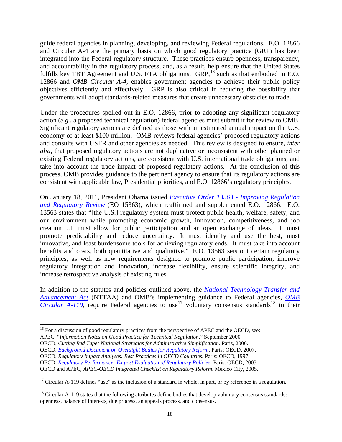guide federal agencies in planning, developing, and reviewing Federal regulations. E.O. 12866 and Circular A-4 are the primary basis on which good regulatory practice (GRP) has been integrated into the Federal regulatory structure. These practices ensure openness, transparency, and accountability in the regulatory process, and, as a result, help ensure that the United States fulfills key TBT Agreement and U.S. FTA obligations. GRP,  $^{16}$  $^{16}$  $^{16}$  such as that embodied in E.O. 12866 and *OMB Circular A-4,* enables government agencies to achieve their public policy objectives efficiently and effectively. GRP is also critical in reducing the possibility that governments will adopt standards-related measures that create unnecessary obstacles to trade.

Under the procedures spelled out in E.O. 12866, prior to adopting any significant regulatory action (*e.g.*, a proposed technical regulation) federal agencies must submit it for review to OMB. Significant regulatory actions are defined as those with an estimated annual impact on the U.S. economy of at least \$100 million. OMB reviews federal agencies' proposed regulatory actions and consults with USTR and other agencies as needed. This review is designed to ensure, *inter alia,* that proposed regulatory actions are not duplicative or inconsistent with other planned or existing Federal regulatory actions, are consistent with U.S. international trade obligations, and take into account the trade impact of proposed regulatory actions. At the conclusion of this process, OMB provides guidance to the pertinent agency to ensure that its regulatory actions are consistent with applicable law, Presidential priorities, and E.O. 12866's regulatory principles.

On January 18, 2011, President Obama issued *[Executive Order 13563 -](http://www.whitehouse.gov/sites/default/files/omb/inforeg/eo12866/eo13563_01182011.pdf) Improving Regulation [and Regulatory Review](http://www.whitehouse.gov/sites/default/files/omb/inforeg/eo12866/eo13563_01182011.pdf)* (EO 15363), which reaffirmed and supplemented E.O. 12866. E.O. 13563 states that "[the U.S.] regulatory system must protect public health, welfare, safety, and our environment while promoting economic growth, innovation, competitiveness, and job creation….It must allow for public participation and an open exchange of ideas. It must promote predictability and reduce uncertainty. It must identify and use the best, most innovative, and least burdensome tools for achieving regulatory ends. It must take into account benefits and costs, both quantitative and qualitative." E.O. 13563 sets out certain regulatory principles, as well as new requirements designed to promote public participation, improve regulatory integration and innovation, increase flexibility, ensure scientific integrity, and increase retrospective analysis of existing rules.

In addition to the statutes and policies outlined above, the *[National Technology Transfer and](http://standards.gov/standards_gov/index.cfm)  [Advancement Act](http://standards.gov/standards_gov/index.cfm)* (NTTAA) and OMB's implementing guidance to Federal agencies, *[OMB](http://www.whitehouse.gov/omb/circulars_a119/)  [Circular A-119](http://www.whitehouse.gov/omb/circulars_a119/)*, require Federal agencies to use<sup>[17](#page-25-1)</sup> voluntary consensus standards<sup>[18](#page-25-2)</sup> in their

OECD, *Regulatory Impact Analyses: Best Practices in OECD Countries.* Paris: OECD, 1997.

<span id="page-25-0"></span> $16$  For a discussion of good regulatory practices from the perspective of APEC and the OECD, see:

APEC, "*Information Notes on Good Practice for Technical Regulation*," September 2000.

OECD*, Cutting Red Tape: National Strategies for Administrative Simplification.* Paris, 2006.

OECD, *[Background Document on Oversight Bodies for Regulatory Reform](http://www.oecd.org/dataoecd/4/41/36785272.pdf)*. Paris: OECD, 2007.

OECD, *[Regulatory Performance: Ex post Evaluation of Regulatory Policies](http://www.oecd.org/dataoecd/34/30/30401951.pdf)*. Paris: OECD, 2003.

OECD and APEC, *APEC-OECD Integrated Checklist on Regulatory Reform*. Mexico City, 2005.

<span id="page-25-1"></span><sup>&</sup>lt;sup>17</sup> Circular A-119 defines "use" as the inclusion of a standard in whole, in part, or by reference in a regulation.

<span id="page-25-2"></span> $18$  Circular A-119 states that the following attributes define bodies that develop voluntary consensus standards: openness, balance of interests, due process, an appeals process, and consensus.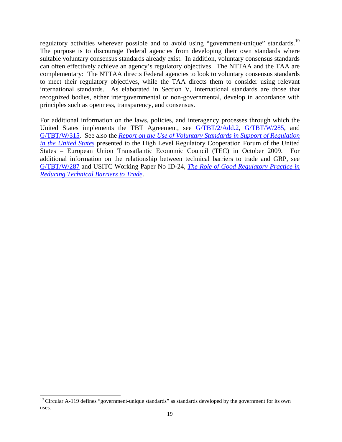regulatory activities wherever possible and to avoid using "government-unique" standards.<sup>19</sup> The purpose is to discourage Federal agencies from developing their own standards where suitable voluntary consensus standards already exist. In addition, voluntary consensus standards can often effectively achieve an agency's regulatory objectives. The NTTAA and the TAA are complementary: The NTTAA directs Federal agencies to look to voluntary consensus standards to meet their regulatory objectives, while the TAA directs them to consider using relevant international standards.As elaborated in Section V, international standards are those that recognized bodies, either intergovernmental or non-governmental, develop in accordance with principles such as openness, transparency, and consensus.

For additional information on the laws, policies, and interagency processes through which the United States implements the TBT Agreement, see [G/TBT/2/Add.2,](http://docsonline.wto.org/gen_search.asp?searchmode=simple) [G/TBT/W/285,](http://docsonline.wto.org/gen_search.asp?searchmode=simple) and [G/TBT/W/315.](http://docsonline.wto.org/gen_search.asp?searchmode=simple) See also the *[Report on the Use of Voluntary Standards in Support of Regulation](http://ts.nist.gov/Standards/upload/Use-of-Voluntary-Standards-in-Support-of-US-Regulation.pdf)  [in the United States](http://ts.nist.gov/Standards/upload/Use-of-Voluntary-Standards-in-Support-of-US-Regulation.pdf)* presented to the High Level Regulatory Cooperation Forum of the United States – European Union Transatlantic Economic Council (TEC) in October 2009. For additional information on the relationship between technical barriers to trade and GRP, see [G/TBT/W/287](http://docsonline.wto.org/gen_search.asp?searchmode=simple) and USITC Working Paper No ID-24, *[The Role of Good Regulatory Practice in](http://www.usitc.gov/publications/332/working_papers/ID_24.pdf)  [Reducing Technical Barriers to Trade](http://www.usitc.gov/publications/332/working_papers/ID_24.pdf)*.

<span id="page-26-0"></span><sup>&</sup>lt;sup>19</sup> Circular A-119 defines "government-unique standards" as standards developed by the government for its own uses.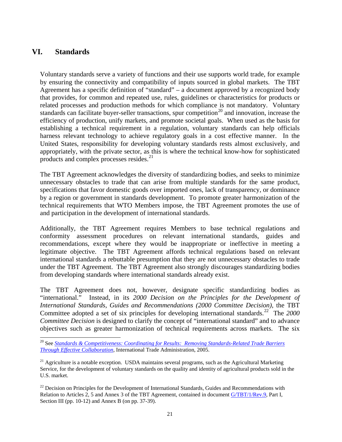## <span id="page-28-0"></span>**VI. Standards**

Voluntary standards serve a variety of functions and their use supports world trade, for example by ensuring the connectivity and compatibility of inputs sourced in global markets. The TBT Agreement has a specific definition of "standard" – a document approved by a recognized body that provides, for common and repeated use, rules, guidelines or characteristics for products or related processes and production methods for which compliance is not mandatory. Voluntary standards can facilitate buyer-seller transactions, spur competition<sup>[20](#page-28-1)</sup> and innovation, increase the efficiency of production, unify markets, and promote societal goals. When used as the basis for establishing a technical requirement in a regulation, voluntary standards can help officials harness relevant technology to achieve regulatory goals in a cost effective manner. In the United States, responsibility for developing voluntary standards rests almost exclusively, and appropriately, with the private sector, as this is where the technical know-how for sophisticated products and complex processes resides.<sup>[21](#page-28-2)</sup>

The TBT Agreement acknowledges the diversity of standardizing bodies, and seeks to minimize unnecessary obstacles to trade that can arise from multiple standards for the same product, specifications that favor domestic goods over imported ones, lack of transparency, or dominance by a region or government in standards development. To promote greater harmonization of the technical requirements that WTO Members impose, the TBT Agreement promotes the use of and participation in the development of international standards.

Additionally, the TBT Agreement requires Members to base technical regulations and conformity assessment procedures on relevant international standards, guides and recommendations, except where they would be inappropriate or ineffective in meeting a legitimate objective. The TBT Agreement affords technical regulations based on relevant international standards a rebuttable presumption that they are not unnecessary obstacles to trade under the TBT Agreement. The TBT Agreement also strongly discourages standardizing bodies from developing standards where international standards already exist.

The TBT Agreement does not, however, designate specific standardizing bodies as "international." Instead, in its *2000 Decision on the Principles for the Development of International Standards, Guides and Recommendations (2000 Committee Decision)*, the TBT Committee adopted a set of six principles for developing international standards.<sup>[22](#page-28-3)</sup> The 2000 *Committee Decision* is designed to clarify the concept of "international standard" and to advance objectives such as greater harmonization of technical requirements across markets. The six

<span id="page-28-1"></span> <sup>20</sup> See *[Standards & Competitiveness: Coordinating for Results: Removing Standards-Related Trade Barriers](http://www.trade.gov/td/standards/pdf%20files/Standards%20and%20Competitiveness.pdf)  Through [Effective Collaboration](http://www.trade.gov/td/standards/pdf%20files/Standards%20and%20Competitiveness.pdf)*, International Trade Administration, 2005.

<span id="page-28-2"></span> $21$  Agriculture is a notable exception. USDA maintains several programs, such as the Agricultural Marketing Service, for the development of voluntary standards on the quality and identity of agricultural products sold in the U.S. market.

<span id="page-28-3"></span> $22$  Decision on Principles for the Development of International Standards, Guides and Recommendations with Relation to Articles 2, 5 and Annex 3 of the TBT Agreement, contained in document [G/TBT/1/Rev.9,](http://docsonline.wto.org/gen_search.asp?searchmode=simple) Part I, Section III (pp. 10-12) and Annex B (on pp. 37-39).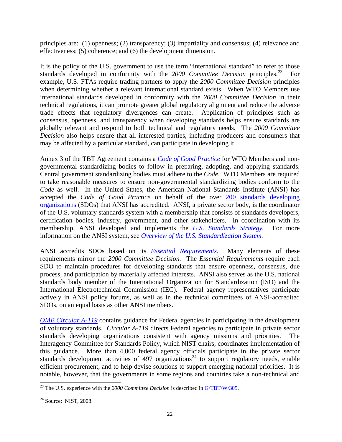principles are: (1) openness; (2) transparency; (3) impartiality and consensus; (4) relevance and effectiveness; (5) coherence; and (6) the development dimension.

It is the policy of the U.S. government to use the term "international standard" to refer to those standards developed in conformity with the 2000 Committee Decision principles.<sup>23</sup> For example, U.S. FTAs require trading partners to apply the *2000 Committee Decision* principles when determining whether a relevant international standard exists. When WTO Members use international standards developed in conformity with the *2000 Committee Decision* in their technical regulations, it can promote greater global regulatory alignment and reduce the adverse trade effects that regulatory divergences can create. Application of principles such as consensus, openness, and transparency when developing standards helps ensure standards are globally relevant and respond to both technical and regulatory needs. The *2000 Committee Decision* also helps ensure that all interested parties, including producers and consumers that may be affected by a particular standard, can participate in developing it.

Annex 3 of the TBT Agreement contains a *[Code of Good Practice](http://www.wto.org/english/docs_e/legal_e/17-tbt_e.htm)* for WTO Members and nongovernmental standardizing bodies to follow in preparing, adopting, and applying standards. Central government standardizing bodies must adhere to the *Code*. WTO Members are required to take reasonable measures to ensure non-governmental standardizing bodies conform to the *Code* as well. In the United States, the American National Standards Institute (ANSI) has accepted the *Code of Good Practice* on behalf of the over 200 [standards developing](http://publicaa.ansi.org/sites/apdl/Documents/Forms/AllItems.aspx?RootFolder=http%3a%2f%2fpublicaa%2eansi%2eorg%2fsites%2fapdl%2fDocuments%2fStandards%20Activities%2fAmerican%20National%20Standards%2fANSI%20Accredited%20Standards%20Developers)  [organizations](http://publicaa.ansi.org/sites/apdl/Documents/Forms/AllItems.aspx?RootFolder=http%3a%2f%2fpublicaa%2eansi%2eorg%2fsites%2fapdl%2fDocuments%2fStandards%20Activities%2fAmerican%20National%20Standards%2fANSI%20Accredited%20Standards%20Developers) (SDOs) that ANSI has accredited. ANSI, a private sector body, is the coordinator of the U.S. voluntary standards system with a membership that consists of standards developers, certification bodies, industry, government, and other stakeholders. In coordination with its membership, ANSI developed and implements the *U.S. Standards Strategy*. For more information on the ANSI system, see *[Overview of the U.S. Standardization](http://publicaa.ansi.org/sites/apdl/Documents/News%20and%20Publications/Brochures/U.S.%20Standardization%20System-07.pdf) System.*

ANSI accredits SDOs based on its *[Essential Requirements](http://publicaa.ansi.org/sites/apdl/Documents/Standards%20Activities/American%20National%20Standards/Procedures,%20Guides,%20and%20Forms/2010%20ANSI%20Essential%20Requirements%20and%20Related/2010%20ANSI%20Essential%20Requirements.pdf)*. Many elements of these requirements mirror the *2000 Committee Decision.* The *Essential Requirements* require each SDO to maintain procedures for developing standards that ensure openness, consensus, due process, and participation by materially affected interests. ANSI also serves as the U.S. national standards body member of the International Organization for Standardization (ISO) and the International Electrotechnical Commission (IEC). Federal agency representatives participate actively in ANSI policy forums, as well as in the technical committees of ANSI-accredited SDOs, on an equal basis as other ANSI members.

*[OMB Circular A-119](http://www.whitehouse.gov/omb/circulars_a119/)* contains guidance for Federal agencies in participating in the development of voluntary standards. *Circular A-119* directs Federal agencies to participate in private sector standards developing organizations consistent with agency missions and priorities. The Interagency Committee for Standards Policy, which NIST chairs, coordinates implementation of this guidance. More than 4,000 federal agency officials participate in the private sector standards development activities of 497 organizations<sup>[24](#page-29-1)</sup> to support regulatory needs, enable efficient procurement, and to help devise solutions to support emerging national priorities. It is notable, however, that the governments in some regions and countries take a non-technical and

<span id="page-29-0"></span><sup>&</sup>lt;sup>23</sup> The U.S. experience with the 2000 Committee Decision is described in <u>G/TBT/W/305</u>.

<span id="page-29-1"></span><sup>&</sup>lt;sup>24</sup> Source: NIST, 2008.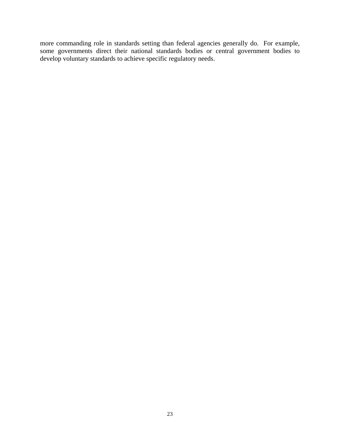more commanding role in standards setting than federal agencies generally do. For example, some governments direct their national standards bodies or central government bodies to develop voluntary standards to achieve specific regulatory needs.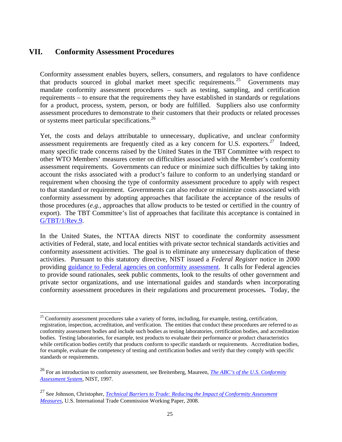## <span id="page-32-0"></span>**VII. Conformity Assessment Procedures**

Conformity assessment enables buyers, sellers, consumers, and regulators to have confidence that products sourced in global market meet specific requirements.<sup>25</sup> Governments may mandate conformity assessment procedures – such as testing, sampling, and certification requirements – to ensure that the requirements they have established in standards or regulations for a product, process, system, person, or body are fulfilled. Suppliers also use conformity assessment procedures to demonstrate to their customers that their products or related processes or systems meet particular specifications. [26](#page-32-2) 

Yet, the costs and delays attributable to unnecessary, duplicative, and unclear conformity assessment requirements are frequently cited as a key concern for U.S. exporters.<sup>[27](#page-32-3)</sup> Indeed, many specific trade concerns raised by the United States in the TBT Committee with respect to other WTO Members' measures center on difficulties associated with the Member's conformity assessment requirements. Governments can reduce or minimize such difficulties by taking into account the risks associated with a product's failure to conform to an underlying standard or requirement when choosing the type of conformity assessment procedure to apply with respect to that standard or requirement. Governments can also reduce or minimize costs associated with conformity assessment by adopting approaches that facilitate the acceptance of the results of those procedures (*e.g.*, approaches that allow products to be tested or certified in the country of export). The TBT Committee's list of approaches that facilitate this acceptance is contained in [G/TBT/1/Rev.9.](http://docsonline.wto.org/gen_search.asp?searchmode=simple)

In the United States, the NTTAA directs NIST to coordinate the conformity assessment activities of Federal, state, and local entities with private sector technical standards activities and conformity assessment activities. The goal is to eliminate any unnecessary duplication of these activities. Pursuant to this statutory directive, NIST issued a *Federal Register* notice in 2000 providing [guidance to Federal agencies on conformity assessment.](http://ts.nist.gov/Standards/Global/caguidance.cfm) It calls for Federal agencies to provide sound rationales, seek public comments, look to the results of other government and private sector organizations, and use international guides and standards when incorporating conformity assessment procedures in their regulations and procurement processes**.** Today, the

<span id="page-32-1"></span><sup>&</sup>lt;sup>25</sup> Conformity assessment procedures take a variety of forms, including, for example, testing, certification, registration, inspection, accreditation, and verification. The entities that conduct these procedures are referred to as conformity assessment bodies and include such bodies as testing laboratories, certification bodies, and accreditation bodies. Testing laboratories, for example, test products to evaluate their performance or product characteristics while certification bodies certify that products conform to specific standards or requirements. Accreditation bodies, for example, evaluate the competency of testing and certification bodies and verify that they comply with specific standards or requirements.

<span id="page-32-2"></span><sup>26</sup> For an introduction to conformity assessment, see Breitenberg, Maureen, *[The ABC's of the U.S. Conformity](http://gsi.nist.gov/global/docs/pubs/NISTIR_6014.pdf)  [Assessment System,](http://gsi.nist.gov/global/docs/pubs/NISTIR_6014.pdf)* NIST, 1997.

<span id="page-32-3"></span><sup>&</sup>lt;sup>27</sup> See Johnson, Christopher, *Technical Barriers to Trade: Reducing the Impact of Conformity Assessment [Measures](http://www.usitc.gov/publications/332/working_papers/ca-dft-rev-final082008.pdf)*, U.S. International Trade Commission Working Paper, 2008.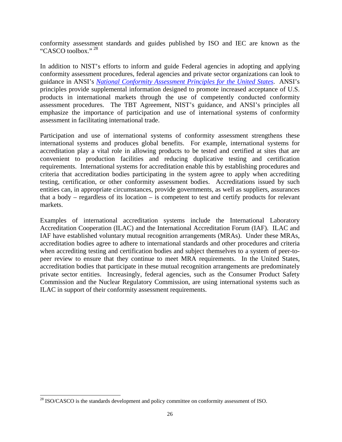conformity assessment standards and guides published by ISO and IEC are known as the "CASCO toolbox." [28](#page-33-0)

In addition to NIST's efforts to inform and guide Federal agencies in adopting and applying conformity assessment procedures, federal agencies and private sector organizations can look to guidance in ANSI's *[National Conformity Assessment Principles for the United States](http://publicaa.ansi.org/sites/apdl/Documents/News%20and%20Publications/Brochures/NCAP%20second%20edition.pdf)*. ANSI's principles provide supplemental information designed to promote increased acceptance of U.S. products in international markets through the use of competently conducted conformity assessment procedures. The TBT Agreement, NIST's guidance, and ANSI's principles all emphasize the importance of participation and use of international systems of conformity assessment in facilitating international trade.

Participation and use of international systems of conformity assessment strengthens these international systems and produces global benefits. For example, international systems for accreditation play a vital role in allowing products to be tested and certified at sites that are convenient to production facilities and reducing duplicative testing and certification requirements. International systems for accreditation enable this by establishing procedures and criteria that accreditation bodies participating in the system agree to apply when accrediting testing, certification, or other conformity assessment bodies. Accreditations issued by such entities can, in appropriate circumstances, provide governments, as well as suppliers, assurances that a body – regardless of its location – is competent to test and certify products for relevant markets.

Examples of international accreditation systems include the International Laboratory Accreditation Cooperation (ILAC) and the International Accreditation Forum (IAF). ILAC and IAF have established voluntary mutual recognition arrangements (MRAs). Under these MRAs, accreditation bodies agree to adhere to international standards and other procedures and criteria when accrediting testing and certification bodies and subject themselves to a system of peer-topeer review to ensure that they continue to meet MRA requirements. In the United States, accreditation bodies that participate in these mutual recognition arrangements are predominately private sector entities. Increasingly, federal agencies, such as the Consumer Product Safety Commission and the Nuclear Regulatory Commission, are using international systems such as ILAC in support of their conformity assessment requirements.

<span id="page-33-0"></span><sup>&</sup>lt;sup>28</sup> ISO/CASCO is the standards development and policy committee on conformity assessment of ISO.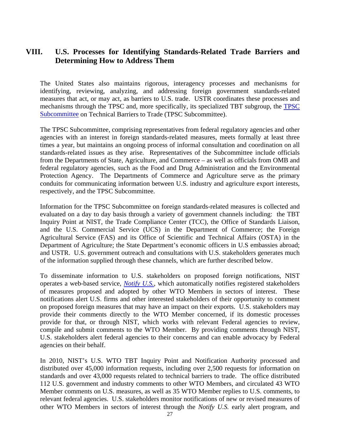## <span id="page-34-0"></span>**VIII. U.S. Processes for Identifying Standards-Related Trade Barriers and Determining How to Address Them**

The United States also maintains rigorous, interagency processes and mechanisms for identifying, reviewing, analyzing, and addressing foreign government standards-related measures that act, or may act, as barriers to U.S. trade. USTR coordinates these processes and mechanisms through the TPSC and, more specifically, its specialized TBT subgroup, the [TPSC](http://www.ustr.gov/about-us/executive-branch-agencies-trade-policy-staff-committee-and-trade-policy-review-group) [Subcommittee](http://www.ustr.gov/about-us/executive-branch-agencies-trade-policy-staff-committee-and-trade-policy-review-group) on Technical Barriers to Trade (TPSC Subcommittee).

The TPSC Subcommittee, comprising representatives from federal regulatory agencies and other agencies with an interest in foreign standards-related measures, meets formally at least three times a year, but maintains an ongoing process of informal consultation and coordination on all standards-related issues as they arise. Representatives of the Subcommittee include officials from the Departments of State, Agriculture, and Commerce – as well as officials from OMB and federal regulatory agencies, such as the Food and Drug Administration and the Environmental Protection Agency. The Departments of Commerce and Agriculture serve as the primary conduits for communicating information between U.S. industry and agriculture export interests, respectively, and the TPSC Subcommittee.

Information for the TPSC Subcommittee on foreign standards-related measures is collected and evaluated on a day to day basis through a variety of government channels including: the TBT Inquiry Point at NIST, the Trade Compliance Center (TCC), the Office of Standards Liaison, and the U.S. Commercial Service (UCS) in the Department of Commerce; the Foreign Agricultural Service (FAS) and its Office of Scientific and Technical Affairs (OSTA) in the Department of Agriculture; the State Department's economic officers in U.S embassies abroad; and USTR. U.S. government outreach and consultations with U.S. stakeholders generates much of the information supplied through these channels, which are further described below.

To disseminate information to U.S. stakeholders on proposed foreign notifications, NIST operates a web-based service, *[Notify](https://tsapps.nist.gov/notifyus/data/index/index.cfm) U.S.*, which automatically notifies registered stakeholders of measures proposed and adopted by other WTO Members in sectors of interest. These notifications alert U.S. firms and other interested stakeholders of their opportunity to comment on proposed foreign measures that may have an impact on their exports. U.S. stakeholders may provide their comments directly to the WTO Member concerned, if its domestic processes provide for that, or through NIST, which works with relevant Federal agencies to review, compile and submit comments to the WTO Member. By providing comments through NIST, U.S. stakeholders alert federal agencies to their concerns and can enable advocacy by Federal agencies on their behalf.

In 2010, NIST's U.S. WTO TBT Inquiry Point and Notification Authority processed and distributed over 45,000 information requests, including over 2,500 requests for information on standards and over 43,000 requests related to technical barriers to trade. The office distributed 112 U.S. government and industry comments to other WTO Members, and circulated 43 WTO Member comments on U.S. measures, as well as 35 WTO Member replies to U.S. comments, to relevant federal agencies. U.S. stakeholders monitor notifications of new or revised measures of other WTO Members in sectors of interest through the *Notify U.S.* early alert program, and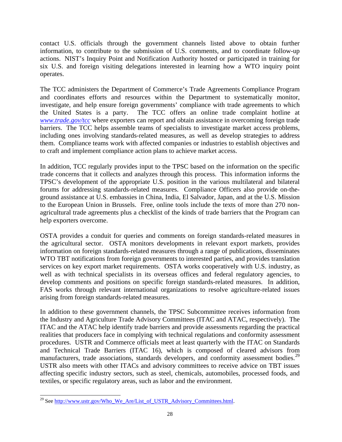contact U.S. officials through the government channels listed above to obtain further information, to contribute to the submission of U.S. comments, and to coordinate follow-up actions. NIST's Inquiry Point and Notification Authority hosted or participated in training for six U.S. and foreign visiting delegations interested in learning how a WTO inquiry point operates.

The TCC administers the Department of Commerce's Trade Agreements Compliance Program and coordinates efforts and resources within the Department to systematically monitor, investigate, and help ensure foreign governments' compliance with trade agreements to which the United States is a party. The TCC offers an online trade complaint hotline at *[www.trade.gov/tcc](http://www.trade.gov/tcc)* where exporters can report and obtain assistance in overcoming foreign trade barriers. The TCC helps assemble teams of specialists to investigate market access problems, including ones involving standards-related measures, as well as develop strategies to address them. Compliance teams work with affected companies or industries to establish objectives and to craft and implement compliance action plans to achieve market access.

In addition, TCC regularly provides input to the TPSC based on the information on the specific trade concerns that it collects and analyzes through this process. This information informs the TPSC's development of the appropriate U.S. position in the various multilateral and bilateral forums for addressing standards-related measures. Compliance Officers also provide on-theground assistance at U.S. embassies in China, India, El Salvador, Japan, and at the U.S. Mission to the European Union in Brussels. Free, online tools include the texts of more than 270 nonagricultural trade agreements plus a checklist of the kinds of trade barriers that the Program can help exporters overcome.

OSTA provides a conduit for queries and comments on foreign standards-related measures in the agricultural sector. OSTA monitors developments in relevant export markets, provides information on foreign standards-related measures through a range of publications, disseminates WTO TBT notifications from foreign governments to interested parties, and provides translation services on key export market requirements. OSTA works cooperatively with U.S. industry, as well as with technical specialists in its overseas offices and federal regulatory agencies, to develop comments and positions on specific foreign standards-related measures. In addition, FAS works through relevant international organizations to resolve agriculture-related issues arising from foreign standards-related measures.

In addition to these government channels, the TPSC Subcommittee receives information from the Industry and Agriculture Trade Advisory Committees (ITAC and ATAC, respectively). The ITAC and the ATAC help identify trade barriers and provide assessments regarding the practical realities that producers face in complying with technical regulations and conformity assessment procedures. USTR and Commerce officials meet at least quarterly with the ITAC on Standards and Technical Trade Barriers (ITAC 16), which is composed of cleared advisors from manufacturers, trade associations, standards developers, and conformity assessment bodies.<sup>[29](#page-35-0)</sup> USTR also meets with other ITACs and advisory committees to receive advice on TBT issues affecting specific industry sectors, such as steel, chemicals, automobiles, processed foods, and textiles, or specific regulatory areas, such as labor and the environment.

<span id="page-35-0"></span><sup>&</sup>lt;sup>29</sup> See [http://www.ustr.gov/Who\\_We\\_Are/List\\_of\\_USTR\\_Advisory\\_Committees.html.](http://www.ustr.gov/Who_We_Are/List_of_USTR_Advisory_Committees.html)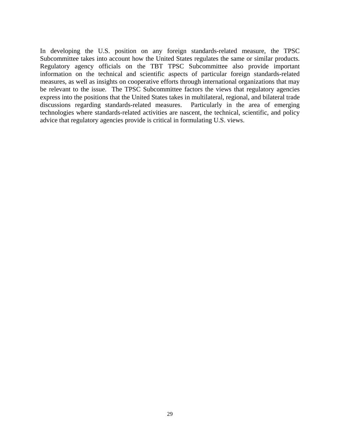In developing the U.S. position on any foreign standards-related measure, the TPSC Subcommittee takes into account how the United States regulates the same or similar products. Regulatory agency officials on the TBT TPSC Subcommittee also provide important information on the technical and scientific aspects of particular foreign standards-related measures, as well as insights on cooperative efforts through international organizations that may be relevant to the issue. The TPSC Subcommittee factors the views that regulatory agencies express into the positions that the United States takes in multilateral, regional, and bilateral trade discussions regarding standards-related measures. Particularly in the area of emerging technologies where standards-related activities are nascent, the technical, scientific, and policy advice that regulatory agencies provide is critical in formulating U.S. views.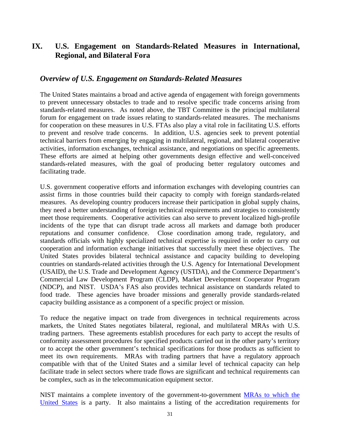## **IX. U.S. Engagement on Standards-Related Measures in International, Regional, and Bilateral Fora**

#### *Overview of U.S. Engagement on Standards-Related Measures*

The United States maintains a broad and active agenda of engagement with foreign governments to prevent unnecessary obstacles to trade and to resolve specific trade concerns arising from standards-related measures. As noted above, the TBT Committee is the principal multilateral forum for engagement on trade issues relating to standards-related measures. The mechanisms for cooperation on these measures in U.S. FTAs also play a vital role in facilitating U.S. efforts to prevent and resolve trade concerns. In addition, U.S. agencies seek to prevent potential technical barriers from emerging by engaging in multilateral, regional, and bilateral cooperative activities, information exchanges, technical assistance, and negotiations on specific agreements. These efforts are aimed at helping other governments design effective and well-conceived standards-related measures, with the goal of producing better regulatory outcomes and facilitating trade.

U.S. government cooperative efforts and information exchanges with developing countries can assist firms in those countries build their capacity to comply with foreign standards-related measures. As developing country producers increase their participation in global supply chains, they need a better understanding of foreign technical requirements and strategies to consistently meet those requirements. Cooperative activities can also serve to prevent localized high-profile incidents of the type that can disrupt trade across all markets and damage both producer reputations and consumer confidence. Close coordination among trade, regulatory, and standards officials with highly specialized technical expertise is required in order to carry out cooperation and information exchange initiatives that successfully meet these objectives. The United States provides bilateral technical assistance and capacity building to developing countries on standards-related activities through the U.S. Agency for International Development (USAID), the U.S. Trade and Development Agency (USTDA), and the Commerce Department's Commercial Law Development Program (CLDP), Market Development Cooperator Program (NDCP), and NIST. USDA's FAS also provides technical assistance on standards related to food trade. These agencies have broader missions and generally provide standards-related capacity building assistance as a component of a specific project or mission.

To reduce the negative impact on trade from divergences in technical requirements across markets, the United States negotiates bilateral, regional, and multilateral MRAs with U.S. trading partners. These agreements establish procedures for each party to accept the results of conformity assessment procedures for specified products carried out in the other party's territory or to accept the other government's technical specifications for those products as sufficient to meet its own requirements. MRAs with trading partners that have a regulatory approach compatible with that of the United States and a similar level of technical capacity can help facilitate trade in select sectors where trade flows are significant and technical requirements can be complex, such as in the telecommunication equipment sector.

NIST maintains a complete inventory of the government-to-government [MRAs to which the](http://ts.nist.gov/standards/conformity/mra/mra.cfm)  [United States](http://ts.nist.gov/standards/conformity/mra/mra.cfm) is a party. It also maintains a listing of the accreditation requirements for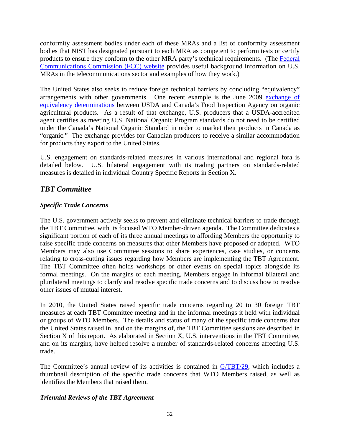conformity assessment bodies under each of these MRAs and a list of conformity assessment bodies that NIST has designated pursuant to each MRA as competent to perform tests or certify products to ensure they conform to the other MRA party's technical requirements. (The [Federal](http://www.fcc.gov/oet/ea/mra/)  [Communications Commission \(FCC\) website](http://www.fcc.gov/oet/ea/mra/) provides useful background information on U.S. MRAs in the telecommunications sector and examples of how they work.)

The United States also seeks to reduce foreign technical barriers by concluding "equivalency" arrangements with other governments. One recent example is the June 2009 [exchange of](http://www.ams.usda.gov/AMSv1.0/ams.fetchTemplateData.do?template=TemplateN&navID=NationalOrganicProgram&page=USCanadaDeterminationofEquivalency&leftNav=NationalOrganicProgram&description=US-Canada%20Determination%20of%20Equivalency&acct=nopgeninfo)  [equivalency determinations](http://www.ams.usda.gov/AMSv1.0/ams.fetchTemplateData.do?template=TemplateN&navID=NationalOrganicProgram&page=USCanadaDeterminationofEquivalency&leftNav=NationalOrganicProgram&description=US-Canada%20Determination%20of%20Equivalency&acct=nopgeninfo) between USDA and Canada's Food Inspection Agency on organic agricultural products. As a result of that exchange, U.S. producers that a USDA-accredited agent certifies as meeting U.S. National Organic Program standards do not need to be certified under the Canada's National Organic Standard in order to market their products in Canada as "organic." The exchange provides for Canadian producers to receive a similar accommodation for products they export to the United States.

U.S. engagement on standards-related measures in various international and regional fora is detailed below. U.S. bilateral engagement with its trading partners on standards-related measures is detailed in individual Country Specific Reports in Section X.

## *TBT Committee*

#### *Specific Trade Concerns*

The U.S. government actively seeks to prevent and eliminate technical barriers to trade through the TBT Committee, with its focused WTO Member-driven agenda. The Committee dedicates a significant portion of each of its three annual meetings to affording Members the opportunity to raise specific trade concerns on measures that other Members have proposed or adopted. WTO Members may also use Committee sessions to share experiences, case studies, or concerns relating to cross-cutting issues regarding how Members are implementing the TBT Agreement. The TBT Committee often holds workshops or other events on special topics alongside its formal meetings. On the margins of each meeting, Members engage in informal bilateral and plurilateral meetings to clarify and resolve specific trade concerns and to discuss how to resolve other issues of mutual interest.

In 2010, the United States raised specific trade concerns regarding 20 to 30 foreign TBT measures at each TBT Committee meeting and in the informal meetings it held with individual or groups of WTO Members. The details and status of many of the specific trade concerns that the United States raised in, and on the margins of, the TBT Committee sessions are described in Section X of this report. As elaborated in Section X, U.S. interventions in the TBT Committee, and on its margins, have helped resolve a number of standards-related concerns affecting U.S. trade.

The Committee's annual review of its activities is contained in [G/TBT/29,](http://www.wto.org/english/tratop_e/tbt_e/tbt_work_docs_e.htm) which includes a thumbnail description of the specific trade concerns that WTO Members raised, as well as identifies the Members that raised them.

#### *Triennial Reviews of the TBT Agreement*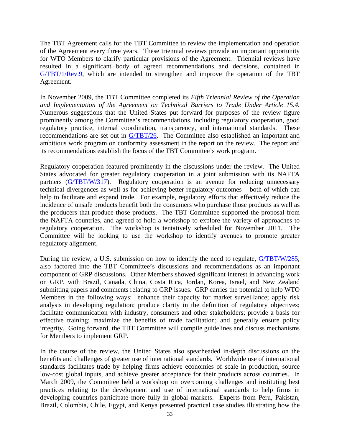The TBT Agreement calls for the TBT Committee to review the implementation and operation of the Agreement every three years. These triennial reviews provide an important opportunity for WTO Members to clarify particular provisions of the Agreement. Triennial reviews have resulted in a significant body of agreed recommendations and decisions, contained in [G/TBT/1/Rev.9,](http://docsonline.wto.org/gen_search.asp?searchmode=simple) which are intended to strengthen and improve the operation of the TBT Agreement.

In November 2009, the TBT Committee completed its *Fifth Triennial Review of the Operation and Implementation of the Agreement on Technical Barriers to Trade Under Article 15.4.*  Numerous suggestions that the United States put forward for purposes of the review figure prominently among the Committee's recommendations, including regulatory cooperation, good regulatory practice, internal coordination, transparency, and international standards. These recommendations are set out in [G/TBT/26.](http://docsonline.wto.org/gen_search.asp?searchmode=simple) The Committee also established an important and ambitious work program on conformity assessment in the report on the review. The report and its recommendations establish the focus of the TBT Committee's work program.

Regulatory cooperation featured prominently in the discussions under the review. The United States advocated for greater regulatory cooperation in a joint submission with its NAFTA partners [\(G/TBT/W/317\)](http://docsonline.wto.org/gen_search.asp?searchmode=simple). Regulatory cooperation is an avenue for reducing unnecessary technical divergences as well as for achieving better regulatory outcomes – both of which can help to facilitate and expand trade. For example, regulatory efforts that effectively reduce the incidence of unsafe products benefit both the consumers who purchase those products as well as the producers that produce those products. The TBT Committee supported the proposal from the NAFTA countries, and agreed to hold a workshop to explore the variety of approaches to regulatory cooperation. The workshop is tentatively scheduled for November 2011. The Committee will be looking to use the workshop to identify avenues to promote greater regulatory alignment.

During the review, a U.S. submission on how to identify the need to regulate, [G/TBT/W/285,](http://docsonline.wto.org/gen_search.asp?searchmode=simple) also factored into the TBT Committee's discussions and recommendations as an important component of GRP discussions. Other Members showed significant interest in advancing work on GRP, with Brazil, Canada, China, Costa Rica, Jordan, Korea, Israel, and New Zealand submitting papers and comments relating to GRP issues. GRP carries the potential to help WTO Members in the following ways: enhance their capacity for market surveillance; apply risk analysis in developing regulation; produce clarity in the definition of regulatory objectives; facilitate communication with industry, consumers and other stakeholders; provide a basis for effective training; maximize the benefits of trade facilitation; and generally ensure policy integrity. Going forward, the TBT Committee will compile guidelines and discuss mechanisms for Members to implement GRP.

In the course of the review, the United States also spearheaded in-depth discussions on the benefits and challenges of greater use of international standards. Worldwide use of international standards facilitates trade by helping firms achieve economies of scale in production, source low-cost global inputs, and achieve greater acceptance for their products across countries. In March 2009, the Committee held a workshop on overcoming challenges and instituting best practices relating to the development and use of international standards to help firms in developing countries participate more fully in global markets. Experts from Peru, Pakistan, Brazil, Colombia, Chile, Egypt, and Kenya presented practical case studies illustrating how the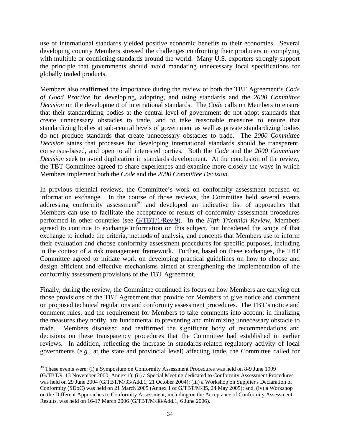use of international standards yielded positive economic benefits to their economies. Several developing country Members stressed the challenges confronting their producers in complying with multiple or conflicting standards around the world. Many U.S. exporters strongly support the principle that governments should avoid mandating unnecessary local specifications for globally traded products.

Members also reaffirmed the importance during the review of both the TBT Agreement's *Code of Good Practice* for developing, adopting, and using standards and the *2000 Committee Decision* on the development of international standards. The *Code* calls on Members to ensure that their standardizing bodies at the central level of government do not adopt standards that create unnecessary obstacles to trade, and to take reasonable measures to ensure that standardizing bodies at sub-central levels of government as well as private standardizing bodies do not produce standards that create unnecessary obstacles to trade. The *2000 Committee Decision* states that processes for developing international standards should be transparent, consensus-based, and open to all interested parties. Both the *Code* and the *2000 Committee Decision* seek to avoid duplication in standards development. At the conclusion of the review, the TBT Committee agreed to share experiences and examine more closely the ways in which Members implement both the *Code* and the *2000 Committee Decision*.

In previous triennial reviews, the Committee's work on conformity assessment focused on information exchange. In the course of those reviews, the Committee held several events addressing conformity assessment $30$  and developed an indicative list of approaches that Members can use to facilitate the acceptance of results of conformity assessment procedures performed in other countries (see [G/TBT/1/Rev.9\)](http://www.wto.org/english/tratop_e/tbt_e/tbt_work_docs_e.htm). In the *Fifth Triennial Revie*w, Members agreed to continue to exchange information on this subject, but broadened the scope of that exchange to include the criteria, methods of analysis, and concepts that Members use to inform their evaluation and choose conformity assessment procedures for specific purposes, including in the context of a risk management framework. Further, based on these exchanges, the TBT Committee agreed to initiate work on developing practical guidelines on how to choose and design efficient and effective mechanisms aimed at strengthening the implementation of the conformity assessment provisions of the TBT Agreement.

Finally, during the review, the Committee continued its focus on how Members are carrying out those provisions of the TBT Agreement that provide for Members to give notice and comment on proposed technical regulations and conformity assessment procedures. The TBT's notice and comment rules, and the requirement for Members to take comments into account in finalizing the measures they notify, are fundamental to preventing and minimizing unnecessary obstacle to trade. Members discussed and reaffirmed the significant body of recommendations and decisions on these transparency procedures that the Committee had established in earlier reviews. In addition, reflecting the increase in standards-related regulatory activity of local governments (*e.g.*, at the state and provincial level) affecting trade, the Committee called for

<span id="page-41-0"></span><sup>&</sup>lt;sup>30</sup> These events were: (i) a Symposium on Conformity Assessment Procedures was held on 8-9 June 1999 (G/TBT/9, 13 November 2000, Annex 1); (ii) a Special Meeting dedicated to Conformity Assessment Procedures was held on 29 June 2004 (G/TBT/M/33/Add.1, 21 October 2004); (iii) a Workshop on Supplier's Declaration of Conformity (SDoC) was held on 21 March 2005 (Annex 1 of G/TBT/M/35, 24 May 2005); and, (iv) a Workshop on the Different Approaches to Conformity Assessment, including on the Acceptance of Conformity Assessment Results, was held on 16-17 March 2006 (G/TBT/M/38/Add.1, 6 June 2006).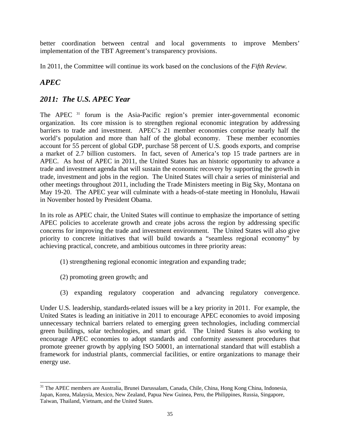better coordination between central and local governments to improve Members' implementation of the TBT Agreement's transparency provisions.

In 2011, the Committee will continue its work based on the conclusions of the *Fifth Review.*

# *APEC*

# *2011: The U.S. APEC Year*

The APEC<sup>[31](#page-42-0)</sup> forum is the Asia-Pacific region's premier inter-governmental economic organization. Its core mission is to strengthen regional economic integration by addressing barriers to trade and investment. APEC's 21 member economies comprise nearly half the world's population and more than half of the global economy. These member economies account for 55 percent of global GDP, purchase 58 percent of U.S. goods exports, and comprise a market of 2.7 billion customers. In fact, seven of America's top 15 trade partners are in APEC. As host of APEC in 2011, the United States has an historic opportunity to advance a trade and investment agenda that will sustain the economic recovery by supporting the growth in trade, investment and jobs in the region. The United States will chair a series of ministerial and other meetings throughout 2011, including the Trade Ministers meeting in Big Sky, Montana on May 19-20. The APEC year will culminate with a heads-of-state meeting in Honolulu, Hawaii in November hosted by President Obama.

In its role as APEC chair, the United States will continue to emphasize the importance of setting APEC policies to accelerate growth and create jobs across the region by addressing specific concerns for improving the trade and investment environment. The United States will also give priority to concrete initiatives that will build towards a "seamless regional economy" by achieving practical, concrete, and ambitious outcomes in three priority areas:

- (1) strengthening regional economic integration and expanding trade;
- (2) promoting green growth; and
- (3) expanding regulatory cooperation and advancing regulatory convergence.

Under U.S. leadership, standards-related issues will be a key priority in 2011. For example, the United States is leading an initiative in 2011 to encourage APEC economies to avoid imposing unnecessary technical barriers related to emerging green technologies, including commercial green buildings, solar technologies, and smart grid. The United States is also working to encourage APEC economies to adopt standards and conformity assessment procedures that promote greener growth by applying ISO 50001, an international standard that will establish a framework for industrial plants, commercial facilities, or entire organizations to manage their energy use.

<span id="page-42-0"></span><sup>&</sup>lt;sup>31</sup> The APEC members are Australia, Brunei Darussalam, Canada, Chile, China, Hong Kong China, Indonesia, Japan, Korea, Malaysia, Mexico, New Zealand, Papua New Guinea, Peru, the Philippines, Russia, Singapore, Taiwan, Thailand, Vietnam, and the United States.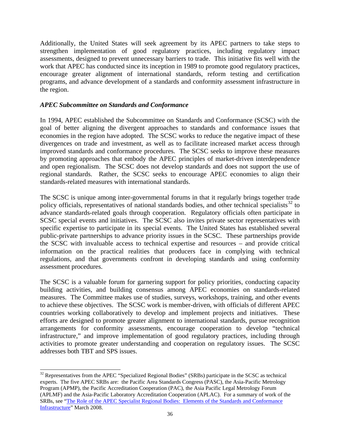Additionally, the United States will seek agreement by its APEC partners to take steps to strengthen implementation of good regulatory practices, including regulatory impact assessments, designed to prevent unnecessary barriers to trade. This initiative fits well with the work that APEC has conducted since its inception in 1989 to promote good regulatory practices, encourage greater alignment of international standards, reform testing and certification programs, and advance development of a standards and conformity assessment infrastructure in the region.

#### *APEC Subcommittee on Standards and Conformance*

In 1994, APEC established the Subcommittee on Standards and Conformance (SCSC) with the goal of better aligning the divergent approaches to standards and conformance issues that economies in the region have adopted. The SCSC works to reduce the negative impact of these divergences on trade and investment, as well as to facilitate increased market access through improved standards and conformance procedures. The SCSC seeks to improve these measures by promoting approaches that embody the APEC principles of market-driven interdependence and open regionalism. The SCSC does not develop standards and does not support the use of regional standards. Rather, the SCSC seeks to encourage APEC economies to align their standards-related measures with international standards.

The SCSC is unique among inter-governmental forums in that it regularly brings together trade policy officials, representatives of national standards bodies, and other technical specialists<sup>[32](#page-43-0)</sup> to advance standards-related goals through cooperation. Regulatory officials often participate in SCSC special events and initiatives. The SCSC also invites private sector representatives with specific expertise to participate in its special events. The United States has established several public-private partnerships to advance priority issues in the SCSC. These partnerships provide the SCSC with invaluable access to technical expertise and resources – and provide critical information on the practical realities that producers face in complying with technical regulations, and that governments confront in developing standards and using conformity assessment procedures.

The SCSC is a valuable forum for garnering support for policy priorities, conducting capacity building activities, and building consensus among APEC economies on standards-related measures. The Committee makes use of studies, surveys, workshops, training, and other events to achieve these objectives. The SCSC work is member-driven, with officials of different APEC countries working collaboratively to develop and implement projects and initiatives. These efforts are designed to promote greater alignment to international standards, pursue recognition arrangements for conformity assessments, encourage cooperation to develop "technical infrastructure," and improve implementation of good regulatory practices, including through activities to promote greater understanding and cooperation on regulatory issues. The SCSC addresses both TBT and SPS issues.

<span id="page-43-0"></span><sup>&</sup>lt;sup>32</sup> Representatives from the APEC "Specialized Regional Bodies" (SRBs) participate in the SCSC as technical experts. The five APEC SRBs are: the Pacific Area Standards Congress (PASC), the Asia-Pacific Metrology Program (APMP), the Pacific Accreditation Cooperation (PAC), the Asia Pacific Legal Metrology Forum (APLMF) and the Asia-Pacific Laboratory Accreditation Cooperation (APLAC). For a summary of work of the SRBs, see ["The Role of the APEC Specialist Regional Bodies: Elements of the Standards and Conformance](http://www.apec.org/Home/Groups/Committee-on-Trade-and-Investment/~/media/Files/Groups/SCSC/0430_MSC_longform_250309.ashx)  [Infrastructure"](http://www.apec.org/Home/Groups/Committee-on-Trade-and-Investment/~/media/Files/Groups/SCSC/0430_MSC_longform_250309.ashx) March 2008.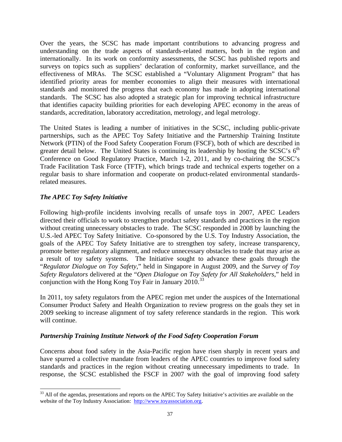Over the years, the SCSC has made important contributions to advancing progress and understanding on the trade aspects of standards-related matters, both in the region and internationally. In its work on conformity assessments, the SCSC has published reports and surveys on topics such as suppliers' declaration of conformity, market surveillance, and the effectiveness of MRAs. The SCSC established a "Voluntary Alignment Program" that has identified priority areas for member economies to align their measures with international standards and monitored the progress that each economy has made in adopting international standards. The SCSC has also adopted a strategic plan for improving technical infrastructure that identifies capacity building priorities for each developing APEC economy in the areas of standards, accreditation, laboratory accreditation, metrology, and legal metrology.

The United States is leading a number of initiatives in the SCSC, including public-private partnerships, such as the APEC Toy Safety Initiative and the Partnership Training Institute Network (PTIN) of the Food Safety Cooperation Forum (FSCF), both of which are described in greater detail below. The United States is continuing its leadership by hosting the SCSC's  $6<sup>th</sup>$ Conference on Good Regulatory Practice, March 1-2, 2011, and by co-chairing the SCSC's Trade Facilitation Task Force (TFTF), which brings trade and technical experts together on a regular basis to share information and cooperate on product-related environmental standardsrelated measures.

#### *The APEC Toy Safety Initiative*

Following high-profile incidents involving recalls of unsafe toys in 2007, APEC Leaders directed their officials to work to strengthen product safety standards and practices in the region without creating unnecessary obstacles to trade. The SCSC responded in 2008 by launching the U.S.-led APEC Toy Safety Initiative. Co-sponsored by the U.S. Toy Industry Association, the goals of the APEC Toy Safety Initiative are to strengthen toy safety, increase transparency, promote better regulatory alignment, and reduce unnecessary obstacles to trade that may arise as a result of toy safety systems. The Initiative sought to advance these goals through the "*Regulator Dialogue on Toy Safety*," held in Singapore in August 2009, and the *Survey of Toy Safety Regulators* delivered at the "*Open Dialogue on Toy Safety for All Stakeholders*," held in conjunction with the Hong Kong Toy Fair in January  $2010^{33}$ 

In 2011, toy safety regulators from the APEC region met under the auspices of the International Consumer Product Safety and Health Organization to review progress on the goals they set in 2009 seeking to increase alignment of toy safety reference standards in the region. This work will continue.

### *Partnership Training Institute Network of the Food Safety Cooperation Forum*

Concerns about food safety in the Asia-Pacific region have risen sharply in recent years and have spurred a collective mandate from leaders of the APEC countries to improve food safety standards and practices in the region without creating unnecessary impediments to trade. In response, the SCSC established the FSCF in 2007 with the goal of improving food safety

<span id="page-44-0"></span><sup>&</sup>lt;sup>33</sup> All of the agendas, presentations and reports on the APEC Toy Safety Initiative's activities are available on the website of the Toy Industry Association: [http://www.toyassociation.org.](http://www.toyassociation.org/)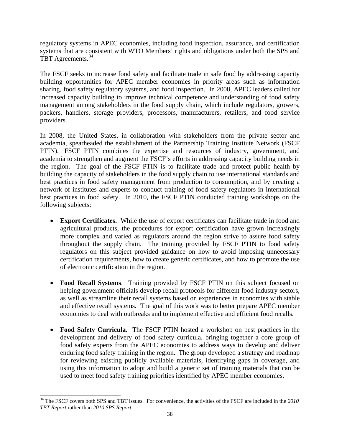regulatory systems in APEC economies, including food inspection, assurance, and certification systems that are consistent with WTO Members' rights and obligations under both the SPS and TBT Agreements.<sup>34</sup>

The FSCF seeks to increase food safety and facilitate trade in safe food by addressing capacity building opportunities for APEC member economies in priority areas such as information sharing, food safety regulatory systems, and food inspection. In 2008, APEC leaders called for increased capacity building to improve technical competence and understanding of food safety management among stakeholders in the food supply chain, which include regulators, growers, packers, handlers, storage providers, processors, manufacturers, retailers, and food service providers.

In 2008, the United States, in collaboration with stakeholders from the private sector and academia, spearheaded the establishment of the Partnership Training Institute Network (FSCF PTIN). FSCF PTIN combines the expertise and resources of industry, government, and academia to strengthen and augment the FSCF's efforts in addressing capacity building needs in the region. The goal of the FSCF PTIN is to facilitate trade and protect public health by building the capacity of stakeholders in the food supply chain to use international standards and best practices in food safety management from production to consumption, and by creating a network of institutes and experts to conduct training of food safety regulators in international best practices in food safety. In 2010, the FSCF PTIN conducted training workshops on the following subjects:

- **Export Certificates.** While the use of export certificates can facilitate trade in food and agricultural products, the procedures for export certification have grown increasingly more complex and varied as regulators around the region strive to assure food safety throughout the supply chain. The training provided by FSCF PTIN to food safety regulators on this subject provided guidance on how to avoid imposing unnecessary certification requirements, how to create generic certificates, and how to promote the use of electronic certification in the region.
- **Food Recall Systems**. Training provided by FSCF PTIN on this subject focused on helping government officials develop recall protocols for different food industry sectors, as well as streamline their recall systems based on experiences in economies with stable and effective recall systems. The goal of this work was to better prepare APEC member economies to deal with outbreaks and to implement effective and efficient food recalls.
- **Food Safety Curricula**. The FSCF PTIN hosted a workshop on best practices in the development and delivery of food safety curricula, bringing together a core group of food safety experts from the APEC economies to address ways to develop and deliver enduring food safety training in the region. The group developed a strategy and roadmap for reviewing existing publicly available materials, identifying gaps in coverage, and using this information to adopt and build a generic set of training materials that can be used to meet food safety training priorities identified by APEC member economies.

<span id="page-45-0"></span><sup>&</sup>lt;sup>34</sup> The FSCF covers both SPS and TBT issues. For convenience, the activities of the FSCF are included in the 2010 *TBT Report* rather than *2010 SPS Report*.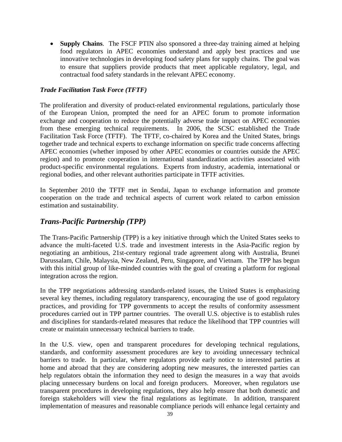• **Supply Chains**. The FSCF PTIN also sponsored a three-day training aimed at helping food regulators in APEC economies understand and apply best practices and use innovative technologies in developing food safety plans for supply chains. The goal was to ensure that suppliers provide products that meet applicable regulatory, legal, and contractual food safety standards in the relevant APEC economy.

### *Trade Facilitation Task Force (TFTF)*

The proliferation and diversity of product-related environmental regulations, particularly those of the European Union, prompted the need for an APEC forum to promote information exchange and cooperation to reduce the potentially adverse trade impact on APEC economies from these emerging technical requirements. In 2006, the SCSC established the Trade Facilitation Task Force (TFTF). The TFTF, co-chaired by Korea and the United States, brings together trade and technical experts to exchange information on specific trade concerns affecting APEC economies (whether imposed by other APEC economies or countries outside the APEC region) and to promote cooperation in international standardization activities associated with product-specific environmental regulations. Experts from industry, academia, international or regional bodies, and other relevant authorities participate in TFTF activities.

In September 2010 the TFTF met in Sendai, Japan to exchange information and promote cooperation on the trade and technical aspects of current work related to carbon emission estimation and sustainability.

## *Trans-Pacific Partnership (TPP)*

The Trans-Pacific Partnership (TPP) is a key initiative through which the United States seeks to advance the multi-faceted U.S. trade and investment interests in the Asia-Pacific region by negotiating an ambitious, 21st-century regional trade agreement along with Australia, Brunei Darussalam, Chile, Malaysia, New Zealand, Peru, Singapore, and Vietnam. The TPP has begun with this initial group of like-minded countries with the goal of creating a platform for regional integration across the region.

In the TPP negotiations addressing standards-related issues, the United States is emphasizing several key themes, including regulatory transparency, encouraging the use of good regulatory practices, and providing for TPP governments to accept the results of conformity assessment procedures carried out in TPP partner countries. The overall U.S. objective is to establish rules and disciplines for standards-related measures that reduce the likelihood that TPP countries will create or maintain unnecessary technical barriers to trade.

In the U.S. view, open and transparent procedures for developing technical regulations, standards, and conformity assessment procedures are key to avoiding unnecessary technical barriers to trade. In particular, where regulators provide early notice to interested parties at home and abroad that they are considering adopting new measures, the interested parties can help regulators obtain the information they need to design the measures in a way that avoids placing unnecessary burdens on local and foreign producers. Moreover, when regulators use transparent procedures in developing regulations, they also help ensure that both domestic and foreign stakeholders will view the final regulations as legitimate. In addition, transparent implementation of measures and reasonable compliance periods will enhance legal certainty and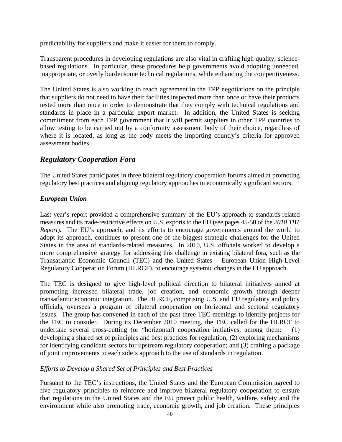predictability for suppliers and make it easier for them to comply.

Transparent procedures in developing regulations are also vital in crafting high quality, sciencebased regulations. In particular, these procedures help governments avoid adopting unneeded, inappropriate, or overly burdensome technical regulations, while enhancing the competitiveness.

The United States is also working to reach agreement in the TPP negotiations on the principle that suppliers do not need to have their facilities inspected more than once or have their products tested more than once in order to demonstrate that they comply with technical regulations and standards in place in a particular export market. In addition, the United States is seeking commitment from each TPP government that it will permit suppliers in other TPP countries to allow testing to be carried out by a conformity assessment body of their choice, regardless of where it is located, as long as the body meets the importing country's criteria for approved assessment bodies.

## *Regulatory Cooperation Fora*

The United States participates in three bilateral regulatory cooperation forums aimed at promoting regulatory best practices and aligning regulatory approaches in economically significant sectors.

### *European Union*

Last year's report provided a comprehensive summary of the EU's approach to standards-related measures and its trade-restrictive effects on U.S. exports to the EU (see pages 45-50 of the *2010 TBT Report*). The EU's approach, and its efforts to encourage governments around the world to adopt its approach, continues to present one of the biggest strategic challenges for the United States in the area of standards-related measures. In 2010, U.S. officials worked to develop a more comprehensive strategy for addressing this challenge in existing bilateral fora, such as the Transatlantic Economic Council (TEC) and the United States – European Union High-Level Regulatory Cooperation Forum (HLRCF), to encourage systemic changes in the EU approach.

The TEC is designed to give high-level political direction to bilateral initiatives aimed at promoting increased bilateral trade, job creation, and economic growth through deeper transatlantic economic integration. The HLRCF, comprising U.S. and EU regulatory and policy officials, oversees a program of bilateral cooperation on horizontal and sectoral regulatory issues. The group has convened in each of the past three TEC meetings to identify projects for the TEC to consider. During its December 2010 meeting, the TEC called for the HLRCF to undertake several cross-cutting (or "horizontal) cooperation initiatives, among them: (1) developing a shared set of principles and best practices for regulation; (2) exploring mechanisms for identifying candidate sectors for upstream regulatory cooperation; and (3) crafting a package of joint improvements to each side's approach to the use of standards in regulation.

### *Efforts to Develop a Shared Set of Principles and Best Practices*

Pursuant to the TEC's instructions, the United States and the European Commission agreed to five regulatory principles to reinforce and improve bilateral regulatory cooperation to ensure that regulations in the United States and the EU protect public health, welfare, safety and the environment while also promoting trade, economic growth, and job creation. These principles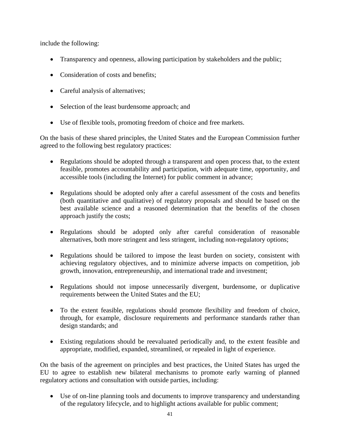include the following:

- Transparency and openness, allowing participation by stakeholders and the public;
- Consideration of costs and benefits:
- Careful analysis of alternatives;
- Selection of the least burdensome approach; and
- Use of flexible tools, promoting freedom of choice and free markets.

On the basis of these shared principles, the United States and the European Commission further agreed to the following best regulatory practices:

- Regulations should be adopted through a transparent and open process that, to the extent feasible, promotes accountability and participation, with adequate time, opportunity, and accessible tools (including the Internet) for public comment in advance;
- Regulations should be adopted only after a careful assessment of the costs and benefits (both quantitative and qualitative) of regulatory proposals and should be based on the best available science and a reasoned determination that the benefits of the chosen approach justify the costs;
- Regulations should be adopted only after careful consideration of reasonable alternatives, both more stringent and less stringent, including non-regulatory options;
- Regulations should be tailored to impose the least burden on society, consistent with achieving regulatory objectives, and to minimize adverse impacts on competition, job growth, innovation, entrepreneurship, and international trade and investment;
- Regulations should not impose unnecessarily divergent, burdensome, or duplicative requirements between the United States and the EU;
- To the extent feasible, regulations should promote flexibility and freedom of choice, through, for example, disclosure requirements and performance standards rather than design standards; and
- Existing regulations should be reevaluated periodically and, to the extent feasible and appropriate, modified, expanded, streamlined, or repealed in light of experience.

On the basis of the agreement on principles and best practices, the United States has urged the EU to agree to establish new bilateral mechanisms to promote early warning of planned regulatory actions and consultation with outside parties, including:

• Use of on-line planning tools and documents to improve transparency and understanding of the regulatory lifecycle, and to highlight actions available for public comment;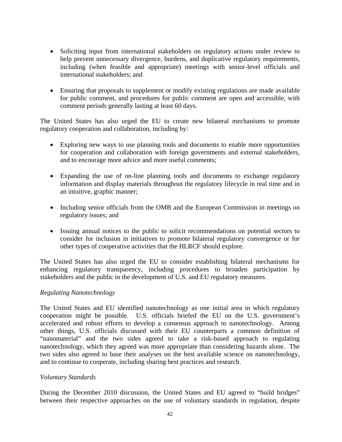- Soliciting input from international stakeholders on regulatory actions under review to help prevent unnecessary divergence, burdens, and duplicative regulatory requirements, including (when feasible and appropriate) meetings with senior-level officials and international stakeholders; and
- Ensuring that proposals to supplement or modify existing regulations are made available for public comment, and procedures for public comment are open and accessible, with comment periods generally lasting at least 60 days.

The United States has also urged the EU to create new bilateral mechanisms to promote regulatory cooperation and collaboration, including by:

- Exploring new ways to use planning tools and documents to enable more opportunities for cooperation and collaboration with foreign governments and external stakeholders, and to encourage more advice and more useful comments;
- Expanding the use of on-line planning tools and documents to exchange regulatory information and display materials throughout the regulatory lifecycle in real time and in an intuitive, graphic manner;
- Including senior officials from the OMB and the European Commission in meetings on regulatory issues; and
- Issuing annual notices to the public to solicit recommendations on potential sectors to consider for inclusion in initiatives to promote bilateral regulatory convergence or for other types of cooperative activities that the HLRCF should explore.

The United States has also urged the EU to consider establishing bilateral mechanisms for enhancing regulatory transparency, including procedures to broaden participation by stakeholders and the public in the development of U.S. and EU regulatory measures.

### *Regulating Nanotechnology*

The United States and EU identified nanotechnology as one initial area in which regulatory cooperation might be possible. U.S. officials briefed the EU on the U.S. government's accelerated and robust efforts to develop a consensus approach to nanotechnology. Among other things, U.S. officials discussed with their EU counterparts a common definition of "nanomaterial" and the two sides agreed to take a risk-based approach to regulating nanotechnology, which they agreed was more appropriate than considering hazards alone. The two sides also agreed to base their analyses on the best available science on nanotechnology, and to continue to cooperate, including sharing best practices and research.

#### *Voluntary Standards*

During the December 2010 discussion, the United States and EU agreed to "build bridges" between their respective approaches on the use of voluntary standards in regulation, despite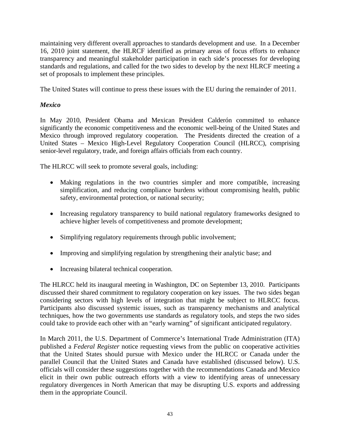maintaining very different overall approaches to standards development and use. In a December 16, 2010 joint statement, the HLRCF identified as primary areas of focus efforts to enhance transparency and meaningful stakeholder participation in each side's processes for developing standards and regulations, and called for the two sides to develop by the next HLRCF meeting a set of proposals to implement these principles.

The United States will continue to press these issues with the EU during the remainder of 2011.

## *Mexico*

In May 2010, President Obama and Mexican President Calderón committed to enhance significantly the economic competitiveness and the economic well-being of the United States and Mexico through improved regulatory cooperation. The Presidents directed the creation of a United States – Mexico High-Level Regulatory Cooperation Council (HLRCC), comprising senior-level regulatory, trade, and foreign affairs officials from each country.

The HLRCC will seek to promote several goals, including:

- Making regulations in the two countries simpler and more compatible, increasing simplification, and reducing compliance burdens without compromising health, public safety, environmental protection, or national security;
- Increasing regulatory transparency to build national regulatory frameworks designed to achieve higher levels of competitiveness and promote development;
- Simplifying regulatory requirements through public involvement;
- Improving and simplifying regulation by strengthening their analytic base; and
- Increasing bilateral technical cooperation.

The HLRCC held its inaugural meeting in Washington, DC on September 13, 2010. Participants discussed their shared commitment to regulatory cooperation on key issues. The two sides began considering sectors with high levels of integration that might be subject to HLRCC focus. Participants also discussed systemic issues, such as transparency mechanisms and analytical techniques, how the two governments use standards as regulatory tools, and steps the two sides could take to provide each other with an "early warning" of significant anticipated regulatory.

In March 2011, the U.S. Department of Commerce's International Trade Administration (ITA) published a *Federal Register* notice requesting views from the public on cooperative activities that the United States should pursue with Mexico under the HLRCC or Canada under the parallel Council that the United States and Canada have established (discussed below). U.S. officials will consider these suggestions together with the recommendations Canada and Mexico elicit in their own public outreach efforts with a view to identifying areas of unnecessary regulatory divergences in North American that may be disrupting U.S. exports and addressing them in the appropriate Council.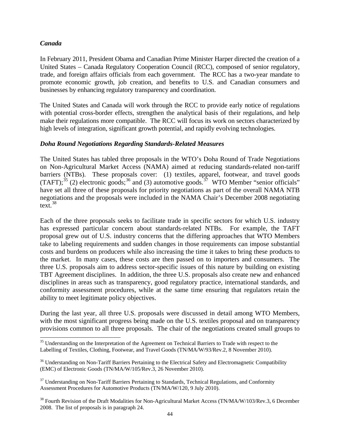#### *Canada*

In February 2011, President Obama and Canadian Prime Minister Harper directed the creation of a United States – Canada Regulatory Cooperation Council (RCC), composed of senior regulatory, trade, and foreign affairs officials from each government. The RCC has a two-year mandate to promote economic growth, job creation, and benefits to U.S. and Canadian consumers and businesses by enhancing regulatory transparency and coordination.

The United States and Canada will work through the RCC to provide early notice of regulations with potential cross-border effects, strengthen the analytical basis of their regulations, and help make their regulations more compatible. The RCC will focus its work on sectors characterized by high levels of integration, significant growth potential, and rapidly evolving technologies.

#### *Doha Round Negotiations Regarding Standards-Related Measures*

The United States has tabled three proposals in the WTO's Doha Round of Trade Negotiations on Non-Agricultural Market Access (NAMA) aimed at reducing standards-related non-tariff barriers (NTBs). These proposals cover: (1) textiles, apparel, footwear, and travel goods (TAFT);<sup>[35](#page-51-0)</sup> (2) electronic goods;<sup>[36](#page-51-1)</sup> and (3) automotive goods.<sup>37</sup> WTO Member "senior officials" have set all three of these proposals for priority negotiations as part of the overall NAMA NTB negotiations and the proposals were included in the NAMA Chair's December 2008 negotiating text. $38$ 

Each of the three proposals seeks to facilitate trade in specific sectors for which U.S. industry has expressed particular concern about standards-related NTBs. For example, the TAFT proposal grew out of U.S. industry concerns that the differing approaches that WTO Members take to labeling requirements and sudden changes in those requirements can impose substantial costs and burdens on producers while also increasing the time it takes to bring these products to the market. In many cases, these costs are then passed on to importers and consumers. The three U.S. proposals aim to address sector-specific issues of this nature by building on existing TBT Agreement disciplines. In addition, the three U.S. proposals also create new and enhanced disciplines in areas such as transparency, good regulatory practice, international standards, and conformity assessment procedures, while at the same time ensuring that regulators retain the ability to meet legitimate policy objectives.

During the last year, all three U.S. proposals were discussed in detail among WTO Members, with the most significant progress being made on the U.S. textiles proposal and on transparency provisions common to all three proposals. The chair of the negotiations created small groups to

<span id="page-51-0"></span><sup>&</sup>lt;sup>35</sup> Understanding on the Interpretation of the Agreement on Technical Barriers to Trade with respect to the Labelling of Textiles, Clothing, Footwear, and Travel Goods (TN/MA/W/93/Rev.2, 8 November 2010).

<span id="page-51-1"></span><sup>&</sup>lt;sup>36</sup> Understanding on Non-Tariff Barriers Pertaining to the Electrical Safety and Electromagnetic Compatibility (EMC) of Electronic Goods (TN/MA/W/105/Rev.3, 26 November 2010).

<span id="page-51-2"></span><sup>&</sup>lt;sup>37</sup> Understanding on Non-Tariff Barriers Pertaining to Standards, Technical Regulations, and Conformity Assessment Procedures for Automotive Products (TN/MA/W/120, 9 July 2010).

<span id="page-51-3"></span><sup>&</sup>lt;sup>38</sup> Fourth Revision of the Draft Modalities for Non-Agricultural Market Access (TN/MA/W/103/Rev.3, 6 December 2008. The list of proposals is in paragraph 24.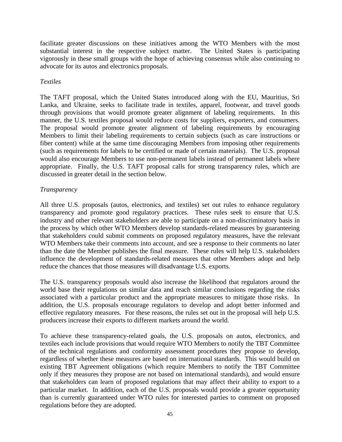facilitate greater discussions on these initiatives among the WTO Members with the most substantial interest in the respective subject matter. The United States is participating vigorously in these small groups with the hope of achieving consensus while also continuing to advocate for its autos and electronics proposals.

#### *Textiles*

The TAFT proposal, which the United States introduced along with the EU, Mauritius, Sri Lanka, and Ukraine, seeks to facilitate trade in textiles, apparel, footwear, and travel goods through provisions that would promote greater alignment of labeling requirements. In this manner, the U.S. textiles proposal would reduce costs for suppliers, exporters, and consumers. The proposal would promote greater alignment of labeling requirements by encouraging Members to limit their labeling requirements to certain subjects (such as care instructions or fiber content) while at the same time discouraging Members from imposing other requirements (such as requirements for labels to be certified or made of certain materials). The U.S. proposal would also encourage Members to use non-permanent labels instead of permanent labels where appropriate. Finally, the U.S. TAFT proposal calls for strong transparency rules, which are discussed in greater detail in the section below.

#### *Transparency*

All three U.S. proposals (autos, electronics, and textiles) set out rules to enhance regulatory transparency and promote good regulatory practices. These rules seek to ensure that U.S. industry and other relevant stakeholders are able to participate on a non-discriminatory basis in the process by which other WTO Members develop standards-related measures by guaranteeing that stakeholders could submit comments on proposed regulatory measures, have the relevant WTO Members take their comments into account, and see a response to their comments no later than the date the Member publishes the final measure. These rules will help U.S. stakeholders influence the development of standards-related measures that other Members adopt and help reduce the chances that those measures will disadvantage U.S. exports.

The U.S. transparency proposals would also increase the likelihood that regulators around the world base their regulations on similar data and reach similar conclusions regarding the risks associated with a particular product and the appropriate measures to mitigate those risks. In addition, the U.S. proposals encourage regulators to develop and adopt better informed and effective regulatory measures. For these reasons, the rules set out in the proposal will help U.S. producers increase their exports to different markets around the world.

To achieve these transparency-related goals, the U.S. proposals on autos, electronics, and textiles each include provisions that would require WTO Members to notify the TBT Committee of the technical regulations and conformity assessment procedures they propose to develop, regardless of whether these measures are based on international standards. This would build on existing TBT Agreement obligations (which require Members to notify the TBT Committee only if they measures they propose are not based on international standards), and would ensure that stakeholders can learn of proposed regulations that may affect their ability to export to a particular market. In addition, each of the U.S. proposals would provide a greater opportunity than is currently guaranteed under WTO rules for interested parties to comment on proposed regulations before they are adopted.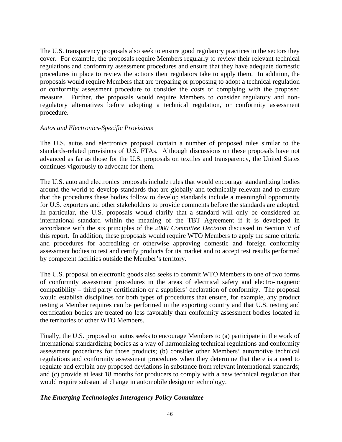The U.S. transparency proposals also seek to ensure good regulatory practices in the sectors they cover. For example, the proposals require Members regularly to review their relevant technical regulations and conformity assessment procedures and ensure that they have adequate domestic procedures in place to review the actions their regulators take to apply them. In addition, the proposals would require Members that are preparing or proposing to adopt a technical regulation or conformity assessment procedure to consider the costs of complying with the proposed measure. Further, the proposals would require Members to consider regulatory and nonregulatory alternatives before adopting a technical regulation, or conformity assessment procedure.

#### *Autos and Electronics-Specific Provisions*

The U.S. autos and electronics proposal contain a number of proposed rules similar to the standards-related provisions of U.S. FTAs. Although discussions on these proposals have not advanced as far as those for the U.S. proposals on textiles and transparency, the United States continues vigorously to advocate for them.

The U.S. auto and electronics proposals include rules that would encourage standardizing bodies around the world to develop standards that are globally and technically relevant and to ensure that the procedures these bodies follow to develop standards include a meaningful opportunity for U.S. exporters and other stakeholders to provide comments before the standards are adopted. In particular, the U.S. proposals would clarify that a standard will only be considered an international standard within the meaning of the TBT Agreement if it is developed in accordance with the six principles of the *2000 Committee Decision* discussed in Section V of this report. In addition, these proposals would require WTO Members to apply the same criteria and procedures for accrediting or otherwise approving domestic and foreign conformity assessment bodies to test and certify products for its market and to accept test results performed by competent facilities outside the Member's territory.

The U.S. proposal on electronic goods also seeks to commit WTO Members to one of two forms of conformity assessment procedures in the areas of electrical safety and electro-magnetic compatibility – third party certification or a suppliers' declaration of conformity. The proposal would establish disciplines for both types of procedures that ensure, for example, any product testing a Member requires can be performed in the exporting country and that U.S. testing and certification bodies are treated no less favorably than conformity assessment bodies located in the territories of other WTO Members.

Finally, the U.S. proposal on autos seeks to encourage Members to (a) participate in the work of international standardizing bodies as a way of harmonizing technical regulations and conformity assessment procedures for those products; (b) consider other Members' automotive technical regulations and conformity assessment procedures when they determine that there is a need to regulate and explain any proposed deviations in substance from relevant international standards; and (c) provide at least 18 months for producers to comply with a new technical regulation that would require substantial change in automobile design or technology.

#### *The Emerging Technologies Interagency Policy Committee*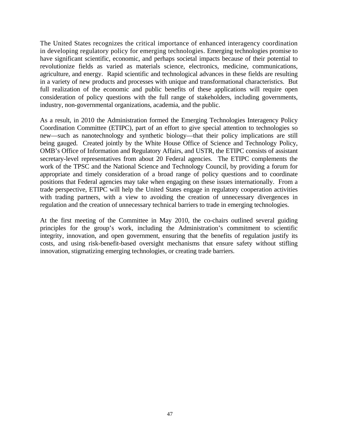The United States recognizes the critical importance of enhanced interagency coordination in developing regulatory policy for emerging technologies. Emerging technologies promise to have significant scientific, economic, and perhaps societal impacts because of their potential to revolutionize fields as varied as materials science, electronics, medicine, communications, agriculture, and energy. Rapid scientific and technological advances in these fields are resulting in a variety of new products and processes with unique and transformational characteristics. But full realization of the economic and public benefits of these applications will require open consideration of policy questions with the full range of stakeholders, including governments, industry, non-governmental organizations, academia, and the public.

As a result, in 2010 the Administration formed the Emerging Technologies Interagency Policy Coordination Committee (ETIPC), part of an effort to give special attention to technologies so new—such as nanotechnology and synthetic biology—that their policy implications are still being gauged. Created jointly by the White House Office of Science and Technology Policy, OMB's Office of Information and Regulatory Affairs, and USTR, the ETIPC consists of assistant secretary-level representatives from about 20 Federal agencies. The ETIPC complements the work of the TPSC and the National Science and Technology Council, by providing a forum for appropriate and timely consideration of a broad range of policy questions and to coordinate positions that Federal agencies may take when engaging on these issues internationally. From a trade perspective, ETIPC will help the United States engage in regulatory cooperation activities with trading partners, with a view to avoiding the creation of unnecessary divergences in regulation and the creation of unnecessary technical barriers to trade in emerging technologies.

At the first meeting of the Committee in May 2010, the co-chairs outlined several guiding principles for the group's work, including the Administration's commitment to scientific integrity, innovation, and open government, ensuring that the benefits of regulation justify its costs, and using risk-benefit-based oversight mechanisms that ensure safety without stifling innovation, stigmatizing emerging technologies, or creating trade barriers.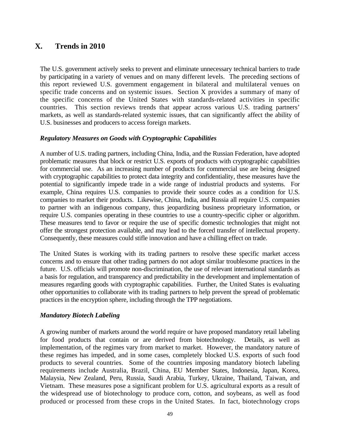## **X. Trends in 2010**

The U.S. government actively seeks to prevent and eliminate unnecessary technical barriers to trade by participating in a variety of venues and on many different levels. The preceding sections of this report reviewed U.S. government engagement in bilateral and multilateral venues on specific trade concerns and on systemic issues. Section X provides a summary of many of the specific concerns of the United States with standards-related activities in specific countries. This section reviews trends that appear across various U.S. trading partners' markets, as well as standards-related systemic issues, that can significantly affect the ability of U.S. businesses and producers to access foreign markets.

#### *Regulatory Measures on Goods with Cryptographic Capabilities*

A number of U.S. trading partners, including China, India, and the Russian Federation, have adopted problematic measures that block or restrict U.S. exports of products with cryptographic capabilities for commercial use. As an increasing number of products for commercial use are being designed with cryptographic capabilities to protect data integrity and confidentiality, these measures have the potential to significantly impede trade in a wide range of industrial products and systems. For example, China requires U.S. companies to provide their source codes as a condition for U.S. companies to market their products. Likewise, China, India, and Russia all require U.S. companies to partner with an indigenous company, thus jeopardizing business proprietary information, or require U.S. companies operating in these countries to use a country-specific cipher or algorithm. These measures tend to favor or require the use of specific domestic technologies that might not offer the strongest protection available, and may lead to the forced transfer of intellectual property. Consequently, these measures could stifle innovation and have a chilling effect on trade.

The United States is working with its trading partners to resolve these specific market access concerns and to ensure that other trading partners do not adopt similar troublesome practices in the future. U.S. officials will promote non-discrimination, the use of relevant international standards as a basis for regulation, and transparency and predictability in the development and implementation of measures regarding goods with cryptographic capabilities. Further, the United States is evaluating other opportunities to collaborate with its trading partners to help prevent the spread of problematic practices in the encryption sphere, including through the TPP negotiations.

#### *Mandatory Biotech Labeling*

A growing number of markets around the world require or have proposed mandatory retail labeling for food products that contain or are derived from biotechnology. Details, as well as implementation, of the regimes vary from market to market. However, the mandatory nature of these regimes has impeded, and in some cases, completely blocked U.S. exports of such food products to several countries. Some of the countries imposing mandatory biotech labeling requirements include Australia, Brazil, China, EU Member States, Indonesia, Japan, Korea, Malaysia, New Zealand, Peru, Russia, Saudi Arabia, Turkey, Ukraine, Thailand, Taiwan, and Vietnam. These measures pose a significant problem for U.S. agricultural exports as a result of the widespread use of biotechnology to produce corn, cotton, and soybeans, as well as food produced or processed from these crops in the United States. In fact, biotechnology crops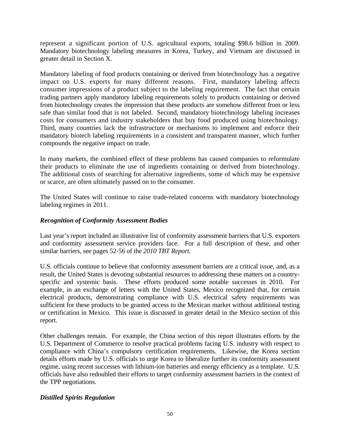represent a significant portion of U.S. agricultural exports, totaling \$98.6 billion in 2009. Mandatory biotechnology labeling measures in Korea, Turkey, and Vietnam are discussed in greater detail in Section X.

Mandatory labeling of food products containing or derived from biotechnology has a negative impact on U.S. exports for many different reasons. First, mandatory labeling affects consumer impressions of a product subject to the labeling requirement. The fact that certain trading partners apply mandatory labeling requirements solely to products containing or derived from biotechnology creates the impression that these products are somehow different from or less safe than similar food that is not labeled. Second, mandatory biotechnology labeling increases costs for consumers and industry stakeholders that buy food produced using biotechnology. Third, many countries lack the infrastructure or mechanisms to implement and enforce their mandatory biotech labeling requirements in a consistent and transparent manner, which further compounds the negative impact on trade.

In many markets, the combined effect of these problems has caused companies to reformulate their products to eliminate the use of ingredients containing or derived from biotechnology. The additional costs of searching for alternative ingredients, some of which may be expensive or scarce, are often ultimately passed on to the consumer.

The United States will continue to raise trade-related concerns with mandatory biotechnology labeling regimes in 2011.

#### *Recognition of Conformity Assessment Bodies*

Last year's report included an illustrative list of conformity assessment barriers that U.S. exporters and conformity assessment service providers face. For a full description of these, and other similar barriers, see pages 52-56 of the *2010 TBT Report*.

U.S. officials continue to believe that conformity assessment barriers are a critical issue, and, as a result, the United States is devoting substantial resources to addressing these matters on a countryspecific and systemic basis. These efforts produced some notable successes in 2010. For example, in an exchange of letters with the United States, Mexico recognized that, for certain electrical products, demonstrating compliance with U.S. electrical safety requirements was sufficient for these products to be granted access to the Mexican market without additional testing or certification in Mexico. This issue is discussed in greater detail in the Mexico section of this report.

Other challenges remain. For example, the China section of this report illustrates efforts by the U.S. Department of Commerce to resolve practical problems facing U.S. industry with respect to compliance with China's compulsory certification requirements. Likewise, the Korea section details efforts made by U.S. officials to urge Korea to liberalize further its conformity assessment regime, using recent successes with lithium-ion batteries and energy efficiency as a template. U.S. officials have also redoubled their efforts to target conformity assessment barriers in the context of the TPP negotiations.

#### *Distilled Spirits Regulation*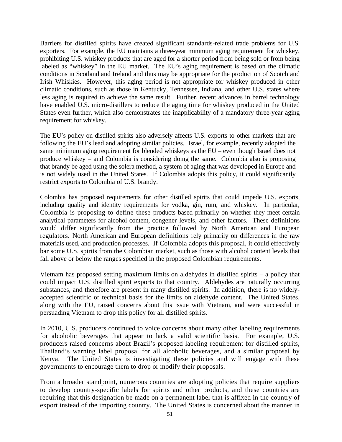Barriers for distilled spirits have created significant standards-related trade problems for U.S. exporters. For example, the EU maintains a three-year minimum aging requirement for whiskey, prohibiting U.S. whiskey products that are aged for a shorter period from being sold or from being labeled as "whiskey" in the EU market. The EU's aging requirement is based on the climatic conditions in Scotland and Ireland and thus may be appropriate for the production of Scotch and Irish Whiskies. However, this aging period is not appropriate for whiskey produced in other climatic conditions, such as those in Kentucky, Tennessee, Indiana, and other U.S. states where less aging is required to achieve the same result. Further, recent advances in barrel technology have enabled U.S. micro-distillers to reduce the aging time for whiskey produced in the United States even further, which also demonstrates the inapplicability of a mandatory three-year aging requirement for whiskey.

The EU's policy on distilled spirits also adversely affects U.S. exports to other markets that are following the EU's lead and adopting similar policies. Israel, for example, recently adopted the same minimum aging requirement for blended whiskeys as the EU – even though Israel does not produce whiskey – and Colombia is considering doing the same. Colombia also is proposing that brandy be aged using the solera method, a system of aging that was developed in Europe and is not widely used in the United States. If Colombia adopts this policy, it could significantly restrict exports to Colombia of U.S. brandy.

Colombia has proposed requirements for other distilled spirits that could impede U.S. exports, including quality and identity requirements for vodka, gin, rum, and whiskey. In particular, Colombia is proposing to define these products based primarily on whether they meet certain analytical parameters for alcohol content, congener levels, and other factors. These definitions would differ significantly from the practice followed by North American and European regulators. North American and European definitions rely primarily on differences in the raw materials used, and production processes. If Colombia adopts this proposal, it could effectively bar some U.S. spirits from the Colombian market, such as those with alcohol content levels that fall above or below the ranges specified in the proposed Colombian requirements.

Vietnam has proposed setting maximum limits on aldehydes in distilled spirits – a policy that could impact U.S. distilled spirit exports to that country. Aldehydes are naturally occurring substances, and therefore are present in many distilled spirits. In addition, there is no widelyaccepted scientific or technical basis for the limits on aldehyde content. The United States, along with the EU, raised concerns about this issue with Vietnam, and were successful in persuading Vietnam to drop this policy for all distilled spirits.

In 2010, U.S. producers continued to voice concerns about many other labeling requirements for alcoholic beverages that appear to lack a valid scientific basis. For example, U.S. producers raised concerns about Brazil's proposed labeling requirement for distilled spirits, Thailand's warning label proposal for all alcoholic beverages, and a similar proposal by Kenya. The United States is investigating these policies and will engage with these governments to encourage them to drop or modify their proposals.

From a broader standpoint, numerous countries are adopting policies that require suppliers to develop country-specific labels for spirits and other products, and these countries are requiring that this designation be made on a permanent label that is affixed in the country of export instead of the importing country. The United States is concerned about the manner in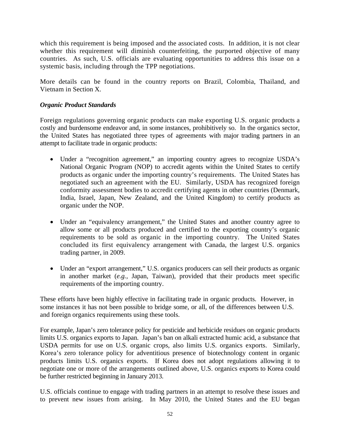which this requirement is being imposed and the associated costs. In addition, it is not clear whether this requirement will diminish counterfeiting, the purported objective of many countries. As such, U.S. officials are evaluating opportunities to address this issue on a systemic basis, including through the TPP negotiations.

More details can be found in the country reports on Brazil, Colombia, Thailand, and Vietnam in Section X.

#### *Organic Product Standards*

Foreign regulations governing organic products can make exporting U.S. organic products a costly and burdensome endeavor and, in some instances, prohibitively so. In the organics sector, the United States has negotiated three types of agreements with major trading partners in an attempt to facilitate trade in organic products:

- Under a "recognition agreement," an importing country agrees to recognize USDA's National Organic Program (NOP) to accredit agents within the United States to certify products as organic under the importing country's requirements. The United States has negotiated such an agreement with the EU. Similarly, USDA has recognized foreign conformity assessment bodies to accredit certifying agents in other countries (Denmark, India, Israel, Japan, New Zealand, and the United Kingdom) to certify products as organic under the NOP.
- Under an "equivalency arrangement," the United States and another country agree to allow some or all products produced and certified to the exporting country's organic requirements to be sold as organic in the importing country. The United States concluded its first equivalency arrangement with Canada, the largest U.S. organics trading partner, in 2009.
- Under an "export arrangement," U.S. organics producers can sell their products as organic in another market (*e.g.,* Japan, Taiwan), provided that their products meet specific requirements of the importing country.

These efforts have been highly effective in facilitating trade in organic products. However, in some instances it has not been possible to bridge some, or all, of the differences between U.S. and foreign organics requirements using these tools.

For example, Japan's zero tolerance policy for pesticide and herbicide residues on organic products limits U.S. organics exports to Japan. Japan's ban on alkali extracted humic acid, a substance that USDA permits for use on U.S. organic crops, also limits U.S. organics exports. Similarly, Korea's zero tolerance policy for adventitious presence of biotechnology content in organic products limits U.S. organics exports. If Korea does not adopt regulations allowing it to negotiate one or more of the arrangements outlined above, U.S. organics exports to Korea could be further restricted beginning in January 2013.

U.S. officials continue to engage with trading partners in an attempt to resolve these issues and to prevent new issues from arising. In May 2010, the United States and the EU began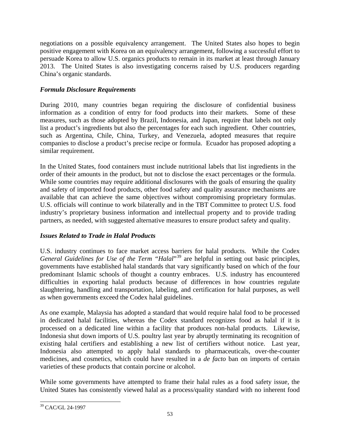negotiations on a possible equivalency arrangement. The United States also hopes to begin positive engagement with Korea on an equivalency arrangement, following a successful effort to persuade Korea to allow U.S. organics products to remain in its market at least through January 2013. The United States is also investigating concerns raised by U.S. producers regarding China's organic standards.

### *Formula Disclosure Requirements*

During 2010, many countries began requiring the disclosure of confidential business information as a condition of entry for food products into their markets. Some of these measures, such as those adopted by Brazil, Indonesia, and Japan, require that labels not only list a product's ingredients but also the percentages for each such ingredient. Other countries, such as Argentina, Chile, China, Turkey, and Venezuela, adopted measures that require companies to disclose a product's precise recipe or formula. Ecuador has proposed adopting a similar requirement.

In the United States, food containers must include nutritional labels that list ingredients in the order of their amounts in the product, but not to disclose the exact percentages or the formula. While some countries may require additional disclosures with the goals of ensuring the quality and safety of imported food products, other food safety and quality assurance mechanisms are available that can achieve the same objectives without compromising proprietary formulas. U.S. officials will continue to work bilaterally and in the TBT Committee to protect U.S. food industry's proprietary business information and intellectual property and to provide trading partners, as needed, with suggested alternative measures to ensure product safety and quality.

## *Issues Related to Trade in Halal Products*

U.S. industry continues to face market access barriers for halal products. While the Codex *General Guidelines for Use of the Term "Halal*"[39](#page-60-0) are helpful in setting out basic principles, governments have established halal standards that vary significantly based on which of the four predominant Islamic schools of thought a country embraces. U.S. industry has encountered difficulties in exporting halal products because of differences in how countries regulate slaughtering, handling and transportation, labeling, and certification for halal purposes, as well as when governments exceed the Codex halal guidelines.

As one example, Malaysia has adopted a standard that would require halal food to be processed in dedicated halal facilities, whereas the Codex standard recognizes food as halal if it is processed on a dedicated line within a facility that produces non-halal products. Likewise, Indonesia shut down imports of U.S. poultry last year by abruptly terminating its recognition of existing halal certifiers and establishing a new list of certifiers without notice. Last year, Indonesia also attempted to apply halal standards to pharmaceuticals, over-the-counter medicines, and cosmetics, which could have resulted in a *de facto* ban on imports of certain varieties of these products that contain porcine or alcohol.

While some governments have attempted to frame their halal rules as a food safety issue, the United States has consistently viewed halal as a process/quality standard with no inherent food

<span id="page-60-0"></span> <sup>39</sup> CAC/GL 24-1997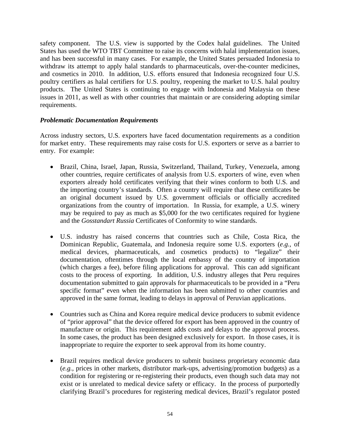safety component. The U.S. view is supported by the Codex halal guidelines. The United States has used the WTO TBT Committee to raise its concerns with halal implementation issues, and has been successful in many cases. For example, the United States persuaded Indonesia to withdraw its attempt to apply halal standards to pharmaceuticals, over-the-counter medicines, and cosmetics in 2010. In addition, U.S. efforts ensured that Indonesia recognized four U.S. poultry certifiers as halal certifiers for U.S. poultry, reopening the market to U.S. halal poultry products. The United States is continuing to engage with Indonesia and Malaysia on these issues in 2011, as well as with other countries that maintain or are considering adopting similar requirements.

#### *Problematic Documentation Requirements*

Across industry sectors, U.S. exporters have faced documentation requirements as a condition for market entry. These requirements may raise costs for U.S. exporters or serve as a barrier to entry. For example:

- Brazil, China, Israel, Japan, Russia, Switzerland, Thailand, Turkey, Venezuela, among other countries, require certificates of analysis from U.S. exporters of wine, even when exporters already hold certificates verifying that their wines conform to both U.S. and the importing country's standards. Often a country will require that these certificates be an original document issued by U.S. government officials or officially accredited organizations from the country of importation. In Russia, for example, a U.S. winery may be required to pay as much as \$5,000 for the two certificates required for hygiene and the *Gosstandart Russia* [Certificates of Conformity](http://www.russianengineeringgroup.com/COC.html) to wine standards.
- U.S. industry has raised concerns that countries such as Chile, Costa Rica, the Dominican Republic, Guatemala, and Indonesia require some U.S. exporters (*e.g.,* of medical devices, pharmaceuticals, and cosmetics products) to "legalize" their documentation, oftentimes through the local embassy of the country of importation (which charges a fee), before filing applications for approval. This can add significant costs to the process of exporting. In addition, U.S. industry alleges that Peru requires documentation submitted to gain approvals for pharmaceuticals to be provided in a "Peru specific format" even when the information has been submitted to other countries and approved in the same format, leading to delays in approval of Peruvian applications.
- Countries such as China and Korea require medical device producers to submit evidence of "prior approval" that the device offered for export has been approved in the country of manufacture or origin. This requirement adds costs and delays to the approval process. In some cases, the product has been designed exclusively for export. In those cases, it is inappropriate to require the exporter to seek approval from its home country.
- Brazil requires medical device producers to submit business proprietary economic data (*e.g.,* prices in other markets, distributor mark-ups, advertising/promotion budgets) as a condition for registering or re-registering their products, even though such data may not exist or is unrelated to medical device safety or efficacy. In the process of purportedly clarifying Brazil's procedures for registering medical devices, Brazil's regulator posted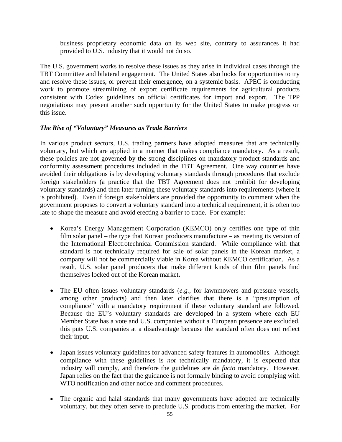business proprietary economic data on its web site, contrary to assurances it had provided to U.S. industry that it would not do so.

The U.S. government works to resolve these issues as they arise in individual cases through the TBT Committee and bilateral engagement. The United States also looks for opportunities to try and resolve these issues, or prevent their emergence, on a systemic basis. APEC is conducting work to promote streamlining of export certificate requirements for agricultural products consistent with Codex guidelines on official certificates for import and export. The TPP negotiation*s* may present another such opportunity for the United States to make progress on this issue.

#### *The Rise of "Voluntary" Measures as Trade Barriers*

In various product sectors, U.S. trading partners have adopted measures that are technically voluntary, but which are applied in a manner that makes compliance mandatory. As a result, these policies are not governed by the strong disciplines on mandatory product standards and conformity assessment procedures included in the TBT Agreement. One way countries have avoided their obligations is by developing voluntary standards through procedures that exclude foreign stakeholders (a practice that the TBT Agreement does not prohibit for developing voluntary standards) and then later turning these voluntary standards into requirements (where it is prohibited). Even if foreign stakeholders are provided the opportunity to comment when the government proposes to convert a voluntary standard into a technical requirement, it is often too late to shape the measure and avoid erecting a barrier to trade. For example:

- Korea's Energy Management Corporation (KEMCO) only certifies one type of thin film solar panel – the type that Korean producers manufacture – as meeting its version of the International Electrotechnical Commission standard. While compliance with that standard is not technically required for sale of solar panels in the Korean market, a company will not be commercially viable in Korea without KEMCO certification. As a result, U.S. solar panel producers that make different kinds of thin film panels find themselves locked out of the Korean market**.**
- The EU often issues voluntary standards (*e.g.*, for lawnmowers and pressure vessels, among other products) and then later clarifies that there is a "presumption of compliance" with a mandatory requirement if these voluntary standard are followed. Because the EU's voluntary standards are developed in a system where each EU Member State has a vote and U.S. companies without a European presence are excluded, this puts U.S. companies at a disadvantage because the standard often does not reflect their input.
- Japan issues voluntary guidelines for advanced safety features in automobiles. Although compliance with these guidelines is *not* technically mandatory, it is expected that industry will comply, and therefore the guidelines are *de facto* mandatory. However, Japan relies on the fact that the guidance is not formally binding to avoid complying with WTO notification and other notice and comment procedures.
- The organic and halal standards that many governments have adopted are technically voluntary, but they often serve to preclude U.S. products from entering the market. For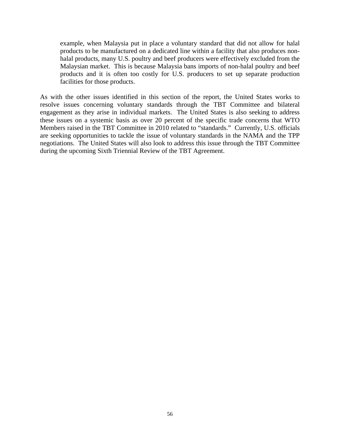example, when Malaysia put in place a voluntary standard that did not allow for halal products to be manufactured on a dedicated line within a facility that also produces nonhalal products, many U.S. poultry and beef producers were effectively excluded from the Malaysian market. This is because Malaysia bans imports of non-halal poultry and beef products and it is often too costly for U.S. producers to set up separate production facilities for those products.

As with the other issues identified in this section of the report, the United States works to resolve issues concerning voluntary standards through the TBT Committee and bilateral engagement as they arise in individual markets. The United States is also seeking to address these issues on a systemic basis as over 20 percent of the specific trade concerns that WTO Members raised in the TBT Committee in 2010 related to "standards." Currently, U.S. officials are seeking opportunities to tackle the issue of voluntary standards in the NAMA and the TPP negotiations. The United States will also look to address this issue through the TBT Committee during the upcoming Sixth Triennial Review of the TBT Agreement.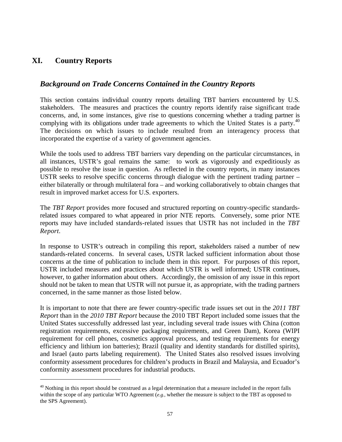## **XI. Country Reports**

-

## *Background on Trade Concerns Contained in the Country Reports*

This section contains individual country reports detailing TBT barriers encountered by U.S. stakeholders. The measures and practices the country reports identify raise significant trade concerns, and, in some instances, give rise to questions concerning whether a trading partner is complying with its obligations under trade agreements to which the United States is a party.<sup>40</sup> The decisions on which issues to include resulted from an interagency process that incorporated the expertise of a variety of government agencies.

While the tools used to address TBT barriers vary depending on the particular circumstances, in all instances, USTR's goal remains the same: to work as vigorously and expeditiously as possible to resolve the issue in question. As reflected in the country reports, in many instances USTR seeks to resolve specific concerns through dialogue with the pertinent trading partner – either bilaterally or through multilateral fora – and working collaboratively to obtain changes that result in improved market access for U.S. exporters.

The *TBT Report* provides more focused and structured reporting on country-specific standardsrelated issues compared to what appeared in prior NTE reports. Conversely, some prior NTE reports may have included standards-related issues that USTR has not included in the *TBT Report.*

In response to USTR's outreach in compiling this report, stakeholders raised a number of new standards-related concerns. In several cases, USTR lacked sufficient information about those concerns at the time of publication to include them in this report. For purposes of this report*,*  USTR included measures and practices about which USTR is well informed; USTR continues, however, to gather information about others. Accordingly, the omission of any issue in this report should not be taken to mean that USTR will not pursue it, as appropriate, with the trading partners concerned, in the same manner as those listed below.

It is important to note that there are fewer country-specific trade issues set out in the *2011 TBT Report* than in the *2010 TBT Report* because the 2010 TBT Report included some issues that the United States successfully addressed last year, including several trade issues with China (cotton registration requirements, excessive packaging requirements, and Green Dam), Korea (WIPI requirement for cell phones, cosmetics approval process, and testing requirements for energy efficiency and lithium ion batteries); Brazil (quality and identity standards for distilled spirits), and Israel (auto parts labeling requirement). The United States also resolved issues involving conformity assessment procedures for children's products in Brazil and Malaysia, and Ecuador's conformity assessment procedures for industrial products.

<span id="page-64-0"></span> $40$  Nothing in this report should be construed as a legal determination that a measure included in the report falls within the scope of any particular WTO Agreement (*e.g.,* whether the measure is subject to the TBT as opposed to the SPS Agreement).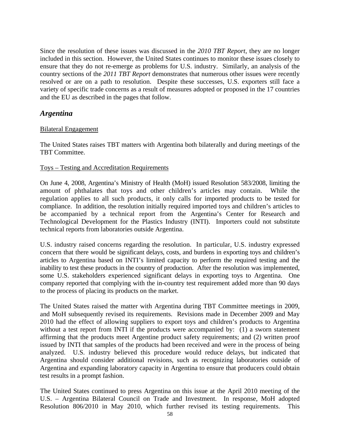Since the resolution of these issues was discussed in the *2010 TBT Report*, they are no longer included in this section. However, the United States continues to monitor these issues closely to ensure that they do not re-emerge as problems for U.S. industry. Similarly, an analysis of the country sections of the *2011 TBT Report* demonstrates that numerous other issues were recently resolved or are on a path to resolution. Despite these successes, U.S. exporters still face a variety of specific trade concerns as a result of measures adopted or proposed in the 17 countries and the EU as described in the pages that follow.

### *Argentina*

#### Bilateral Engagement

The United States raises TBT matters with Argentina both bilaterally and during meetings of the TBT Committee.

#### Toys – Testing and Accreditation Requirements

On June 4, 2008, Argentina's Ministry of Health (MoH) issued Resolution 583/2008, limiting the amount of phthalates that toys and other children's articles may contain. While the regulation applies to all such products, it only calls for imported products to be tested for compliance. In addition, the resolution initially required imported toys and children's articles to be accompanied by a technical report from the Argentina's Center for Research and Technological Development for the Plastics Industry (INTI). Importers could not substitute technical reports from laboratories outside Argentina.

U.S. industry raised concerns regarding the resolution. In particular, U.S. industry expressed concern that there would be significant delays, costs, and burdens in exporting toys and children's articles to Argentina based on INTI's limited capacity to perform the required testing and the inability to test these products in the country of production. After the resolution was implemented, some U.S. stakeholders experienced significant delays in exporting toys to Argentina. One company reported that complying with the in-country test requirement added more than 90 days to the process of placing its products on the market.

The United States raised the matter with Argentina during TBT Committee meetings in 2009, and MoH subsequently revised its requirements. Revisions made in December 2009 and May 2010 had the effect of allowing suppliers to export toys and children's products to Argentina without a test report from INTI if the products were accompanied by: (1) a sworn statement affirming that the products meet Argentine product safety requirements; and (2) written proof issued by INTI that samples of the products had been received and were in the process of being analyzed. U.S. industry believed this procedure would reduce delays, but indicated that Argentina should consider additional revisions, such as recognizing laboratories outside of Argentina and expanding laboratory capacity in Argentina to ensure that producers could obtain test results in a prompt fashion.

The United States continued to press Argentina on this issue at the April 2010 meeting of the U.S. – Argentina Bilateral Council on Trade and Investment. In response, MoH adopted Resolution 806/2010 in May 2010, which further revised its testing requirements. This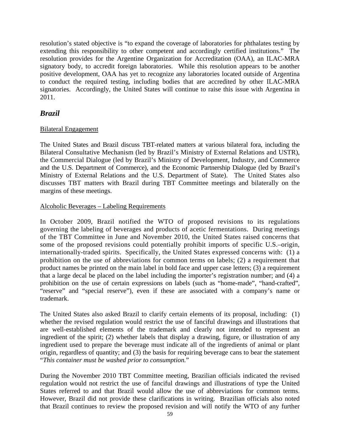resolution's stated objective is "to expand the coverage of laboratories for phthalates testing by extending this responsibility to other competent and accordingly certified institutions." The resolution provides for the Argentine Organization for Accreditation (OAA), an ILAC-MRA signatory body, to accredit foreign laboratories. While this resolution appears to be another positive development, OAA has yet to recognize any laboratories located outside of Argentina to conduct the required testing, including bodies that are accredited by other ILAC-MRA signatories. Accordingly, the United States will continue to raise this issue with Argentina in 2011.

## *Brazil*

#### Bilateral Engagement

The United States and Brazil discuss TBT-related matters at various bilateral fora, including the Bilateral Consultative Mechanism (led by Brazil's Ministry of External Relations and USTR), the Commercial Dialogue (led by Brazil's Ministry of Development, Industry, and Commerce and the U.S. Department of Commerce), and the Economic Partnership Dialogue (led by Brazil's Ministry of External Relations and the U.S. Department of State). The United States also discusses TBT matters with Brazil during TBT Committee meetings and bilaterally on the margins of these meetings.

#### Alcoholic Beverages – Labeling Requirements

In October 2009, Brazil notified the WTO of proposed revisions to its regulations governing the labeling of beverages and products of acetic fermentations. During meetings of the TBT Committee in June and November 2010, the United States raised concerns that some of the proposed revisions could potentially prohibit imports of specific U.S.–origin, internationally-traded spirits. Specifically, the United States expressed concerns with: (1) a prohibition on the use of abbreviations for common terms on labels; (2) a requirement that product names be printed on the main label in bold face and upper case letters; (3) a requirement that a large decal be placed on the label including the importer's registration number; and (4) a prohibition on the use of certain expressions on labels (such as "home-made", "hand-crafted", "reserve" and "special reserve"), even if these are associated with a company's name or trademark.

The United States also asked Brazil to clarify certain elements of its proposal, including: (1) whether the revised regulation would restrict the use of fanciful drawings and illustrations that are well-established elements of the trademark and clearly not intended to represent an ingredient of the spirit; (2) whether labels that display a drawing, figure, or illustration of any ingredient used to prepare the beverage must indicate all of the ingredients of animal or plant origin, regardless of quantity; and (3) the basis for requiring beverage cans to bear the statement "*This container must be washed prior to consumption.*"

During the November 2010 TBT Committee meeting, Brazilian officials indicated the revised regulation would not restrict the use of fanciful drawings and illustrations of type the United States referred to and that Brazil would allow the use of abbreviations for common terms. However, Brazil did not provide these clarifications in writing. Brazilian officials also noted that Brazil continues to review the proposed revision and will notify the WTO of any further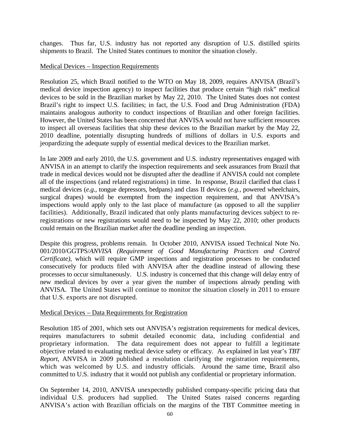changes. Thus far, U.S. industry has not reported any disruption of U.S. distilled spirits shipments to Brazil. The United States continues to monitor the situation closely.

#### Medical Devices – Inspection Requirements

Resolution 25, which Brazil notified to the WTO on May 18, 2009, requires ANVISA (Brazil's medical device inspection agency) to inspect facilities that produce certain "high risk" medical devices to be sold in the Brazilian market by May 22, 2010. The United States does not contest Brazil's right to inspect U.S. facilities; in fact, the U.S. Food and Drug Administration (FDA) maintains analogous authority to conduct inspections of Brazilian and other foreign facilities. However, the United States has been concerned that ANVISA would not have sufficient resources to inspect all overseas facilities that ship these devices to the Brazilian market by the May 22, 2010 deadline, potentially disrupting hundreds of millions of dollars in U.S. exports and jeopardizing the adequate supply of essential medical devices to the Brazilian market.

In late 2009 and early 2010, the U.S. government and U.S. industry representatives engaged with ANVISA in an attempt to clarify the inspection requirements and seek assurances from Brazil that trade in medical devices would not be disrupted after the deadline if ANVISA could not complete all of the inspections (and related registrations) in time. In response, Brazil clarified that class I medical devices (*e.g.,* tongue depressors, bedpans) and class II devices (*e.g.,* powered wheelchairs, surgical drapes) would be exempted from the inspection requirement, and that ANVISA's inspections would apply only to the last place of manufacture (as opposed to all the supplier facilities). Additionally, Brazil indicated that only plants manufacturing devices subject to reregistrations or new registrations would need to be inspected by May 22, 2010; other products could remain on the Brazilian market after the deadline pending an inspection.

Despite this progress, problems remain. In October 2010, ANVISA issued Technical Note No. 001/2010/GGTPS/*ANVISA (Requirement of Good Manufacturing Practices and Control Certificate)*, which will require GMP inspections and registration processes to be conducted consecutively for products filed with ANVISA after the deadline instead of allowing these processes to occur simultaneously. U.S. industry is concerned that this change will delay entry of new medical devices by over a year given the number of inspections already pending with ANVISA. The United States will continue to monitor the situation closely in 2011 to ensure that U.S. exports are not disrupted.

#### Medical Devices – Data Requirements for Registration

Resolution 185 of 2001, which sets out ANVISA's registration requirements for medical devices, requires manufacturers to submit detailed economic data, including confidential and proprietary information. The data requirement does not appear to fulfill a legitimate objective related to evaluating medical device safety or efficacy. As explained in last year's *TBT Report*, ANVISA in 2009 published a resolution clarifying the registration requirements, which was welcomed by U.S. and industry officials. Around the same time, Brazil also committed to U.S. industry that it would not publish any confidential or proprietary information.

On September 14, 2010, ANVISA unexpectedly published company-specific pricing data that individual U.S. producers had supplied. The United States raised concerns regarding The United States raised concerns regarding. ANVISA's action with Brazilian officials on the margins of the TBT Committee meeting in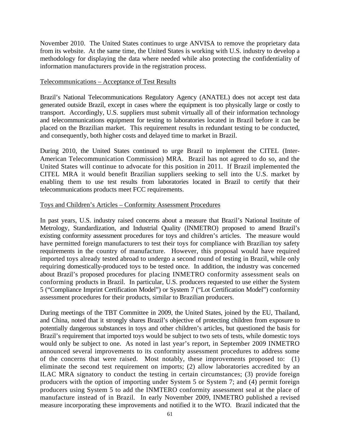November 2010. The United States continues to urge ANVISA to remove the proprietary data from its website. At the same time, the United States is working with U.S. industry to develop a methodology for displaying the data where needed while also protecting the confidentiality of information manufacturers provide in the registration process.

#### Telecommunications – Acceptance of Test Results

Brazil's National Telecommunications Regulatory Agency (ANATEL) does not accept test data generated outside Brazil, except in cases where the equipment is too physically large or costly to transport. Accordingly, U.S. suppliers must submit virtually all of their information technology and telecommunications equipment for testing to laboratories located in Brazil before it can be placed on the Brazilian market. This requirement results in redundant testing to be conducted, and consequently, both higher costs and delayed time to market in Brazil.

During 2010, the United States continued to urge Brazil to implement the CITEL (Inter-American Telecommunication Commission) MRA. Brazil has not agreed to do so, and the United States will continue to advocate for this position in 2011. If Brazil implemented the CITEL MRA it would benefit Brazilian suppliers seeking to sell into the U.S. market by enabling them to use test results from laboratories located in Brazil to certify that their telecommunications products meet FCC requirements.

#### Toys and Children's Articles – Conformity Assessment Procedures

In past years, U.S. industry raised concerns about a measure that Brazil's National Institute of Metrology, Standardization, and Industrial Quality (INMETRO) proposed to amend Brazil's existing conformity assessment procedures for toys and children's articles. The measure would have permitted foreign manufacturers to test their toys for compliance with Brazilian toy safety requirements in the country of manufacture. However, this proposal would have required imported toys already tested abroad to undergo a second round of testing in Brazil, while only requiring domestically-produced toys to be tested once. In addition, the industry was concerned about Brazil's proposed procedures for placing INMETRO conformity assessment seals on conforming products in Brazil. In particular, U.S. producers requested to use either the System 5 ("Compliance Imprint Certification Model") or System 7 ("Lot Certification Model") conformity assessment procedures for their products, similar to Brazilian producers.

During meetings of the TBT Committee in 2009, the United States, joined by the EU, Thailand, and China, noted that it strongly shares Brazil's objective of protecting children from exposure to potentially dangerous substances in toys and other children's articles, but questioned the basis for Brazil's requirement that imported toys would be subject to two sets of tests, while domestic toys would only be subject to one. As noted in last year's report, in September 2009 INMETRO announced several improvements to its conformity assessment procedures to address some of the concerns that were raised. Most notably, these improvements proposed to: (1) eliminate the second test requirement on imports; (2) allow laboratories accredited by an ILAC MRA signatory to conduct the testing in certain circumstances; (3) provide foreign producers with the option of importing under System 5 or System 7; and (4) permit foreign producers using System 5 to add the INMTERO conformity assessment seal at the place of manufacture instead of in Brazil. In early November 2009, INMETRO published a revised measure incorporating these improvements and notified it to the WTO. Brazil indicated that the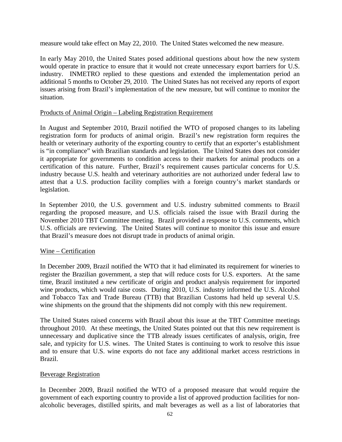measure would take effect on May 22, 2010. The United States welcomed the new measure.

In early May 2010, the United States posed additional questions about how the new system would operate in practice to ensure that it would not create unnecessary export barriers for U.S. industry. INMETRO replied to these questions and extended the implementation period an additional 5 months to October 29, 2010. The United States has not received any reports of export issues arising from Brazil's implementation of the new measure, but will continue to monitor the situation.

#### Products of Animal Origin – Labeling Registration Requirement

In August and September 2010, Brazil notified the WTO of proposed changes to its labeling registration form for products of animal origin. Brazil's new registration form requires the health or veterinary authority of the exporting country to certify that an exporter's establishment is "in compliance" with Brazilian standards and legislation. The United States does not consider it appropriate for governments to condition access to their markets for animal products on a certification of this nature. Further, Brazil's requirement causes particular concerns for U.S. industry because U.S. health and veterinary authorities are not authorized under federal law to attest that a U.S. production facility complies with a foreign country's market standards or legislation.

In September 2010, the U.S. government and U.S. industry submitted comments to Brazil regarding the proposed measure, and U.S. officials raised the issue with Brazil during the November 2010 TBT Committee meeting. Brazil provided a response to U.S. comments, which U.S. officials are reviewing. The United States will continue to monitor this issue and ensure that Brazil's measure does not disrupt trade in products of animal origin.

#### Wine – Certification

In December 2009, Brazil notified the WTO that it had eliminated its requirement for wineries to register the Brazilian government, a step that will reduce costs for U.S. exporters. At the same time, Brazil instituted a new certificate of origin and product analysis requirement for imported wine products, which would raise costs. During 2010, U.S. industry informed the U.S. Alcohol and Tobacco Tax and Trade Bureau (TTB) that Brazilian Customs had held up several U.S. wine shipments on the ground that the shipments did not comply with this new requirement.

The United States raised concerns with Brazil about this issue at the TBT Committee meetings throughout 2010. At these meetings, the United States pointed out that this new requirement is unnecessary and duplicative since the TTB already issues certificates of analysis, origin, free sale, and typicity for U.S. wines. The United States is continuing to work to resolve this issue and to ensure that U.S. wine exports do not face any additional market access restrictions in Brazil.

#### Beverage Registration

In December 2009, Brazil notified the WTO of a proposed measure that would require the government of each exporting country to provide a list of approved production facilities for nonalcoholic beverages, distilled spirits, and malt beverages as well as a list of laboratories that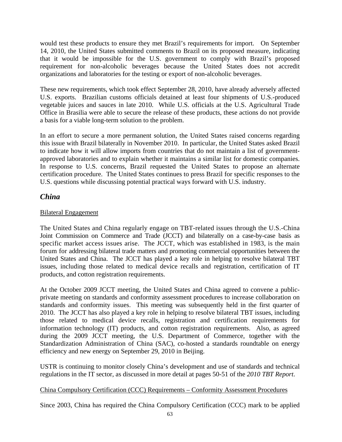would test these products to ensure they met Brazil's requirements for import. On September 14, 2010, the United States submitted comments to Brazil on its proposed measure, indicating that it would be impossible for the U.S. government to comply with Brazil's proposed requirement for non-alcoholic beverages because the United States does not accredit organizations and laboratories for the testing or export of non-alcoholic beverages.

These new requirements, which took effect September 28, 2010, have already adversely affected U.S. exports. Brazilian customs officials detained at least four shipments of U.S.-produced vegetable juices and sauces in late 2010. While U.S. officials at the U.S. Agricultural Trade Office in Brasilia were able to secure the release of these products, these actions do not provide a basis for a viable long-term solution to the problem.

In an effort to secure a more permanent solution, the United States raised concerns regarding this issue with Brazil bilaterally in November 2010. In particular, the United States asked Brazil to indicate how it will allow imports from countries that do not maintain a list of governmentapproved laboratories and to explain whether it maintains a similar list for domestic companies. In response to U.S. concerns, Brazil requested the United States to propose an alternate certification procedure. The United States continues to press Brazil for specific responses to the U.S. questions while discussing potential practical ways forward with U.S. industry.

## *China*

### Bilateral Engagement

The United States and China regularly engage on TBT-related issues through the U.S.-China Joint Commission on Commerce and Trade (JCCT) and bilaterally on a case-by-case basis as specific market access issues arise. The JCCT, which was established in 1983, is the main forum for addressing bilateral trade matters and promoting commercial opportunities between the United States and China. The JCCT has played a key role in helping to resolve bilateral TBT issues, including those related to medical device recalls and registration, certification of IT products, and cotton registration requirements.

At the October 2009 JCCT meeting, the United States and China agreed to convene a publicprivate meeting on standards and conformity assessment procedures to increase collaboration on standards and conformity issues. This meeting was subsequently held in the first quarter of 2010. The JCCT has also played a key role in helping to resolve bilateral TBT issues, including those related to medical device recalls, registration and certification requirements for information technology (IT) products, and cotton registration requirements. Also, as agreed during the 2009 JCCT meeting, the U.S. Department of Commerce, together with the Standardization Administration of China (SAC), co-hosted a standards roundtable on energy efficiency and new energy on September 29, 2010 in Beijing.

USTR is continuing to monitor closely China's development and use of standards and technical regulations in the IT sector, as discussed in more detail at pages 50-51 of the *2010 TBT Report*.

#### China Compulsory Certification (CCC) Requirements – Conformity Assessment Procedures

Since 2003, China has required the China Compulsory Certification (CCC) mark to be applied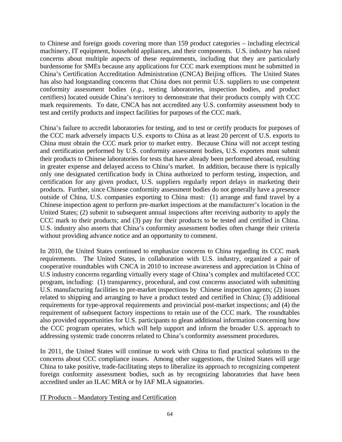to Chinese and foreign goods covering more than 159 product categories – including electrical machinery, IT equipment, household appliances, and their components. U.S. industry has raised concerns about multiple aspects of these requirements, including that they are particularly burdensome for SMEs because any applications for CCC mark exemptions must be submitted in China's Certification Accreditation Administration (CNCA) Beijing offices. The United States has also had longstanding concerns that China does not permit U.S. suppliers to use competent conformity assessment bodies (*e.g.*, testing laboratories, inspection bodies, and product certifiers) located outside China's territory to demonstrate that their products comply with CCC mark requirements. To date, CNCA has not accredited any U.S. conformity assessment body to test and certify products and inspect facilities for purposes of the CCC mark.

China's failure to accredit laboratories for testing, and to test or certify products for purposes of the CCC mark adversely impacts U.S. exports to China as at least 20 percent of U.S. exports to China must obtain the CCC mark prior to market entry. Because China will not accept testing and certification performed by U.S. conformity assessment bodies, U.S. exporters must submit their products to Chinese laboratories for tests that have already been performed abroad, resulting in greater expense and delayed access to China's market. In addition, because there is typically only one designated certification body in China authorized to perform testing, inspection, and certification for any given product, U.S. suppliers regularly report delays in marketing their products. Further, since Chinese conformity assessment bodies do not generally have a presence outside of China, U.S. companies exporting to China must: (1) arrange and fund travel by a Chinese inspection agent to perform pre-market inspections at the manufacturer's location in the United States; (2) submit to subsequent annual inspections after receiving authority to apply the CCC mark to their products; and (3) pay for their products to be tested and certified in China. U.S. industry also asserts that China's conformity assessment bodies often change their criteria without providing advance notice and an opportunity to comment.

In 2010, the United States continued to emphasize concerns to China regarding its CCC mark requirements. The United States, in collaboration with U.S. industry, organized a pair of cooperative roundtables with CNCA in 2010 to increase awareness and appreciation in China of U.S industry concerns regarding virtually every stage of China's complex and multifaceted CCC program, including: (1) transparency, procedural, and cost concerns associated with submitting U.S. manufacturing facilities to pre-market inspections by Chinese inspection agents; (2) issues related to shipping and arranging to have a product tested and certified in China; (3) additional requirements for type-approval requirements and provincial post-market inspections; and (4) the requirement of subsequent factory inspections to retain use of the CCC mark. The roundtables also provided opportunities for U.S. participants to glean additional information concerning how the CCC program operates, which will help support and inform the broader U.S. approach to addressing systemic trade concerns related to China's conformity assessment procedures.

In 2011, the United States will continue to work with China to find practical solutions to the concerns about CCC compliance issues. Among other suggestions, the United States will urge China to take positive, trade-facilitating steps to liberalize its approach to recognizing competent foreign conformity assessment bodies, such as by recognizing laboratories that have been accredited under an ILAC MRA or by IAF MLA signatories.

IT Products – Mandatory Testing and Certification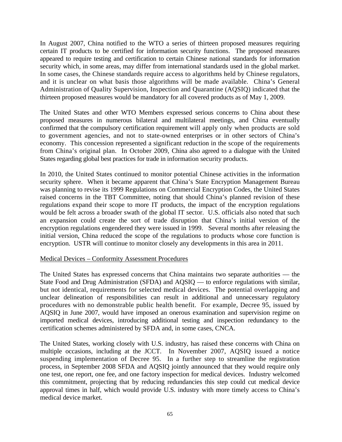In August 2007, China notified to the WTO a series of thirteen proposed measures requiring certain IT products to be certified for information security functions. The proposed measures appeared to require testing and certification to certain Chinese national standards for information security which, in some areas, may differ from international standards used in the global market. In some cases, the Chinese standards require access to algorithms held by Chinese regulators, and it is unclear on what basis those algorithms will be made available. China's General Administration of Quality Supervision, Inspection and Quarantine (AQSIQ) indicated that the thirteen proposed measures would be mandatory for all covered products as of May 1, 2009.

The United States and other WTO Members expressed serious concerns to China about these proposed measures in numerous bilateral and multilateral meetings, and China eventually confirmed that the compulsory certification requirement will apply only when products are sold to government agencies, and not to state-owned enterprises or in other sectors of China's economy. This concession represented a significant reduction in the scope of the requirements from China's original plan. In October 2009, China also agreed to a dialogue with the United States regarding global best practices for trade in information security products.

In 2010, the United States continued to monitor potential Chinese activities in the information security sphere. When it became apparent that China's State Encryption Management Bureau was planning to revise its 1999 Regulations on Commercial Encryption Codes, the United States raised concerns in the TBT Committee, noting that should China's planned revision of these regulations expand their scope to more IT products, the impact of the encryption regulations would be felt across a broader swath of the global IT sector. U.S. officials also noted that such an expansion could create the sort of trade disruption that China's initial version of the encryption regulations engendered they were issued in 1999. Several months after releasing the initial version, China reduced the scope of the regulations to products whose core function is encryption. USTR will continue to monitor closely any developments in this area in 2011.

#### Medical Devices – Conformity Assessment Procedures

The United States has expressed concerns that China maintains two separate authorities — the State Food and Drug Administration (SFDA) and AQSIQ — to enforce regulations with similar, but not identical, requirements for selected medical devices. The potential overlapping and unclear delineation of responsibilities can result in additional and unnecessary regulatory procedures with no demonstrable public health benefit. For example, Decree 95, issued by AQSIQ in June 2007, would have imposed an onerous examination and supervision regime on imported medical devices, introducing additional testing and inspection redundancy to the certification schemes administered by SFDA and, in some cases, CNCA.

The United States, working closely with U.S. industry, has raised these concerns with China on multiple occasions, including at the JCCT. In November 2007, AQSIQ issued a notice suspending implementation of Decree 95. In a further step to streamline the registration process, in September 2008 SFDA and AQSIQ jointly announced that they would require only one test, one report, one fee, and one factory inspection for medical devices. Industry welcomed this commitment, projecting that by reducing redundancies this step could cut medical device approval times in half, which would provide U.S. industry with more timely access to China's medical device market.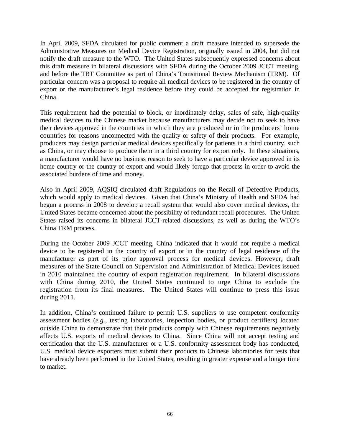In April 2009, SFDA circulated for public comment a draft measure intended to supersede the Administrative Measures on Medical Device Registration, originally issued in 2004, but did not notify the draft measure to the WTO. The United States subsequently expressed concerns about this draft measure in bilateral discussions with SFDA during the October 2009 JCCT meeting, and before the TBT Committee as part of China's Transitional Review Mechanism (TRM). Of particular concern was a proposal to require all medical devices to be registered in the country of export or the manufacturer's legal residence before they could be accepted for registration in China.

This requirement had the potential to block, or inordinately delay, sales of safe, high-quality medical devices to the Chinese market because manufacturers may decide not to seek to have their devices approved in the countries in which they are produced or in the producers' home countries for reasons unconnected with the quality or safety of their products. For example, producers may design particular medical devices specifically for patients in a third country, such as China, or may choose to produce them in a third country for export only. In these situations, a manufacturer would have no business reason to seek to have a particular device approved in its home country or the country of export and would likely forego that process in order to avoid the associated burdens of time and money.

Also in April 2009, AQSIQ circulated draft Regulations on the Recall of Defective Products, which would apply to medical devices. Given that China's Ministry of Health and SFDA had begun a process in 2008 to develop a recall system that would also cover medical devices, the United States became concerned about the possibility of redundant recall procedures. The United States raised its concerns in bilateral JCCT-related discussions, as well as during the WTO's China TRM process.

During the October 2009 JCCT meeting, China indicated that it would not require a medical device to be registered in the country of export or in the country of legal residence of the manufacturer as part of its prior approval process for medical devices. However, draft measures of the State Council on Supervision and Administration of Medical Devices issued in 2010 maintained the country of export registration requirement. In bilateral discussions with China during 2010, the United States continued to urge China to exclude the registration from its final measures. The United States will continue to press this issue during 2011.

In addition, China's continued failure to permit U.S. suppliers to use competent conformity assessment bodies (*e.g.*, testing laboratories, inspection bodies, or product certifiers) located outside China to demonstrate that their products comply with Chinese requirements negatively affects U.S. exports of medical devices to China. Since China will not accept testing and certification that the U.S. manufacturer or a U.S. conformity assessment body has conducted, U.S. medical device exporters must submit their products to Chinese laboratories for tests that have already been performed in the United States, resulting in greater expense and a longer time to market.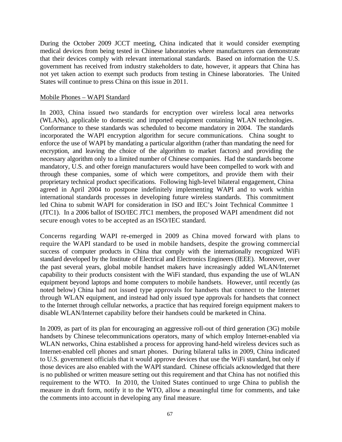During the October 2009 JCCT meeting, China indicated that it would consider exempting medical devices from being tested in Chinese laboratories where manufacturers can demonstrate that their devices comply with relevant international standards. Based on information the U.S. government has received from industry stakeholders to date, however, it appears that China has not yet taken action to exempt such products from testing in Chinese laboratories. The United States will continue to press China on this issue in 2011.

#### Mobile Phones – WAPI Standard

In 2003, China issued two standards for encryption over wireless local area networks (WLANs), applicable to domestic and imported equipment containing WLAN technologies. Conformance to these standards was scheduled to become mandatory in 2004. The standards incorporated the WAPI encryption algorithm for secure communications. China sought to enforce the use of WAPI by mandating a particular algorithm (rather than mandating the need for encryption, and leaving the choice of the algorithm to market factors) and providing the necessary algorithm only to a limited number of Chinese companies. Had the standards become mandatory, U.S. and other foreign manufacturers would have been compelled to work with and through these companies, some of which were competitors, and provide them with their proprietary technical product specifications. Following high-level bilateral engagement, China agreed in April 2004 to postpone indefinitely implementing WAPI and to work within international standards processes in developing future wireless standards. This commitment led China to submit WAPI for consideration in ISO and IEC's Joint Technical Committee 1 (JTC1). In a 2006 ballot of ISO/IEC JTC1 members, the proposed WAPI amendment did not secure enough votes to be accepted as an ISO/IEC standard.

Concerns regarding WAPI re-emerged in 2009 as China moved forward with plans to require the WAPI standard to be used in mobile handsets, despite the growing commercial success of computer products in China that comply with the internationally recognized WiFi standard developed by the Institute of Electrical and Electronics Engineers (IEEE). Moreover, over the past several years, global mobile handset makers have increasingly added WLAN/Internet capability to their products consistent with the WiFi standard, thus expanding the use of WLAN equipment beyond laptops and home computers to mobile handsets. However, until recently (as noted below) China had not issued type approvals for handsets that connect to the Internet through WLAN equipment, and instead had only issued type approvals for handsets that connect to the Internet through cellular networks, a practice that has required foreign equipment makers to disable WLAN/Internet capability before their handsets could be marketed in China.

In 2009, as part of its plan for encouraging an aggressive roll-out of third generation (3G) mobile handsets by Chinese telecommunications operators, many of which employ Internet-enabled via WLAN networks, China established a process for approving hand-held wireless devices such as Internet-enabled cell phones and smart phones. During bilateral talks in 2009, China indicated to U.S. government officials that it would approve devices that use the WiFi standard, but only if those devices are also enabled with the WAPI standard. Chinese officials acknowledged that there is no published or written measure setting out this requirement and that China has not notified this requirement to the WTO. In 2010, the United States continued to urge China to publish the measure in draft form, notify it to the WTO, allow a meaningful time for comments, and take the comments into account in developing any final measure.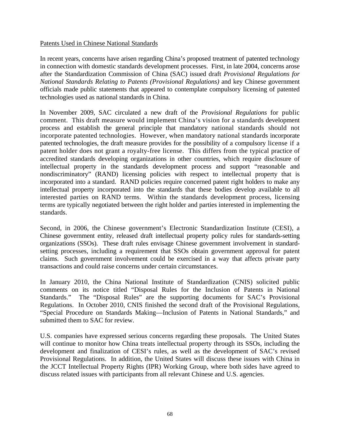### Patents Used in Chinese National Standards

In recent years, concerns have arisen regarding China's proposed treatment of patented technology in connection with domestic standards development processes. First, in late 2004, concerns arose after the Standardization Commission of China (SAC) issued draft *Provisional Regulations for National Standards Relating to Patents (Provisional Regulations)* and key Chinese government officials made public statements that appeared to contemplate compulsory licensing of patented technologies used as national standards in China.

In November 2009, SAC circulated a new draft of the *Provisional Regulations* for public comment. This draft measure would implement China's vision for a standards development process and establish the general principle that mandatory national standards should not incorporate patented technologies. However, when mandatory national standards incorporate patented technologies, the draft measure provides for the possibility of a compulsory license if a patent holder does not grant a royalty-free license. This differs from the typical practice of accredited standards developing organizations in other countries, which require disclosure of intellectual property in the standards development process and support "reasonable and nondiscriminatory" (RAND) licensing policies with respect to intellectual property that is incorporated into a standard. RAND policies require concerned patent right holders to make any intellectual property incorporated into the standards that these bodies develop available to all interested parties on RAND terms. Within the standards development process, licensing terms are typically negotiated between the right holder and parties interested in implementing the standards.

Second, in 2006, the Chinese government's Electronic Standardization Institute (CESI), a Chinese government entity, released draft intellectual property policy rules for standards-setting organizations (SSOs). These draft rules envisage Chinese government involvement in standardsetting processes, including a requirement that SSOs obtain government approval for patent claims. Such government involvement could be exercised in a way that affects private party transactions and could raise concerns under certain circumstances.

In January 2010, the China National Institute of Standardization (CNIS) solicited public comments on its notice titled "Disposal Rules for the Inclusion of Patents in National Standards." The "Disposal Rules" are the supporting documents for SAC's Provisional Regulations. In October 2010, CNIS finished the second draft of the Provisional Regulations, "Special Procedure on Standards Making—Inclusion of Patents in National Standards," and submitted them to SAC for review.

U.S. companies have expressed serious concerns regarding these proposals. The United States will continue to monitor how China treats intellectual property through its SSOs, including the development and finalization of CESI's rules, as well as the development of SAC's revised Provisional Regulations. In addition, the United States will discuss these issues with China in the JCCT Intellectual Property Rights (IPR) Working Group, where both sides have agreed to discuss related issues with participants from all relevant Chinese and U.S. agencies.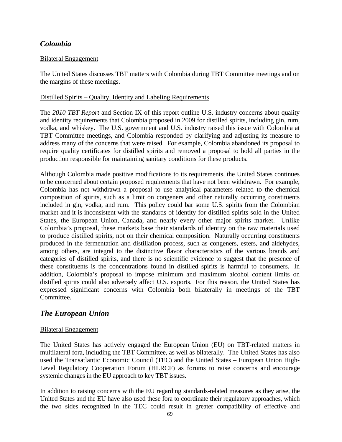# *Colombia*

### Bilateral Engagement

The United States discusses TBT matters with Colombia during TBT Committee meetings and on the margins of these meetings.

#### Distilled Spirits – Quality, Identity and Labeling Requirements

The *2010 TBT Report* and Section IX of this report outline U.S. industry concerns about quality and identity requirements that Colombia proposed in 2009 for distilled spirits, including gin, rum, vodka, and whiskey. The U.S. government and U.S. industry raised this issue with Colombia at TBT Committee meetings, and Colombia responded by clarifying and adjusting its measure to address many of the concerns that were raised. For example, Colombia abandoned its proposal to require quality certificates for distilled spirits and removed a proposal to hold all parties in the production responsible for maintaining sanitary conditions for these products.

Although Colombia made positive modifications to its requirements, the United States continues to be concerned about certain proposed requirements that have not been withdrawn. For example, Colombia has not withdrawn a proposal to use analytical parameters related to the chemical composition of spirits, such as a limit on congeners and other naturally occurring constituents included in gin, vodka, and rum. This policy could bar some U.S. spirits from the Colombian market and it is inconsistent with the standards of identity for distilled spirits sold in the United States, the European Union, Canada, and nearly every other major spirits market. Unlike Colombia's proposal, these markets base their standards of identity on the raw materials used to produce distilled spirits, not on their chemical composition. Naturally occurring constituents produced in the fermentation and distillation process, such as congeners, esters, and aldehydes, among others, are integral to the distinctive flavor characteristics of the various brands and categories of distilled spirits, and there is no scientific evidence to suggest that the presence of these constituents is the concentrations found in distilled spirits is harmful to consumers. In addition, Colombia's proposal to impose minimum and maximum alcohol content limits on distilled spirits could also adversely affect U.S. exports. For this reason, the United States has expressed significant concerns with Colombia both bilaterally in meetings of the TBT Committee.

## *The European Union*

#### Bilateral Engagement

The United States has actively engaged the European Union (EU) on TBT-related matters in multilateral fora, including the TBT Committee, as well as bilaterally. The United States has also used the Transatlantic Economic Council (TEC) and the United States – European Union High-Level Regulatory Cooperation Forum (HLRCF) as forums to raise concerns and encourage systemic changes in the EU approach to key TBT issues.

In addition to raising concerns with the EU regarding standards-related measures as they arise, the United States and the EU have also used these fora to coordinate their regulatory approaches, which the two sides recognized in the TEC could result in greater compatibility of effective and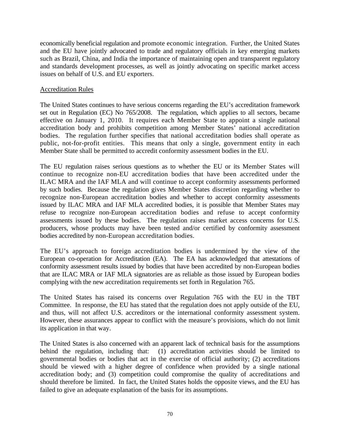economically beneficial regulation and promote economic integration. Further, the United States and the EU have jointly advocated to trade and regulatory officials in key emerging markets such as Brazil, China, and India the importance of maintaining open and transparent regulatory and standards development processes, as well as jointly advocating on specific market access issues on behalf of U.S. and EU exporters.

#### Accreditation Rules

The United States continues to have serious concerns regarding the EU's accreditation framework set out in Regulation (EC) No 765/2008. The regulation, which applies to all sectors, became effective on January 1, 2010. It requires each Member State to appoint a single national accreditation body and prohibits competition among Member States' national accreditation bodies. The regulation further specifies that national accreditation bodies shall operate as public, not-for-profit entities. This means that only a single, government entity in each Member State shall be permitted to accredit conformity assessment bodies in the EU.

The EU regulation raises serious questions as to whether the EU or its Member States will continue to recognize non-EU accreditation bodies that have been accredited under the ILAC MRA and the IAF MLA and will continue to accept conformity assessments performed by such bodies. Because the regulation gives Member States discretion regarding whether to recognize non-European accreditation bodies and whether to accept conformity assessments issued by ILAC MRA and IAF MLA accredited bodies, it is possible that Member States may refuse to recognize non-European accreditation bodies and refuse to accept conformity assessments issued by these bodies. The regulation raises market access concerns for U.S. producers, whose products may have been tested and/or certified by conformity assessment bodies accredited by non-European accreditation bodies.

The EU's approach to foreign accreditation bodies is undermined by the view of the European co-operation for Accreditation (EA). The EA has acknowledged that attestations of conformity assessment results issued by bodies that have been accredited by non-European bodies that are ILAC MRA or IAF MLA signatories are as reliable as those issued by European bodies complying with the new accreditation requirements set forth in Regulation 765.

The United States has raised its concerns over Regulation 765 with the EU in the TBT Committee. In response, the EU has stated that the regulation does not apply outside of the EU, and thus, will not affect U.S. accreditors or the international conformity assessment system. However, these assurances appear to conflict with the measure's provisions, which do not limit its application in that way.

The United States is also concerned with an apparent lack of technical basis for the assumptions behind the regulation, including that: (1) accreditation activities should be limited to governmental bodies or bodies that act in the exercise of official authority; (2) accreditations should be viewed with a higher degree of confidence when provided by a single national accreditation body; and (3) competition could compromise the quality of accreditations and should therefore be limited. In fact, the United States holds the opposite views, and the EU has failed to give an adequate explanation of the basis for its assumptions.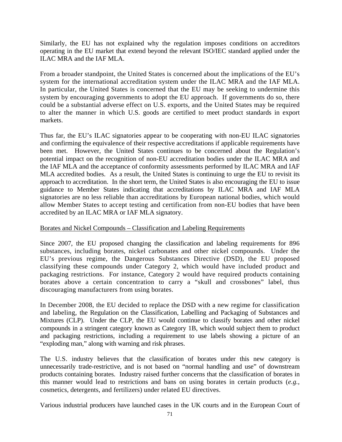Similarly, the EU has not explained why the regulation imposes conditions on accreditors operating in the EU market that extend beyond the relevant ISO/IEC standard applied under the ILAC MRA and the IAF MLA.

From a broader standpoint, the United States is concerned about the implications of the EU's system for the international accreditation system under the ILAC MRA and the IAF MLA. In particular, the United States is concerned that the EU may be seeking to undermine this system by encouraging governments to adopt the EU approach. If governments do so, there could be a substantial adverse effect on U.S. exports, and the United States may be required to alter the manner in which U.S. goods are certified to meet product standards in export markets.

Thus far, the EU's ILAC signatories appear to be cooperating with non-EU ILAC signatories and confirming the equivalence of their respective accreditations if applicable requirements have been met. However, the United States continues to be concerned about the Regulation's potential impact on the recognition of non-EU accreditation bodies under the ILAC MRA and the IAF MLA and the acceptance of conformity assessments performed by ILAC MRA and IAF MLA accredited bodies. As a result, the United States is continuing to urge the EU to revisit its approach to accreditation. In the short term, the United States is also encouraging the EU to issue guidance to Member States indicating that accreditations by ILAC MRA and IAF MLA signatories are no less reliable than accreditations by European national bodies, which would allow Member States to accept testing and certification from non-EU bodies that have been accredited by an ILAC MRA or IAF MLA signatory.

#### Borates and Nickel Compounds – Classification and Labeling Requirements

Since 2007, the EU proposed changing the classification and labeling requirements for 896 substances, including borates, nickel carbonates and other nickel compounds. Under the EU's previous regime, the Dangerous Substances Directive (DSD), the EU proposed classifying these compounds under Category 2, which would have included product and packaging restrictions. For instance, Category 2 would have required products containing borates above a certain concentration to carry a "skull and crossbones" label, thus discouraging manufacturers from using borates.

In December 2008, the EU decided to replace the DSD with a new regime for classification and labeling, the Regulation on the Classification, Labelling and Packaging of Substances and Mixtures (CLP). Under the CLP, the EU would continue to classify borates and other nickel compounds in a stringent category known as Category 1B, which would subject them to product and packaging restrictions, including a requirement to use labels showing a picture of an "exploding man," along with warning and risk phrases.

The U.S. industry believes that the classification of borates under this new category is unnecessarily trade-restrictive, and is not based on "normal handling and use" of downstream products containing borates. Industry raised further concerns that the classification of borates in this manner would lead to restrictions and bans on using borates in certain products (*e.g.,*  cosmetics, detergents, and fertilizers) under related EU directives.

Various industrial producers have launched cases in the UK courts and in the European Court of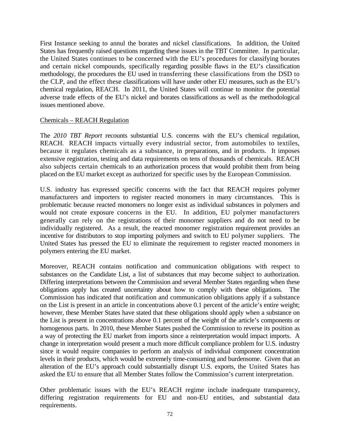First Instance seeking to annul the borates and nickel classifications. In addition, the United States has frequently raised questions regarding these issues in the TBT Committee. In particular, the United States continues to be concerned with the EU's procedures for classifying borates and certain nickel compounds, specifically regarding possible flaws in the EU's classification methodology, the procedures the EU used in transferring these classifications from the DSD to the CLP, and the effect these classifications will have under other EU measures, such as the EU's chemical regulation, REACH. In 2011, the United States will continue to monitor the potential adverse trade effects of the EU's nickel and borates classifications as well as the methodological issues mentioned above.

#### Chemicals – REACH Regulation

The *2010 TBT Report* recounts substantial U.S. concerns with the EU's chemical regulation, REACH. REACH impacts virtually every industrial sector, from automobiles to textiles, because it regulates chemicals as a substance, in preparations, and in products. It imposes extensive registration, testing and data requirements on tens of thousands of chemicals. REACH also subjects certain chemicals to an authorization process that would prohibit them from being placed on the EU market except as authorized for specific uses by the European Commission.

U.S. industry has expressed specific concerns with the fact that REACH requires polymer manufacturers and importers to register reacted monomers in many circumstances. This is problematic because reacted monomers no longer exist as individual substances in polymers and would not create exposure concerns in the EU. In addition, EU polymer manufacturers generally can rely on the registrations of their monomer suppliers and do not need to be individually registered. As a result, the reacted monomer registration requirement provides an incentive for distributors to stop importing polymers and switch to EU polymer suppliers. The United States has pressed the EU to eliminate the requirement to register reacted monomers in polymers entering the EU market.

Moreover, REACH contains notification and communication obligations with respect to substances on the Candidate List, a list of substances that may become subject to authorization. Differing interpretations between the Commission and several Member States regarding when these obligations apply has created uncertainty about how to comply with these obligations. The Commission has indicated that notification and communication obligations apply if a substance on the List is present in an article in concentrations above 0.1 percent of the article's entire weight; however, these Member States have stated that these obligations should apply when a substance on the List is present in concentrations above 0.1 percent of the weight of the article's components or homogenous parts. In 2010, these Member States pushed the Commission to reverse its position as a way of protecting the EU market from imports since a reinterpretation would impact imports. A change in interpretation would present a much more difficult compliance problem for U.S. industry since it would require companies to perform an analysis of individual component concentration levels in their products, which would be extremely time-consuming and burdensome. Given that an alteration of the EU's approach could substantially disrupt U.S. exports, the United States has asked the EU to ensure that all Member States follow the Commission's current interpretation.

Other problematic issues with the EU's REACH regime include inadequate transparency, differing registration requirements for EU and non-EU entities, and substantial data requirements.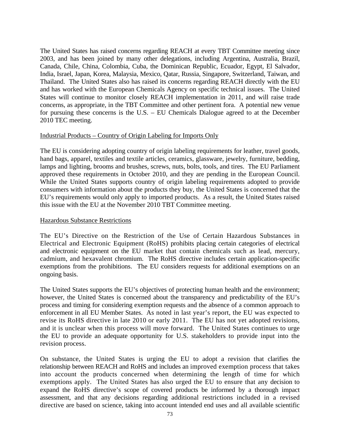The United States has raised concerns regarding REACH at every TBT Committee meeting since 2003, and has been joined by many other delegations, including Argentina, Australia, Brazil, Canada, Chile, China, Colombia, Cuba, the Dominican Republic, Ecuador, Egypt, El Salvador, India, Israel, Japan, Korea, Malaysia, Mexico, Qatar, Russia, Singapore, Switzerland, Taiwan, and Thailand. The United States also has raised its concerns regarding REACH directly with the EU and has worked with the European Chemicals Agency on specific technical issues. The United States will continue to monitor closely REACH implementation in 2011, and will raise trade concerns, as appropriate, in the TBT Committee and other pertinent fora. A potential new venue for pursuing these concerns is the U.S. – EU Chemicals Dialogue agreed to at the December 2010 TEC meeting.

#### Industrial Products – Country of Origin Labeling for Imports Only

The EU is considering adopting country of origin labeling requirements for leather, travel goods, hand bags, apparel, textiles and textile articles, ceramics, glassware, jewelry, furniture, bedding, lamps and lighting, brooms and brushes, screws, nuts, bolts, tools, and tires. The EU Parliament approved these requirements in October 2010, and they are pending in the European Council. While the United States supports country of origin labeling requirements adopted to provide consumers with information about the products they buy, the United States is concerned that the EU's requirements would only apply to imported products. As a result, the United States raised this issue with the EU at the November 2010 TBT Committee meeting.

#### Hazardous Substance Restrictions

The EU's Directive on the Restriction of the Use of Certain Hazardous Substances in Electrical and Electronic Equipment (RoHS) prohibits placing certain categories of electrical and electronic equipment on the EU market that contain chemicals such as lead, mercury, cadmium, and hexavalent chromium. The RoHS directive includes certain application-specific exemptions from the prohibitions. The EU considers requests for additional exemptions on an ongoing basis.

The United States supports the EU's objectives of protecting human health and the environment; however, the United States is concerned about the transparency and predictability of the EU's process and timing for considering exemption requests and the absence of a common approach to enforcement in all EU Member States. As noted in last year's report, the EU was expected to revise its RoHS directive in late 2010 or early 2011. The EU has not yet adopted revisions, and it is unclear when this process will move forward. The United States continues to urge the EU to provide an adequate opportunity for U.S. stakeholders to provide input into the revision process.

On substance, the United States is urging the EU to adopt a revision that clarifies the relationship between REACH and RoHS and includes an improved exemption process that takes into account the products concerned when determining the length of time for which exemptions apply. The United States has also urged the EU to ensure that any decision to expand the RoHS directive's scope of covered products be informed by a thorough impact assessment, and that any decisions regarding additional restrictions included in a revised directive are based on science, taking into account intended end uses and all available scientific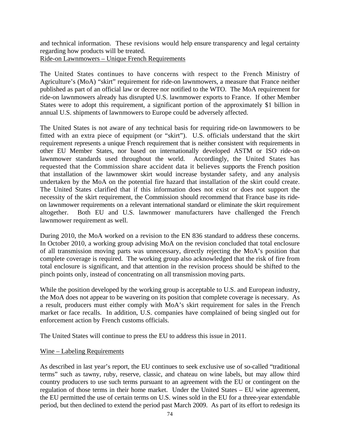and technical information. These revisions would help ensure transparency and legal certainty regarding how products will be treated. Ride-on Lawnmowers – Unique French Requirements

The United States continues to have concerns with respect to the French Ministry of Agriculture's (MoA) "skirt" requirement for ride-on lawnmowers, a measure that France neither published as part of an official law or decree nor notified to the WTO. The MoA requirement for ride-on lawnmowers already has disrupted U.S. lawnmower exports to France. If other Member States were to adopt this requirement, a significant portion of the approximately \$1 billion in annual U.S. shipments of lawnmowers to Europe could be adversely affected.

The United States is not aware of any technical basis for requiring ride-on lawnmowers to be fitted with an extra piece of equipment (or "skirt"). U.S. officials understand that the skirt requirement represents a unique French requirement that is neither consistent with requirements in other EU Member States, nor based on internationally developed ASTM or ISO ride-on lawnmower standards used throughout the world. Accordingly, the United States has requested that the Commission share accident data it believes supports the French position that installation of the lawnmower skirt would increase bystander safety, and any analysis undertaken by the MoA on the potential fire hazard that installation of the skirt could create. The United States clarified that if this information does not exist or does not support the necessity of the skirt requirement, the Commission should recommend that France base its rideon lawnmower requirements on a relevant international standard or eliminate the skirt requirement altogether. Both EU and U.S. lawnmower manufacturers have challenged the French lawnmower requirement as well.

During 2010, the MoA worked on a revision to the EN 836 standard to address these concerns. In October 2010, a working group advising MoA on the revision concluded that total enclosure of all transmission moving parts was unnecessary, directly rejecting the MoA's position that complete coverage is required. The working group also acknowledged that the risk of fire from total enclosure is significant, and that attention in the revision process should be shifted to the pinch points only, instead of concentrating on all transmission moving parts.

While the position developed by the working group is acceptable to U.S. and European industry, the MoA does not appear to be wavering on its position that complete coverage is necessary. As a result, producers must either comply with MoA's skirt requirement for sales in the French market or face recalls. In addition, U.S. companies have complained of being singled out for enforcement action by French customs officials.

The United States will continue to press the EU to address this issue in 2011.

#### Wine – Labeling Requirements

As described in last year's report, the EU continues to seek exclusive use of so-called "traditional terms" such as tawny, ruby, reserve, classic, and chateau on wine labels, but may allow third country producers to use such terms pursuant to an agreement with the EU or contingent on the regulation of those terms in their home market. Under the United States – EU wine agreement, the EU permitted the use of certain terms on U.S. wines sold in the EU for a three-year extendable period, but then declined to extend the period past March 2009. As part of its effort to redesign its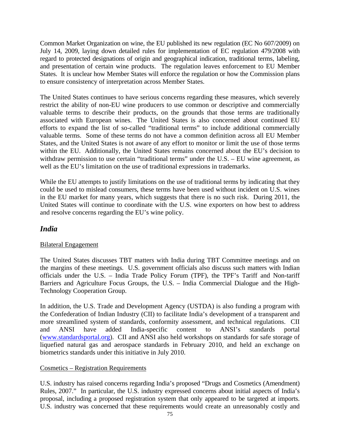Common Market Organization on wine, the EU published its new regulation (EC No 607/2009) on July 14, 2009, laying down detailed rules for implementation of EC regulation 479/2008 with regard to protected designations of origin and geographical indication, traditional terms, labeling, and presentation of certain wine products. The regulation leaves enforcement to EU Member States. It is unclear how Member States will enforce the regulation or how the Commission plans to ensure consistency of interpretation across Member States.

The United States continues to have serious concerns regarding these measures, which severely restrict the ability of non-EU wine producers to use common or descriptive and commercially valuable terms to describe their products, on the grounds that those terms are traditionally associated with European wines. The United States is also concerned about continued EU efforts to expand the list of so-called "traditional terms" to include additional commercially valuable terms. Some of these terms do not have a common definition across all EU Member States, and the United States is not aware of any effort to monitor or limit the use of those terms within the EU. Additionally, the United States remains concerned about the EU's decision to withdraw permission to use certain "traditional terms" under the U.S. – EU wine agreement, as well as the EU's limitation on the use of traditional expressions in trademarks.

While the EU attempts to justify limitations on the use of traditional terms by indicating that they could be used to mislead consumers, these terms have been used without incident on U.S. wines in the EU market for many years, which suggests that there is no such risk. During 2011, the United States will continue to coordinate with the U.S. wine exporters on how best to address and resolve concerns regarding the EU's wine policy.

## *India*

### Bilateral Engagement

The United States discusses TBT matters with India during TBT Committee meetings and on the margins of these meetings. U.S. government officials also discuss such matters with Indian officials under the U.S. – India Trade Policy Forum (TPF), the TPF's Tariff and Non-tariff Barriers and Agriculture Focus Groups, the U.S. – India Commercial Dialogue and the High-Technology Cooperation Group.

In addition, the U.S. Trade and Development Agency (USTDA) is also funding a program with the Confederation of Indian Industry (CII) to facilitate India's development of a transparent and more streamlined system of standards, conformity assessment, and technical regulations. CII and ANSI have added India-specific content to ANSI's standards portal [\(www.standardsportal.org\)](http://www.standardsportal.org/). CII and ANSI also held workshops on standards for safe storage of liquefied natural gas and aerospace standards in February 2010, and held an exchange on biometrics standards under this initiative in July 2010.

### Cosmetics – Registration Requirements

U.S. industry has raised concerns regarding India's proposed "Drugs and Cosmetics (Amendment) Rules, 2007." In particular, the U.S. industry expressed concerns about initial aspects of India's proposal, including a proposed registration system that only appeared to be targeted at imports. U.S. industry was concerned that these requirements would create an unreasonably costly and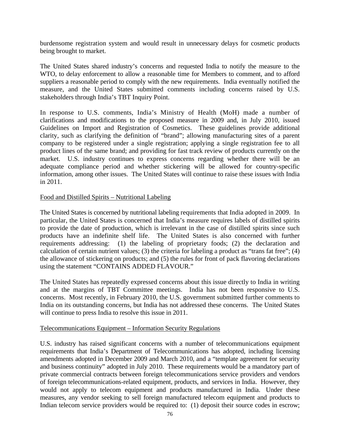burdensome registration system and would result in unnecessary delays for cosmetic products being brought to market.

The United States shared industry's concerns and requested India to notify the measure to the WTO, to delay enforcement to allow a reasonable time for Members to comment, and to afford suppliers a reasonable period to comply with the new requirements. India eventually notified the measure, and the United States submitted comments including concerns raised by U.S. stakeholders through India's TBT Inquiry Point.

In response to U.S. comments, India's Ministry of Health (MoH) made a number of clarifications and modifications to the proposed measure in 2009 and, in July 2010, issued Guidelines on Import and Registration of Cosmetics. These guidelines provide additional clarity, such as clarifying the definition of "brand"; allowing manufacturing sites of a parent company to be registered under a single registration; applying a single registration fee to all product lines of the same brand; and providing for fast track review of products currently on the market. U.S. industry continues to express concerns regarding whether there will be an adequate compliance period and whether stickering will be allowed for country-specific information, among other issues. The United States will continue to raise these issues with India in 2011.

#### Food and Distilled Spirits – Nutritional Labeling

The United States is concerned by nutritional labeling requirements that India adopted in 2009. In particular, the United States is concerned that India's measure requires labels of distilled spirits to provide the date of production, which is irrelevant in the case of distilled spirits since such products have an indefinite shelf life. The United States is also concerned with further requirements addressing: (1) the labeling of proprietary foods; (2) the declaration and calculation of certain nutrient values; (3) the criteria for labeling a product as "trans fat free"; (4) the allowance of stickering on products; and (5) the rules for front of pack flavoring declarations using the statement "CONTAINS ADDED FLAVOUR."

The United States has repeatedly expressed concerns about this issue directly to India in writing and at the margins of TBT Committee meetings. India has not been responsive to U.S. concerns. Most recently, in February 2010, the U.S. government submitted further comments to India on its outstanding concerns, but India has not addressed these concerns. The United States will continue to press India to resolve this issue in 2011.

#### Telecommunications Equipment – Information Security Regulations

U.S. industry has raised significant concerns with a number of telecommunications equipment requirements that India's Department of Telecommunications has adopted, including licensing amendments adopted in December 2009 and March 2010, and a "template agreement for security and business continuity" adopted in July 2010. These requirements would be a mandatory part of private commercial contracts between foreign telecommunications service providers and vendors of foreign telecommunications-related equipment, products, and services in India. However, they would not apply to telecom equipment and products manufactured in India. Under these measures, any vendor seeking to sell foreign manufactured telecom equipment and products to Indian telecom service providers would be required to: (1) deposit their source codes in escrow;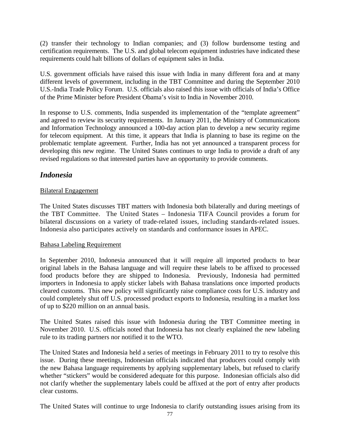(2) transfer their technology to Indian companies; and (3) follow burdensome testing and certification requirements. The U.S. and global telecom equipment industries have indicated these requirements could halt billions of dollars of equipment sales in India.

U.S. government officials have raised this issue with India in many different fora and at many different levels of government, including in the TBT Committee and during the September 2010 U.S.-India Trade Policy Forum. U.S. officials also raised this issue with officials of India's Office of the Prime Minister before President Obama's visit to India in November 2010.

In response to U.S. comments, India suspended its implementation of the "template agreement" and agreed to review its security requirements. In January 2011, the Ministry of Communications and Information Technology announced a 100-day action plan to develop a new security regime for telecom equipment. At this time, it appears that India is planning to base its regime on the problematic template agreement. Further, India has not yet announced a transparent process for developing this new regime. The United States continues to urge India to provide a draft of any revised regulations so that interested parties have an opportunity to provide comments.

## *Indonesia*

### Bilateral Engagement

The United States discusses TBT matters with Indonesia both bilaterally and during meetings of the TBT Committee. The United States – Indonesia TIFA Council provides a forum for bilateral discussions on a variety of trade-related issues, including standards-related issues. Indonesia also participates actively on standards and conformance issues in APEC.

#### Bahasa Labeling Requirement

In September 2010, Indonesia announced that it will require all imported products to bear original labels in the Bahasa language and will require these labels to be affixed to processed food products before they are shipped to Indonesia. Previously, Indonesia had permitted importers in Indonesia to apply sticker labels with Bahasa translations once imported products cleared customs. This new policy will significantly raise compliance costs for U.S. industry and could completely shut off U.S. processed product exports to Indonesia, resulting in a market loss of up to \$220 million on an annual basis.

The United States raised this issue with Indonesia during the TBT Committee meeting in November 2010. U.S. officials noted that Indonesia has not clearly explained the new labeling rule to its trading partners nor notified it to the WTO.

The United States and Indonesia held a series of meetings in February 2011 to try to resolve this issue. During these meetings, Indonesian officials indicated that producers could comply with the new Bahasa language requirements by applying supplementary labels, but refused to clarify whether "stickers" would be considered adequate for this purpose. Indonesian officials also did not clarify whether the supplementary labels could be affixed at the port of entry after products clear customs.

The United States will continue to urge Indonesia to clarify outstanding issues arising from its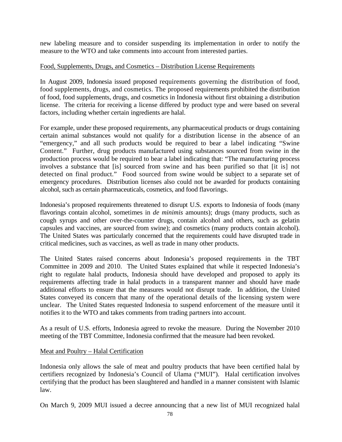new labeling measure and to consider suspending its implementation in order to notify the measure to the WTO and take comments into account from interested parties.

#### Food, Supplements, Drugs, and Cosmetics – Distribution License Requirements

In August 2009, Indonesia issued proposed requirements governing the distribution of food, food supplements, drugs, and cosmetics. The proposed requirements prohibited the distribution of food, food supplements, drugs, and cosmetics in Indonesia without first obtaining a distribution license. The criteria for receiving a license differed by product type and were based on several factors, including whether certain ingredients are halal.

For example, under these proposed requirements, any pharmaceutical products or drugs containing certain animal substances would not qualify for a distribution license in the absence of an "emergency," and all such products would be required to bear a label indicating "Swine Content." Further, drug products manufactured using substances sourced from swine in the production process would be required to bear a label indicating that: "The manufacturing process involves a substance that [is] sourced from swine and has been purified so that [it is] not detected on final product." Food sourced from swine would be subject to a separate set of emergency procedures. Distribution licenses also could not be awarded for products containing alcohol, such as certain pharmaceuticals, cosmetics, and food flavorings.

Indonesia's proposed requirements threatened to disrupt U.S. exports to Indonesia of foods (many flavorings contain alcohol, sometimes in *de minimis* amounts); drugs (many products, such as cough syrups and other over-the-counter drugs, contain alcohol and others, such as gelatin capsules and vaccines, are sourced from swine); and cosmetics (many products contain alcohol). The United States was particularly concerned that the requirements could have disrupted trade in critical medicines, such as vaccines, as well as trade in many other products.

The United States raised concerns about Indonesia's proposed requirements in the TBT Committee in 2009 and 2010. The United States explained that while it respected Indonesia's right to regulate halal products, Indonesia should have developed and proposed to apply its requirements affecting trade in halal products in a transparent manner and should have made additional efforts to ensure that the measures would not disrupt trade. In addition, the United States conveyed its concern that many of the operational details of the licensing system were unclear. The United States requested Indonesia to suspend enforcement of the measure until it notifies it to the WTO and takes comments from trading partners into account.

As a result of U.S. efforts, Indonesia agreed to revoke the measure. During the November 2010 meeting of the TBT Committee, Indonesia confirmed that the measure had been revoked.

#### Meat and Poultry – Halal Certification

Indonesia only allows the sale of meat and poultry products that have been certified halal by certifiers recognized by Indonesia's Council of Ulama ("MUI"). Halal certification involves certifying that the product has been slaughtered and handled in a manner consistent with Islamic law.

On March 9, 2009 MUI issued a decree announcing that a new list of MUI recognized halal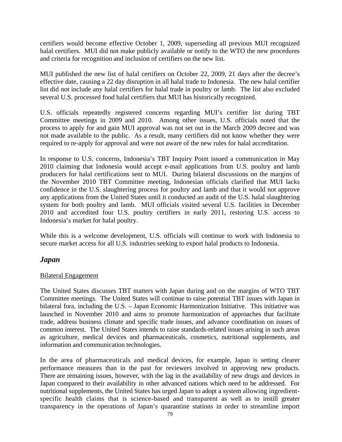certifiers would become effective October 1, 2009, superseding all previous MUI recognized halal certifiers. MUI did not make publicly available or notify to the WTO the new procedures and criteria for recognition and inclusion of certifiers on the new list.

MUI published the new list of halal certifiers on October 22, 2009, 21 days after the decree's effective date, causing a 22 day disruption in all halal trade to Indonesia. The new halal certifier list did not include any halal certifiers for halal trade in poultry or lamb. The list also excluded several U.S. processed food halal certifiers that MUI has historically recognized.

U.S. officials repeatedly registered concerns regarding MUI's certifier list during TBT Committee meetings in 2009 and 2010. Among other issues, U.S. officials noted that the process to apply for and gain MUI approval was not set out in the March 2009 decree and was not made available to the public. As a result, many certifiers did not know whether they were required to re-apply for approval and were not aware of the new rules for halal accreditation.

In response to U.S. concerns, Indonesia's TBT Inquiry Point issued a communication in May 2010 claiming that Indonesia would accept e-mail applications from U.S. poultry and lamb producers for halal certifications sent to MUI. During bilateral discussions on the margins of the November 2010 TBT Committee meeting, Indonesian officials clarified that MUI lacks confidence in the U.S. slaughtering process for poultry and lamb and that it would not approve any applications from the United States until it conducted an audit of the U.S. halal slaughtering system for both poultry and lamb. MUI officials visited several U.S. facilities in December 2010 and accredited four U.S. poultry certifiers in early 2011, restoring U.S. access to Indonesia's market for halal poultry.

While this is a welcome development, U.S. officials will continue to work with Indonesia to secure market access for all U.S. industries seeking to export halal products to Indonesia.

## *Japan*

#### Bilateral Engagement

The United States discusses TBT matters with Japan during and on the margins of WTO TBT Committee meetings. The United States will continue to raise potential TBT issues with Japan in bilateral fora, including the U.S. – Japan Economic Harmonization Initiative. This initiative was launched in November 2010 and aims to promote harmonization of approaches that facilitate trade, address business climate and specific trade issues, and advance coordination on issues of common interest. The United States intends to raise standards-related issues arising in such areas as agriculture, medical devices and pharmaceuticals, cosmetics, nutritional supplements, and information and communication technologies.

In the area of pharmaceuticals and medical devices, for example, Japan is setting clearer performance measures than in the past for reviewers involved in approving new products. There are remaining issues, however, with the lag in the availability of new drugs and devices in Japan compared to their availability in other advanced nations which need to be addressed. For nutritional supplements, the United States has urged Japan to adopt a system allowing ingredientspecific health claims that is science-based and transparent as well as to instill greater transparency in the operations of Japan's quarantine stations in order to streamline import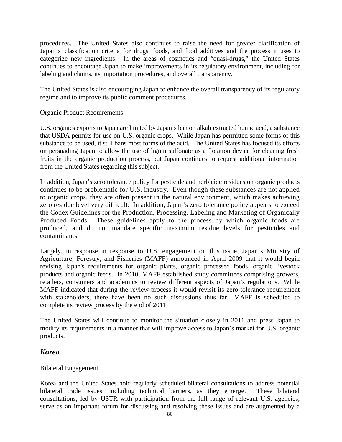procedures. The United States also continues to raise the need for greater clarification of Japan's classification criteria for drugs, foods, and food additives and the process it uses to categorize new ingredients. In the areas of cosmetics and "quasi-drugs," the United States continues to encourage Japan to make improvements in its regulatory environment, including for labeling and claims, its importation procedures, and overall transparency.

The United States is also encouraging Japan to enhance the overall transparency of its regulatory regime and to improve its public comment procedures.

#### Organic Product Requirements

U.S. organics exports to Japan are limited by Japan's ban on alkali extracted humic acid, a substance that USDA permits for use on U.S. organic crops. While Japan has permitted some forms of this substance to be used, it still bans most forms of the acid. The United States has focused its efforts on persuading Japan to allow the use of lignin sulfonate as a flotation device for cleaning fresh fruits in the organic production process, but Japan continues to request additional information from the United States regarding this subject.

In addition, Japan's zero tolerance policy for pesticide and herbicide residues on organic products continues to be problematic for U.S. industry. Even though these substances are not applied to organic crops, they are often present in the natural environment, which makes achieving zero residue level very difficult. In addition, Japan's zero tolerance policy appears to exceed the Codex Guidelines for the Production, Processing, Labeling and Marketing of Organically Produced Foods. These guidelines apply to the process by which organic foods are produced, and do not mandate specific maximum residue levels for pesticides and contaminants.

Largely, in response in response to U.S. engagement on this issue, Japan's Ministry of Agriculture, Forestry, and Fisheries (MAFF) announced in April 2009 that it would begin revising Japan's requirements for organic plants, organic processed foods, organic livestock products and organic feeds. In 2010, MAFF established study committees comprising growers, retailers, consumers and academics to review different aspects of Japan's regulations. While MAFF indicated that during the review process it would revisit its zero tolerance requirement with stakeholders, there have been no such discussions thus far. MAFF is scheduled to complete its review process by the end of 2011.

The United States will continue to monitor the situation closely in 2011 and press Japan to modify its requirements in a manner that will improve access to Japan's market for U.S. organic products.

### *Korea*

#### Bilateral Engagement

Korea and the United States hold regularly scheduled bilateral consultations to address potential bilateral trade issues, including technical barriers, as they emerge. These bilateral consultations, led by USTR with participation from the full range of relevant U.S. agencies, serve as an important forum for discussing and resolving these issues and are augmented by a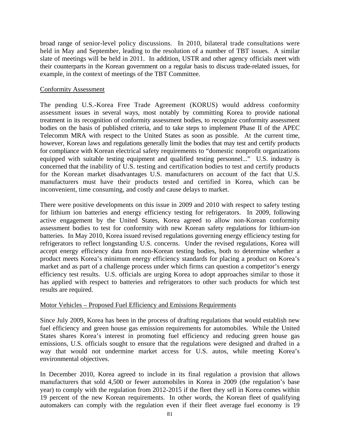broad range of senior-level policy discussions. In 2010, bilateral trade consultations were held in May and September, leading to the resolution of a number of TBT issues. A similar slate of meetings will be held in 2011. In addition, USTR and other agency officials meet with their counterparts in the Korean government on a regular basis to discuss trade-related issues, for example, in the context of meetings of the TBT Committee.

#### Conformity Assessment

The pending U.S.-Korea Free Trade Agreement (KORUS) would address conformity assessment issues in several ways, most notably by committing Korea to provide national treatment in its recognition of conformity assessment bodies, to recognize conformity assessment bodies on the basis of published criteria, and to take steps to implement Phase II of the APEC Telecomm MRA with respect to the United States as soon as possible. At the current time, however, Korean laws and regulations generally limit the bodies that may test and certify products for compliance with Korean electrical safety requirements to "domestic nonprofit organizations equipped with suitable testing equipment and qualified testing personnel..." U.S. industry is concerned that the inability of U.S. testing and certification bodies to test and certify products for the Korean market disadvantages U.S. manufacturers on account of the fact that U.S. manufacturers must have their products tested and certified in Korea, which can be inconvenient, time consuming, and costly and cause delays to market.

There were positive developments on this issue in 2009 and 2010 with respect to safety testing for lithium ion batteries and energy efficiency testing for refrigerators. In 2009, following active engagement by the United States, Korea agreed to allow non-Korean conformity assessment bodies to test for conformity with new Korean safety regulations for lithium-ion batteries. In May 2010, Korea issued revised regulations governing energy efficiency testing for refrigerators to reflect longstanding U.S. concerns. Under the revised regulations, Korea will accept energy efficiency data from non-Korean testing bodies, both to determine whether a product meets Korea's minimum energy efficiency standards for placing a product on Korea's market and as part of a challenge process under which firms can question a competitor's energy efficiency test results. U.S. officials are urging Korea to adopt approaches similar to those it has applied with respect to batteries and refrigerators to other such products for which test results are required.

### Motor Vehicles – Proposed Fuel Efficiency and Emissions Requirements

Since July 2009, Korea has been in the process of drafting regulations that would establish new fuel efficiency and green house gas emission requirements for automobiles. While the United States shares Korea's interest in promoting fuel efficiency and reducing green house gas emissions, U.S. officials sought to ensure that the regulations were designed and drafted in a way that would not undermine market access for U.S. autos, while meeting Korea's environmental objectives.

In December 2010, Korea agreed to include in its final regulation a provision that allows manufacturers that sold 4,500 or fewer automobiles in Korea in 2009 (the regulation's base year) to comply with the regulation from 2012-2015 if the fleet they sell in Korea comes within 19 percent of the new Korean requirements. In other words, the Korean fleet of qualifying automakers can comply with the regulation even if their fleet average fuel economy is 19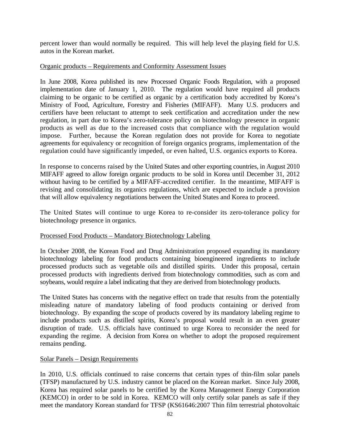percent lower than would normally be required. This will help level the playing field for U.S. autos in the Korean market.

#### Organic products – Requirements and Conformity Assessment Issues

In June 2008, Korea published its new Processed Organic Foods Regulation, with a proposed implementation date of January 1, 2010. The regulation would have required all products claiming to be organic to be certified as organic by a certification body accredited by Korea's Ministry of Food, Agriculture, Forestry and Fisheries (MIFAFF). Many U.S. producers and certifiers have been reluctant to attempt to seek certification and accreditation under the new regulation, in part due to Korea's zero-tolerance policy on biotechnology presence in organic products as well as due to the increased costs that compliance with the regulation would impose. Further, because the Korean regulation does not provide for Korea to negotiate agreements for equivalency or recognition of foreign organics programs, implementation of the regulation could have significantly impeded, or even halted, U.S. organics exports to Korea.

In response to concerns raised by the United States and other exporting countries, in August 2010 MIFAFF agreed to allow foreign organic products to be sold in Korea until December 31, 2012 without having to be certified by a MIFAFF-accredited certifier. In the meantime, MIFAFF is revising and consolidating its organics regulations, which are expected to include a provision that will allow equivalency negotiations between the United States and Korea to proceed.

The United States will continue to urge Korea to re-consider its zero-tolerance policy for biotechnology presence in organics.

#### Processed Food Products – Mandatory Biotechnology Labeling

In October 2008, the Korean Food and Drug Administration proposed expanding its mandatory biotechnology labeling for food products containing bioengineered ingredients to include processed products such as vegetable oils and distilled spirits. Under this proposal, certain processed products with ingredients derived from biotechnology commodities, such as corn and soybeans, would require a label indicating that they are derived from biotechnology products.

The United States has concerns with the negative effect on trade that results from the potentially misleading nature of mandatory labeling of food products containing or derived from biotechnology. By expanding the scope of products covered by its mandatory labeling regime to include products such as distilled spirits, Korea's proposal would result in an even greater disruption of trade. U.S. officials have continued to urge Korea to reconsider the need for expanding the regime. A decision from Korea on whether to adopt the proposed requirement remains pending.

#### Solar Panels – Design Requirements

In 2010, U.S. officials continued to raise concerns that certain types of thin-film solar panels (TFSP) manufactured by U.S. industry cannot be placed on the Korean market. Since July 2008, Korea has required solar panels to be certified by the Korea Management Energy Corporation (KEMCO) in order to be sold in Korea. KEMCO will only certify solar panels as safe if they meet the mandatory Korean standard for TFSP (KS61646:2007 Thin film terrestrial photovoltaic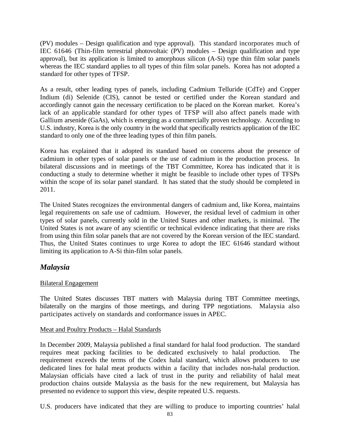(PV) modules – Design qualification and type approval). This standard incorporates much of IEC 61646 (Thin-film terrestrial photovoltaic (PV) modules – Design qualification and type approval), but its application is limited to amorphous silicon (A-Si) type thin film solar panels whereas the IEC standard applies to all types of thin film solar panels. Korea has not adopted a standard for other types of TFSP.

As a result, other leading types of panels, including Cadmium Telluride (CdTe) and Copper Indium (di) Selenide (CIS), cannot be tested or certified under the Korean standard and accordingly cannot gain the necessary certification to be placed on the Korean market. Korea's lack of an applicable standard for other types of TFSP will also affect panels made with Gallium arsenide (GaAs), which is emerging as a commercially proven technology. According to U.S. industry, Korea is the only country in the world that specifically restricts application of the IEC standard to only one of the three leading types of thin film panels.

Korea has explained that it adopted its standard based on concerns about the presence of cadmium in other types of solar panels or the use of cadmium in the production process. In bilateral discussions and in meetings of the TBT Committee, Korea has indicated that it is conducting a study to determine whether it might be feasible to include other types of TFSPs within the scope of its solar panel standard. It has stated that the study should be completed in 2011.

The United States recognizes the environmental dangers of cadmium and, like Korea, maintains legal requirements on safe use of cadmium. However, the residual level of cadmium in other types of solar panels, currently sold in the United States and other markets, is minimal. The United States is not aware of any scientific or technical evidence indicating that there are risks from using thin film solar panels that are not covered by the Korean version of the IEC standard. Thus, the United States continues to urge Korea to adopt the IEC 61646 standard without limiting its application to A-Si thin-film solar panels.

## *Malaysia*

#### Bilateral Engagement

The United States discusses TBT matters with Malaysia during TBT Committee meetings, bilaterally on the margins of those meetings, and during TPP negotiations. Malaysia also participates actively on standards and conformance issues in APEC.

#### Meat and Poultry Products – Halal Standards

In December 2009, Malaysia published a final standard for halal food production. The standard requires meat packing facilities to be dedicated exclusively to halal production. The requirement exceeds the terms of the Codex halal standard, which allows producers to use dedicated lines for halal meat products within a facility that includes non-halal production. Malaysian officials have cited a lack of trust in the purity and reliability of halal meat production chains outside Malaysia as the basis for the new requirement, but Malaysia has presented no evidence to support this view, despite repeated U.S. requests.

U.S. producers have indicated that they are willing to produce to importing countries' halal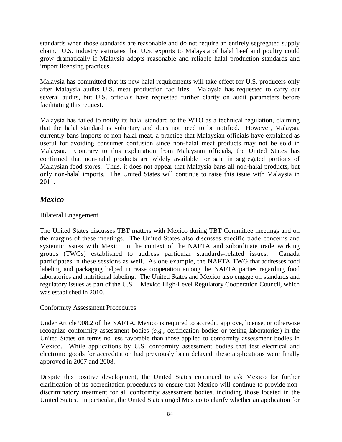standards when those standards are reasonable and do not require an entirely segregated supply chain. U.S. industry estimates that U.S. exports to Malaysia of halal beef and poultry could grow dramatically if Malaysia adopts reasonable and reliable halal production standards and import licensing practices.

Malaysia has committed that its new halal requirements will take effect for U.S. producers only after Malaysia audits U.S. meat production facilities. Malaysia has requested to carry out several audits, but U.S. officials have requested further clarity on audit parameters before facilitating this request.

Malaysia has failed to notify its halal standard to the WTO as a technical regulation, claiming that the halal standard is voluntary and does not need to be notified. However, Malaysia currently bans imports of non-halal meat, a practice that Malaysian officials have explained as useful for avoiding consumer confusion since non-halal meat products may not be sold in Malaysia. Contrary to this explanation from Malaysian officials, the United States has confirmed that non-halal products are widely available for sale in segregated portions of Malaysian food stores. Thus, it does not appear that Malaysia bans all non-halal products, but only non-halal imports. The United States will continue to raise this issue with Malaysia in 2011.

## *Mexico*

### Bilateral Engagement

The United States discusses TBT matters with Mexico during TBT Committee meetings and on the margins of these meetings. The United States also discusses specific trade concerns and systemic issues with Mexico in the context of the NAFTA and subordinate trade working groups (TWGs) established to address particular standards-related issues. Canada participates in these sessions as well. As one example, the NAFTA TWG that addresses food labeling and packaging helped increase cooperation among the NAFTA parties regarding food laboratories and nutritional labeling. The United States and Mexico also engage on standards and regulatory issues as part of the U.S. – Mexico High-Level Regulatory Cooperation Council, which was established in 2010.

#### Conformity Assessment Procedures

Under Article 908.2 of the NAFTA, Mexico is required to accredit, approve, license, or otherwise recognize conformity assessment bodies (*e.g.,* certification bodies or testing laboratories) in the United States on terms no less favorable than those applied to conformity assessment bodies in Mexico. While applications by U.S. conformity assessment bodies that test electrical and electronic goods for accreditation had previously been delayed, these applications were finally approved in 2007 and 2008.

Despite this positive development, the United States continued to ask Mexico for further clarification of its accreditation procedures to ensure that Mexico will continue to provide nondiscriminatory treatment for all conformity assessment bodies, including those located in the United States. In particular, the United States urged Mexico to clarify whether an application for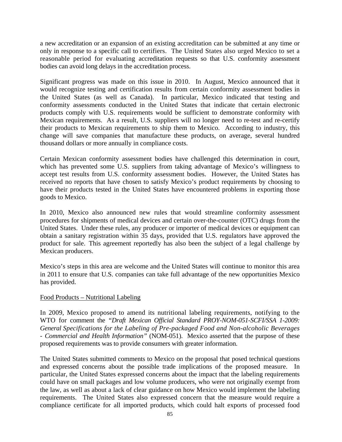a new accreditation or an expansion of an existing accreditation can be submitted at any time or only in response to a specific call to certifiers. The United States also urged Mexico to set a reasonable period for evaluating accreditation requests so that U.S. conformity assessment bodies can avoid long delays in the accreditation process.

Significant progress was made on this issue in 2010. In August, Mexico announced that it would recognize testing and certification results from certain conformity assessment bodies in the United States (as well as Canada). In particular, Mexico indicated that testing and conformity assessments conducted in the United States that indicate that certain electronic products comply with U.S. requirements would be sufficient to demonstrate conformity with Mexican requirements. As a result, U.S. suppliers will no longer need to re-test and re-certify their products to Mexican requirements to ship them to Mexico. According to industry, this change will save companies that manufacture these products, on average, several hundred thousand dollars or more annually in compliance costs.

Certain Mexican conformity assessment bodies have challenged this determination in court, which has prevented some U.S. suppliers from taking advantage of Mexico's willingness to accept test results from U.S. conformity assessment bodies. However, the United States has received no reports that have chosen to satisfy Mexico's product requirements by choosing to have their products tested in the United States have encountered problems in exporting those goods to Mexico.

In 2010, Mexico also announced new rules that would streamline conformity assessment procedures for shipments of medical devices and certain over-the-counter (OTC) drugs from the United States. Under these rules, any producer or importer of medical devices or equipment can obtain a sanitary registration within 35 days, provided that U.S. regulators have approved the product for sale. This agreement reportedly has also been the subject of a legal challenge by Mexican producers.

Mexico's steps in this area are welcome and the United States will continue to monitor this area in 2011 to ensure that U.S. companies can take full advantage of the new opportunities Mexico has provided.

#### Food Products – Nutritional Labeling

In 2009, Mexico proposed to amend its nutritional labeling requirements, notifying to the WTO for comment the *"Draft Mexican Official Standard PROY-NOM-051-SCFI/SSA 1-2009: General Specifications for the Labeling of Pre-packaged Food and Non-alcoholic Beverages - Commercial and Health Information"* (NOM-051).Mexico asserted that the purpose of these proposed requirements was to provide consumers with greater information.

The United States submitted comments to Mexico on the proposal that posed technical questions and expressed concerns about the possible trade implications of the proposed measure. In particular, the United States expressed concerns about the impact that the labeling requirements could have on small packages and low volume producers, who were not originally exempt from the law, as well as about a lack of clear guidance on how Mexico would implement the labeling requirements. The United States also expressed concern that the measure would require a compliance certificate for all imported products, which could halt exports of processed food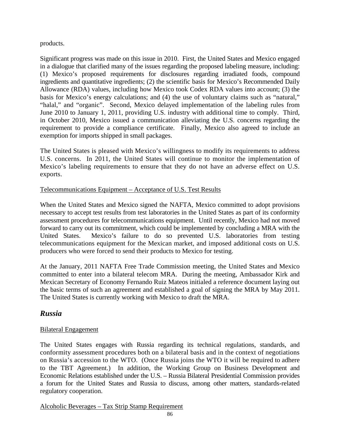### products.

Significant progress was made on this issue in 2010. First, the United States and Mexico engaged in a dialogue that clarified many of the issues regarding the proposed labeling measure, including: (1) Mexico's proposed requirements for disclosures regarding irradiated foods, compound ingredients and quantitative ingredients; (2) the scientific basis for Mexico's Recommended Daily Allowance (RDA) values, including how Mexico took Codex RDA values into account; (3) the basis for Mexico's energy calculations; and (4) the use of voluntary claims such as "natural," "halal," and "organic". Second, Mexico delayed implementation of the labeling rules from June 2010 to January 1, 2011, providing U.S. industry with additional time to comply. Third, in October 2010, Mexico issued a communication alleviating the U.S. concerns regarding the requirement to provide a compliance certificate. Finally, Mexico also agreed to include an exemption for imports shipped in small packages.

The United States is pleased with Mexico's willingness to modify its requirements to address U.S. concerns. In 2011, the United States will continue to monitor the implementation of Mexico's labeling requirements to ensure that they do not have an adverse effect on U.S. exports.

### Telecommunications Equipment – Acceptance of U.S. Test Results

When the United States and Mexico signed the NAFTA, Mexico committed to adopt provisions necessary to accept test results from test laboratories in the United States as part of its conformity assessment procedures for telecommunications equipment. Until recently, Mexico had not moved forward to carry out its commitment, which could be implemented by concluding a MRA with the United States. Mexico's failure to do so prevented U.S. laboratories from testing telecommunications equipment for the Mexican market, and imposed additional costs on U.S. producers who were forced to send their products to Mexico for testing.

At the January, 2011 NAFTA Free Trade Commission meeting, the United States and Mexico committed to enter into a bilateral telecom MRA. During the meeting, Ambassador Kirk and Mexican Secretary of Economy Fernando Ruiz Mateos initialed a reference document laying out the basic terms of such an agreement and established a goal of signing the MRA by May 2011. The United States is currently working with Mexico to draft the MRA.

## *Russia*

### Bilateral Engagement

The United States engages with Russia regarding its technical regulations, standards, and conformity assessment procedures both on a bilateral basis and in the context of negotiations on Russia's accession to the WTO. (Once Russia joins the WTO it will be required to adhere to the TBT Agreement.) In addition, the Working Group on Business Development and Economic Relations established under the U.S. – Russia Bilateral Presidential Commission provides a forum for the United States and Russia to discuss, among other matters, standards-related regulatory cooperation.

Alcoholic Beverages – Tax Strip Stamp Requirement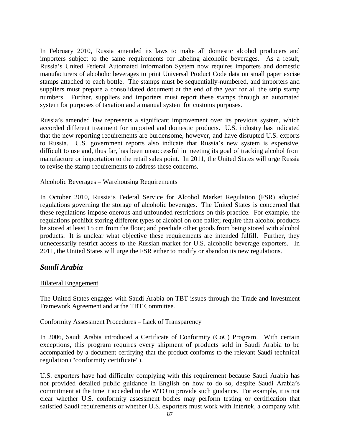In February 2010, Russia amended its laws to make all domestic alcohol producers and importers subject to the same requirements for labeling alcoholic beverages. As a result, Russia's United Federal Automated Information System now requires importers and domestic manufacturers of alcoholic beverages to print Universal Product Code data on small paper excise stamps attached to each bottle. The stamps must be sequentially-numbered, and importers and suppliers must prepare a consolidated document at the end of the year for all the strip stamp numbers. Further, suppliers and importers must report these stamps through an automated system for purposes of taxation and a manual system for customs purposes.

Russia's amended law represents a significant improvement over its previous system, which accorded different treatment for imported and domestic products. U.S. industry has indicated that the new reporting requirements are burdensome, however, and have disrupted U.S. exports to Russia. U.S. government reports also indicate that Russia's new system is expensive, difficult to use and, thus far, has been unsuccessful in meeting its goal of tracking alcohol from manufacture or importation to the retail sales point. In 2011, the United States will urge Russia to revise the stamp requirements to address these concerns.

#### Alcoholic Beverages – Warehousing Requirements

In October 2010, Russia's Federal Service for Alcohol Market Regulation (FSR) adopted regulations governing the storage of alcoholic beverages. The United States is concerned that these regulations impose onerous and unfounded restrictions on this practice. For example, the regulations prohibit storing different types of alcohol on one pallet; require that alcohol products be stored at least 15 cm from the floor; and preclude other goods from being stored with alcohol products. It is unclear what objective these requirements are intended fulfill. Further, they unnecessarily restrict access to the Russian market for U.S. alcoholic beverage exporters. In 2011, the United States will urge the FSR either to modify or abandon its new regulations.

### *Saudi Arabia*

#### Bilateral Engagement

The United States engages with Saudi Arabia on TBT issues through the Trade and Investment Framework Agreement and at the TBT Committee.

#### Conformity Assessment Procedures – Lack of Transparency

In 2006, Saudi Arabia introduced a Certificate of Conformity (CoC) Program. With certain exceptions, this program requires every shipment of products sold in Saudi Arabia to be accompanied by a document certifying that the product conforms to the relevant Saudi technical regulation ("conformity certificate").

U.S. exporters have had difficulty complying with this requirement because Saudi Arabia has not provided detailed public guidance in English on how to do so, despite Saudi Arabia's commitment at the time it acceded to the WTO to provide such guidance. For example, it is not clear whether U.S. conformity assessment bodies may perform testing or certification that satisfied Saudi requirements or whether U.S. exporters must work with Intertek, a company with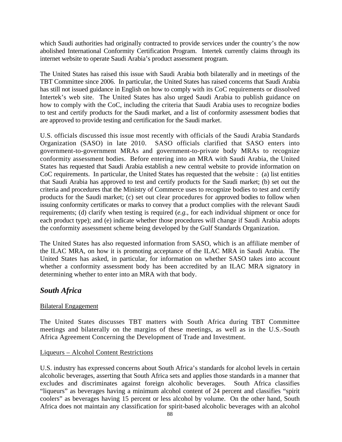which Saudi authorities had originally contracted to provide services under the country's the now abolished International Conformity Certification Program. Intertek currently claims through its internet website to operate Saudi Arabia's product assessment program.

The United States has raised this issue with Saudi Arabia both bilaterally and in meetings of the TBT Committee since 2006. In particular, the United States has raised concerns that Saudi Arabia has still not issued guidance in English on how to comply with its CoC requirements or dissolved Intertek's web site. The United States has also urged Saudi Arabia to publish guidance on how to comply with the CoC, including the criteria that Saudi Arabia uses to recognize bodies to test and certify products for the Saudi market, and a list of conformity assessment bodies that are approved to provide testing and certification for the Saudi market.

U.S. officials discussed this issue most recently with officials of the Saudi Arabia Standards Organization (SASO) in late 2010. SASO officials clarified that SASO enters into government-to-government MRAs and government-to-private body MRAs to recognize conformity assessment bodies. Before entering into an MRA with Saudi Arabia, the United States has requested that Saudi Arabia establish a new central website to provide information on CoC requirements. In particular, the United States has requested that the website : (a) list entities that Saudi Arabia has approved to test and certify products for the Saudi market; (b) set out the criteria and procedures that the Ministry of Commerce uses to recognize bodies to test and certify products for the Saudi market; (c) set out clear procedures for approved bodies to follow when issuing conformity certificates or marks to convey that a product complies with the relevant Saudi requirements; (d) clarify when testing is required (*e.g.,* for each individual shipment or once for each product type); and (e) indicate whether those procedures will change if Saudi Arabia adopts the conformity assessment scheme being developed by the Gulf Standards Organization.

The United States has also requested information from SASO, which is an affiliate member of the ILAC MRA, on how it is promoting acceptance of the ILAC MRA in Saudi Arabia. The United States has asked, in particular, for information on whether SASO takes into account whether a conformity assessment body has been accredited by an ILAC MRA signatory in determining whether to enter into an MRA with that body.

## *South Africa*

#### Bilateral Engagement

The United States discusses TBT matters with South Africa during TBT Committee meetings and bilaterally on the margins of these meetings, as well as in the U.S.-South Africa Agreement Concerning the Development of Trade and Investment.

#### Liqueurs – Alcohol Content Restrictions

U.S. industry has expressed concerns about South Africa's standards for alcohol levels in certain alcoholic beverages, asserting that South Africa sets and applies those standards in a manner that excludes and discriminates against foreign alcoholic beverages. South Africa classifies "liqueurs" as beverages having a minimum alcohol content of 24 percent and classifies "spirit coolers" as beverages having 15 percent or less alcohol by volume. On the other hand, South Africa does not maintain any classification for spirit-based alcoholic beverages with an alcohol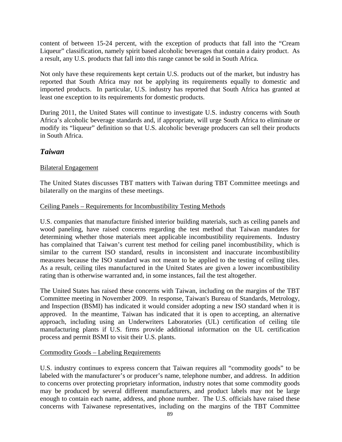content of between 15-24 percent, with the exception of products that fall into the "Cream Liqueur" classification, namely spirit based alcoholic beverages that contain a dairy product. As a result, any U.S. products that fall into this range cannot be sold in South Africa.

Not only have these requirements kept certain U.S. products out of the market, but industry has reported that South Africa may not be applying its requirements equally to domestic and imported products. In particular, U.S. industry has reported that South Africa has granted at least one exception to its requirements for domestic products.

During 2011, the United States will continue to investigate U.S. industry concerns with South Africa's alcoholic beverage standards and, if appropriate, will urge South Africa to eliminate or modify its "liqueur" definition so that U.S. alcoholic beverage producers can sell their products in South Africa.

### *Taiwan*

#### Bilateral Engagement

The United States discusses TBT matters with Taiwan during TBT Committee meetings and bilaterally on the margins of these meetings.

### Ceiling Panels – Requirements for Incombustibility Testing Methods

U.S. companies that manufacture finished interior building materials, such as ceiling panels and wood paneling, have raised concerns regarding the test method that Taiwan mandates for determining whether those materials meet applicable incombustibility requirements. Industry has complained that Taiwan's current test method for ceiling panel incombustibility, which is similar to the current ISO standard, results in inconsistent and inaccurate incombustibility measures because the ISO standard was not meant to be applied to the testing of ceiling tiles. As a result, ceiling tiles manufactured in the United States are given a lower incombustibility rating than is otherwise warranted and, in some instances, fail the test altogether.

The United States has raised these concerns with Taiwan, including on the margins of the TBT Committee meeting in November 2009. In response, Taiwan's Bureau of Standards, Metrology, and Inspection (BSMI) has indicated it would consider adopting a new ISO standard when it is approved. In the meantime, Taiwan has indicated that it is open to accepting, an alternative approach, including using an Underwriters Laboratories (UL) certification of ceiling tile manufacturing plants if U.S. firms provide additional information on the UL certification process and permit BSMI to visit their U.S. plants.

#### Commodity Goods – Labeling Requirements

U.S. industry continues to express concern that Taiwan requires all "commodity goods" to be labeled with the manufacturer's or producer's name, telephone number, and address. In addition to concerns over protecting proprietary information, industry notes that some commodity goods may be produced by several different manufacturers, and product labels may not be large enough to contain each name, address, and phone number. The U.S. officials have raised these concerns with Taiwanese representatives, including on the margins of the TBT Committee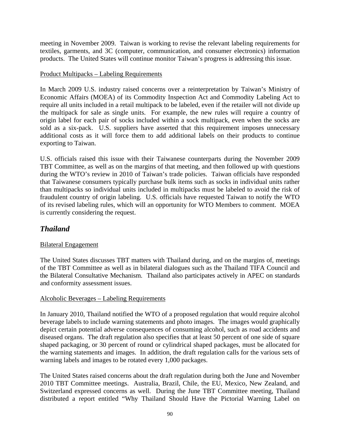meeting in November 2009. Taiwan is working to revise the relevant labeling requirements for textiles, garments, and 3C (computer, communication, and consumer electronics) information products. The United States will continue monitor Taiwan's progress is addressing this issue.

### Product Multipacks – Labeling Requirements

In March 2009 U.S. industry raised concerns over a reinterpretation by Taiwan's Ministry of Economic Affairs (MOEA) of its Commodity Inspection Act and Commodity Labeling Act to require all units included in a retail multipack to be labeled, even if the retailer will not divide up the multipack for sale as single units. For example, the new rules will require a country of origin label for each pair of socks included within a sock multipack, even when the socks are sold as a six-pack. U.S. suppliers have asserted that this requirement imposes unnecessary additional costs as it will force them to add additional labels on their products to continue exporting to Taiwan.

U.S. officials raised this issue with their Taiwanese counterparts during the November 2009 TBT Committee, as well as on the margins of that meeting, and then followed up with questions during the WTO's review in 2010 of Taiwan's trade policies. Taiwan officials have responded that Taiwanese consumers typically purchase bulk items such as socks in individual units rather than multipacks so individual units included in multipacks must be labeled to avoid the risk of fraudulent country of origin labeling. U.S. officials have requested Taiwan to notify the WTO of its revised labeling rules, which will an opportunity for WTO Members to comment. MOEA is currently considering the request.

# *Thailand*

### Bilateral Engagement

The United States discusses TBT matters with Thailand during, and on the margins of, meetings of the TBT Committee as well as in bilateral dialogues such as the Thailand TIFA Council and the Bilateral Consultative Mechanism. Thailand also participates actively in APEC on standards and conformity assessment issues.

#### Alcoholic Beverages – Labeling Requirements

In January 2010, Thailand notified the WTO of a proposed regulation that would require alcohol beverage labels to include warning statements and photo images. The images would graphically depict certain potential adverse consequences of consuming alcohol, such as road accidents and diseased organs. The draft regulation also specifies that at least 50 percent of one side of square shaped packaging, or 30 percent of round or cylindrical shaped packages, must be allocated for the warning statements and images. In addition, the draft regulation calls for the various sets of warning labels and images to be rotated every 1,000 packages.

The United States raised concerns about the draft regulation during both the June and November 2010 TBT Committee meetings. Australia, Brazil, Chile, the EU, Mexico, New Zealand, and Switzerland expressed concerns as well. During the June TBT Committee meeting, Thailand distributed a report entitled "Why Thailand Should Have the Pictorial Warning Label on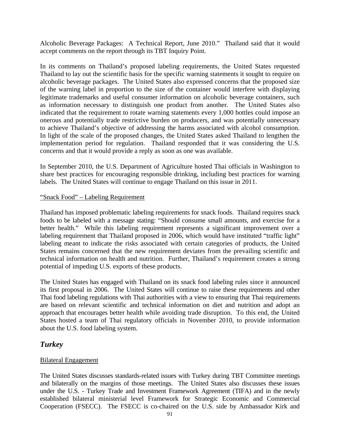Alcoholic Beverage Packages: A Technical Report, June 2010." Thailand said that it would accept comments on the report through its TBT Inquiry Point.

In its comments on Thailand's proposed labeling requirements, the United States requested Thailand to lay out the scientific basis for the specific warning statements it sought to require on alcoholic beverage packages. The United States also expressed concerns that the proposed size of the warning label in proportion to the size of the container would interfere with displaying legitimate trademarks and useful consumer information on alcoholic beverage containers, such as information necessary to distinguish one product from another. The United States also indicated that the requirement to rotate warning statements every 1,000 bottles could impose an onerous and potentially trade restrictive burden on producers, and was potentially unnecessary to achieve Thailand's objective of addressing the harms associated with alcohol consumption. In light of the scale of the proposed changes, the United States asked Thailand to lengthen the implementation period for regulation. Thailand responded that it was considering the U.S. concerns and that it would provide a reply as soon as one was available.

In September 2010, the U.S. Department of Agriculture hosted Thai officials in Washington to share best practices for encouraging responsible drinking, including best practices for warning labels. The United States will continue to engage Thailand on this issue in 2011.

#### "Snack Food" – Labeling Requirement

Thailand has imposed problematic labeling requirements for snack foods. Thailand requires snack foods to be labeled with a message stating: "Should consume small amounts, and exercise for a better health." While this labeling requirement represents a significant improvement over a labeling requirement that Thailand proposed in 2006, which would have instituted "traffic light" labeling meant to indicate the risks associated with certain categories of products, the United States remains concerned that the new requirement deviates from the prevailing scientific and technical information on health and nutrition. Further, Thailand's requirement creates a strong potential of impeding U.S. exports of these products.

The United States has engaged with Thailand on its snack food labeling rules since it announced its first proposal in 2006. The United States will continue to raise these requirements and other Thai food labeling regulations with Thai authorities with a view to ensuring that Thai requirements are based on relevant scientific and technical information on diet and nutrition and adopt an approach that encourages better health while avoiding trade disruption. To this end, the United States hosted a team of Thai regulatory officials in November 2010, to provide information about the U.S. food labeling system.

### *Turkey*

#### Bilateral Engagement

The United States discusses standards-related issues with Turkey during TBT Committee meetings and bilaterally on the margins of those meetings. The United States also discusses these issues under the U.S. - Turkey Trade and Investment Framework Agreement (TIFA) and in the newly established bilateral ministerial level Framework for Strategic Economic and Commercial Cooperation (FSECC). The FSECC is co-chaired on the U.S. side by Ambassador Kirk and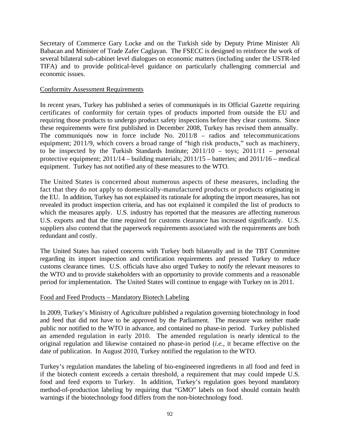Secretary of Commerce Gary Locke and on the Turkish side by Deputy Prime Minister Ali Babacan and Minister of Trade Zafer Caglayan. The FSECC is designed to reinforce the work of several bilateral sub-cabinet level dialogues on economic matters (including under the USTR-led TIFA) and to provide political-level guidance on particularly challenging commercial and economic issues.

#### Conformity Assessment Requirements

In recent years, Turkey has published a series of communiqués in its Official Gazette requiring certificates of conformity for certain types of products imported from outside the EU and requiring those products to undergo product safety inspections before they clear customs. Since these requirements were first published in December 2008, Turkey has revised them annually. The communiqués now in force include No. 2011/8 – radios and telecommunications equipment; 2011/9, which covers a broad range of "high risk products," such as machinery, to be inspected by the Turkish Standards Institute;  $2011/10 - \text{to}$   $\gamma$  = 2011/11 – personal protective equipment; 2011/14 – building materials; 2011/15 – batteries; and 2011/16 – medical equipment. Turkey has not notified any of these measures to the WTO.

The United States is concerned about numerous aspects of these measures, including the fact that they do not apply to domestically-manufactured products or products originating in the EU. In addition, Turkey has not explained its rationale for adopting the import measures, has not revealed its product inspection criteria, and has not explained it compiled the list of products to which the measures apply. U.S. industry has reported that the measures are affecting numerous U.S. exports and that the time required for customs clearance has increased significantly. U.S. suppliers also contend that the paperwork requirements associated with the requirements are both redundant and costly.

The United States has raised concerns with Turkey both bilaterally and in the TBT Committee regarding its import inspection and certification requirements and pressed Turkey to reduce customs clearance times. U.S. officials have also urged Turkey to notify the relevant measures to the WTO and to provide stakeholders with an opportunity to provide comments and a reasonable period for implementation. The United States will continue to engage with Turkey on in 2011.

#### Food and Feed Products – Mandatory Biotech Labeling

In 2009, Turkey's Ministry of Agriculture published a regulation governing biotechnology in food and feed that did not have to be approved by the Parliament. The measure was neither made public nor notified to the WTO in advance, and contained no phase-in period. Turkey published an amended regulation in early 2010. The amended regulation is nearly identical to the original regulation and likewise contained no phase-in period (*i.e.,* it became effective on the date of publication. In August 2010, Turkey notified the regulation to the WTO.

Turkey's regulation mandates the labeling of bio-engineered ingredients in all food and feed in if the biotech content exceeds a certain threshold, a requirement that may could impede U.S. food and feed exports to Turkey. In addition, Turkey's regulation goes beyond mandatory method-of-production labeling by requiring that "GMO" labels on food should contain health warnings if the biotechnology food differs from the non-biotechnology food.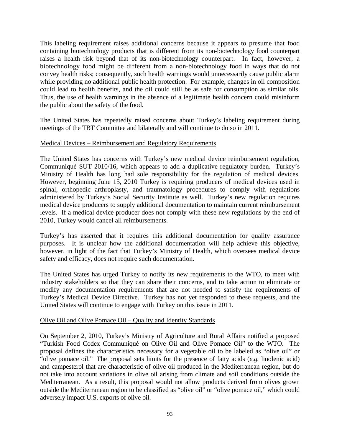This labeling requirement raises additional concerns because it appears to presume that food containing biotechnology products that is different from its non-biotechnology food counterpart raises a health risk beyond that of its non-biotechnology counterpart. In fact, however, a biotechnology food might be different from a non-biotechnology food in ways that do not convey health risks; consequently, such health warnings would unnecessarily cause public alarm while providing no additional public health protection. For example, changes in oil composition could lead to health benefits, and the oil could still be as safe for consumption as similar oils. Thus, the use of health warnings in the absence of a legitimate health concern could misinform the public about the safety of the food.

The United States has repeatedly raised concerns about Turkey's labeling requirement during meetings of the TBT Committee and bilaterally and will continue to do so in 2011.

#### Medical Devices – Reimbursement and Regulatory Requirements

The United States has concerns with Turkey's new medical device reimbursement regulation, Communiqué SUT 2010/16, which appears to add a duplicative regulatory burden. Turkey's Ministry of Health has long had sole responsibility for the regulation of medical devices. However, beginning June 15, 2010 Turkey is requiring producers of medical devices used in spinal, orthopedic arthroplasty, and traumatology procedures to comply with regulations administered by Turkey's Social Security Institute as well. Turkey's new regulation requires medical device producers to supply additional documentation to maintain current reimbursement levels. If a medical device producer does not comply with these new regulations by the end of 2010, Turkey would cancel all reimbursements.

Turkey's has asserted that it requires this additional documentation for quality assurance purposes. It is unclear how the additional documentation will help achieve this objective, however, in light of the fact that Turkey's Ministry of Health, which oversees medical device safety and efficacy, does not require such documentation.

The United States has urged Turkey to notify its new requirements to the WTO, to meet with industry stakeholders so that they can share their concerns, and to take action to eliminate or modify any documentation requirements that are not needed to satisfy the requirements of Turkey's Medical Device Directive. Turkey has not yet responded to these requests, and the United States will continue to engage with Turkey on this issue in 2011.

#### Olive Oil and Olive Pomace Oil – Quality and Identity Standards

On September 2, 2010, Turkey's Ministry of Agriculture and Rural Affairs notified a proposed "Turkish Food Codex Communiqué on Olive Oil and Olive Pomace Oil" to the WTO. The proposal defines the characteristics necessary for a vegetable oil to be labeled as "olive oil" or "olive pomace oil." The proposal sets limits for the presence of fatty acids (*e.g.* linolenic acid) and campesterol that are characteristic of olive oil produced in the Mediterranean region, but do not take into account variations in olive oil arising from climate and soil conditions outside the Mediterranean. As a result, this proposal would not allow products derived from olives grown outside the Mediterranean region to be classified as "olive oil" or "olive pomace oil," which could adversely impact U.S. exports of olive oil.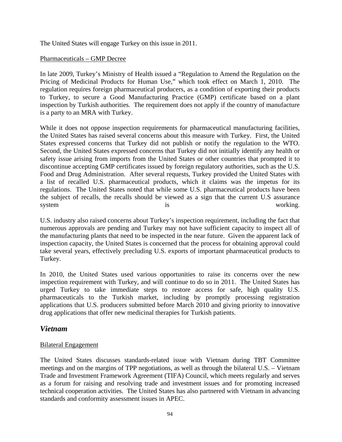The United States will engage Turkey on this issue in 2011.

### Pharmaceuticals – GMP Decree

In late 2009, Turkey's Ministry of Health issued a "Regulation to Amend the Regulation on the Pricing of Medicinal Products for Human Use," which took effect on March 1, 2010. The regulation requires foreign pharmaceutical producers, as a condition of exporting their products to Turkey, to secure a Good Manufacturing Practice (GMP) certificate based on a plant inspection by Turkish authorities. The requirement does not apply if the country of manufacture is a party to an MRA with Turkey.

While it does not oppose inspection requirements for pharmaceutical manufacturing facilities, the United States has raised several concerns about this measure with Turkey. First, the United States expressed concerns that Turkey did not publish or notify the regulation to the WTO. Second, the United States expressed concerns that Turkey did not initially identify any health or safety issue arising from imports from the United States or other countries that prompted it to discontinue accepting GMP certificates issued by foreign regulatory authorities, such as the U.S. Food and Drug Administration. After several requests, Turkey provided the United States with a list of recalled U.S. pharmaceutical products, which it claims was the impetus for its regulations. The United States noted that while some U.S. pharmaceutical products have been the subject of recalls, the recalls should be viewed as a sign that the current U.S assurance system is is working.

U.S. industry also raised concerns about Turkey's inspection requirement, including the fact that numerous approvals are pending and Turkey may not have sufficient capacity to inspect all of the manufacturing plants that need to be inspected in the near future. Given the apparent lack of inspection capacity, the United States is concerned that the process for obtaining approval could take several years, effectively precluding U.S. exports of important pharmaceutical products to Turkey.

In 2010, the United States used various opportunities to raise its concerns over the new inspection requirement with Turkey, and will continue to do so in 2011. The United States has urged Turkey to take immediate steps to restore access for safe, high quality U.S. pharmaceuticals to the Turkish market, including by promptly processing registration applications that U.S. producers submitted before March 2010 and giving priority to innovative drug applications that offer new medicinal therapies for Turkish patients.

## *Vietnam*

### Bilateral Engagement

The United States discusses standards-related issue with Vietnam during TBT Committee meetings and on the margins of TPP negotiations, as well as through the bilateral U.S. – Vietnam Trade and Investment Framework Agreement (TIFA) Council, which meets regularly and serves as a forum for raising and resolving trade and investment issues and for promoting increased technical cooperation activities. The United States has also partnered with Vietnam in advancing standards and conformity assessment issues in APEC.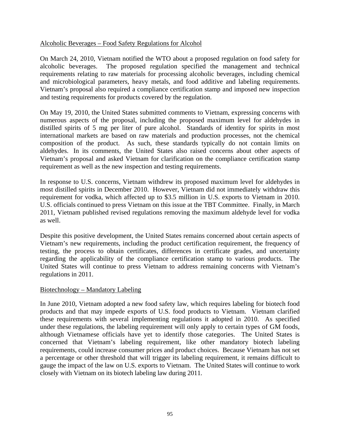### Alcoholic Beverages – Food Safety Regulations for Alcohol

On March 24, 2010, Vietnam notified the WTO about a proposed regulation on food safety for alcoholic beverages. The proposed regulation specified the management and technical requirements relating to raw materials for processing alcoholic beverages, including chemical and microbiological parameters, heavy metals, and food additive and labeling requirements. Vietnam's proposal also required a compliance certification stamp and imposed new inspection and testing requirements for products covered by the regulation.

On May 19, 2010, the United States submitted comments to Vietnam, expressing concerns with numerous aspects of the proposal, including the proposed maximum level for aldehydes in distilled spirits of 5 mg per liter of pure alcohol. Standards of identity for spirits in most international markets are based on raw materials and production processes, not the chemical composition of the product. As such, these standards typically do not contain limits on aldehydes. In its comments, the United States also raised concerns about other aspects of Vietnam's proposal and asked Vietnam for clarification on the compliance certification stamp requirement as well as the new inspection and testing requirements.

In response to U.S. concerns, Vietnam withdrew its proposed maximum level for aldehydes in most distilled spirits in December 2010. However, Vietnam did not immediately withdraw this requirement for vodka, which affected up to \$3.5 million in U.S. exports to Vietnam in 2010. U.S. officials continued to press Vietnam on this issue at the TBT Committee. Finally, in March 2011, Vietnam published revised regulations removing the maximum aldehyde level for vodka as well.

Despite this positive development, the United States remains concerned about certain aspects of Vietnam's new requirements, including the product certification requirement, the frequency of testing, the process to obtain certificates, differences in certificate grades, and uncertainty regarding the applicability of the compliance certification stamp to various products. The United States will continue to press Vietnam to address remaining concerns with Vietnam's regulations in 2011.

#### Biotechnology – Mandatory Labeling

In June 2010, Vietnam adopted a new food safety law, which requires labeling for biotech food products and that may impede exports of U.S. food products to Vietnam. Vietnam clarified these requirements with several implementing regulations it adopted in 2010. As specified under these regulations, the labeling requirement will only apply to certain types of GM foods, although Vietnamese officials have yet to identify those categories. The United States is concerned that Vietnam's labeling requirement, like other mandatory biotech labeling requirements, could increase consumer prices and product choices. Because Vietnam has not set a percentage or other threshold that will trigger its labeling requirement, it remains difficult to gauge the impact of the law on U.S. exports to Vietnam. The United States will continue to work closely with Vietnam on its biotech labeling law during 2011.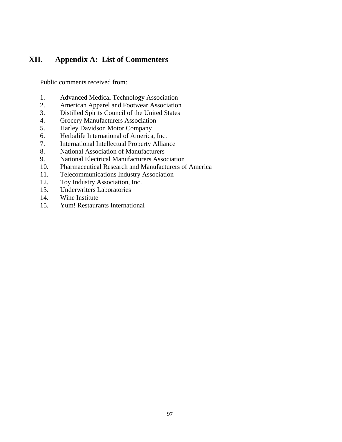# **XII. Appendix A: List of Commenters**

Public comments received from:

- 1. Advanced Medical Technology Association
- 2. American Apparel and Footwear Association
- 3. Distilled Spirits Council of the United States
- 4. Grocery Manufacturers Association
- 5. Harley Davidson Motor Company
- 6. Herbalife International of America, Inc.
- 7. International Intellectual Property Alliance
- 8. National Association of Manufacturers
- 9. National Electrical Manufacturers Association
- 10. Pharmaceutical Research and Manufacturers of America
- 11. Telecommunications Industry Association
- 12. Toy Industry Association, Inc.
- 13. Underwriters Laboratories
- 14. Wine Institute
- 15. Yum! Restaurants International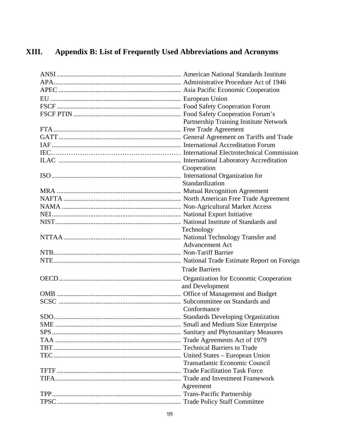#### XIII. Appendix B: List of Frequently Used Abbreviations and Acronyms

| Partnership Training Institute Network |
|----------------------------------------|
|                                        |
|                                        |
|                                        |
|                                        |
|                                        |
| Cooperation                            |
|                                        |
| Standardization                        |
|                                        |
|                                        |
|                                        |
|                                        |
|                                        |
| Technology                             |
|                                        |
| <b>Advancement Act</b>                 |
|                                        |
|                                        |
| <b>Trade Barriers</b>                  |
|                                        |
| and Development                        |
|                                        |
|                                        |
| Conformance                            |
|                                        |
|                                        |
|                                        |
|                                        |
|                                        |
|                                        |
| <b>Transatlantic Economic Council</b>  |
|                                        |
|                                        |
| Agreement                              |
|                                        |
|                                        |